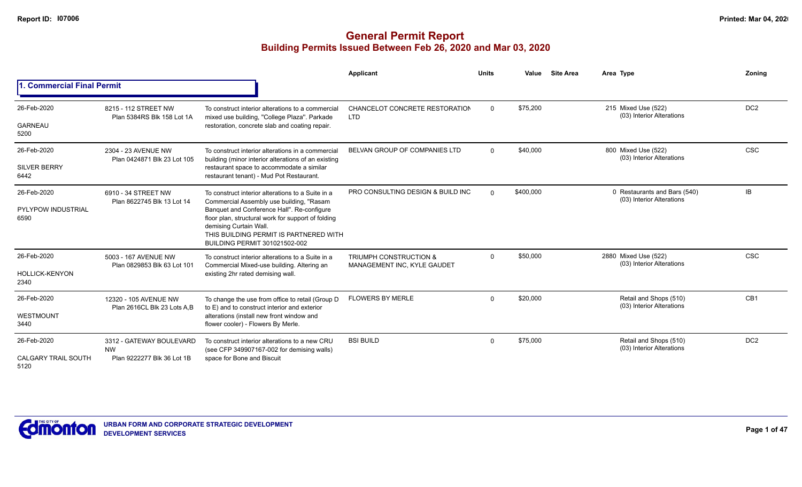|                                    |                                                     |                                                                                                                                                                                                       | Applicant                                                        | <b>Units</b> | Value                                                         | <b>Site Area</b> | Area Type                                                 | Zoning          |
|------------------------------------|-----------------------------------------------------|-------------------------------------------------------------------------------------------------------------------------------------------------------------------------------------------------------|------------------------------------------------------------------|--------------|---------------------------------------------------------------|------------------|-----------------------------------------------------------|-----------------|
| 1. Commercial Final Permit         |                                                     |                                                                                                                                                                                                       |                                                                  |              |                                                               |                  |                                                           |                 |
| 26-Feb-2020                        | 8215 - 112 STREET NW<br>Plan 5384RS Blk 158 Lot 1A  | To construct interior alterations to a commercial<br>mixed use building, "College Plaza". Parkade                                                                                                     | CHANCELOT CONCRETE RESTORATION<br><b>LTD</b>                     | $\mathbf 0$  | \$75,200                                                      |                  | 215 Mixed Use (522)<br>(03) Interior Alterations          | DC <sub>2</sub> |
| GARNEAU<br>5200                    |                                                     | restoration, concrete slab and coating repair.                                                                                                                                                        |                                                                  |              |                                                               |                  |                                                           |                 |
| 26-Feb-2020                        | 2304 - 23 AVENUE NW<br>Plan 0424871 Blk 23 Lot 105  | To construct interior alterations in a commercial<br>building (minor interior alterations of an existing                                                                                              | BELVAN GROUP OF COMPANIES LTD                                    | $\Omega$     | \$40,000                                                      |                  | 800 Mixed Use (522)<br>(03) Interior Alterations          | <b>CSC</b>      |
| <b>SILVER BERRY</b><br>6442        |                                                     | restaurant space to accommodate a similar<br>restaurant tenant) - Mud Pot Restaurant.                                                                                                                 |                                                                  |              |                                                               |                  |                                                           |                 |
| 26-Feb-2020                        | 6910 - 34 STREET NW<br>Plan 8622745 Blk 13 Lot 14   | To construct interior alterations to a Suite in a<br>Commercial Assembly use building, "Rasam                                                                                                         | PRO CONSULTING DESIGN & BUILD INC                                | $\Omega$     | \$400.000                                                     |                  | 0 Restaurants and Bars (540)<br>(03) Interior Alterations | IB              |
| <b>PYLYPOW INDUSTRIAL</b><br>6590  |                                                     | Banquet and Conference Hall". Re-configure<br>floor plan, structural work for support of folding<br>demising Curtain Wall.<br>THIS BUILDING PERMIT IS PARTNERED WITH<br>BUILDING PERMIT 301021502-002 |                                                                  |              |                                                               |                  |                                                           |                 |
| 26-Feb-2020                        | 5003 - 167 AVENUE NW<br>Plan 0829853 Blk 63 Lot 101 | To construct interior alterations to a Suite in a<br>Commercial Mixed-use building. Altering an                                                                                                       | <b>TRIUMPH CONSTRUCTION &amp;</b><br>MANAGEMENT INC, KYLE GAUDET | $\Omega$     | \$50,000<br>2880 Mixed Use (522)<br>(03) Interior Alterations |                  | <b>CSC</b>                                                |                 |
| <b>HOLLICK-KENYON</b><br>2340      |                                                     | existing 2hr rated demising wall.                                                                                                                                                                     |                                                                  |              |                                                               |                  |                                                           |                 |
| 26-Feb-2020                        | 12320 - 105 AVENUE NW                               | To change the use from office to retail (Group D<br>to E) and to construct interior and exterior                                                                                                      | <b>FLOWERS BY MERLE</b>                                          | $\Omega$     | \$20,000                                                      |                  | Retail and Shops (510)<br>(03) Interior Alterations       | CB <sub>1</sub> |
| WESTMOUNT<br>3440                  | Plan 2616CL Blk 23 Lots A,B                         | alterations (install new front window and<br>flower cooler) - Flowers By Merle.                                                                                                                       |                                                                  |              |                                                               |                  |                                                           |                 |
| 26-Feb-2020                        | 3312 - GATEWAY BOULEVARD<br><b>NW</b>               | To construct interior alterations to a new CRU<br>(see CFP 349907167-002 for demising walls)                                                                                                          | <b>BSI BUILD</b>                                                 | $\Omega$     | \$75,000                                                      |                  | Retail and Shops (510)<br>(03) Interior Alterations       | DC <sub>2</sub> |
| <b>CALGARY TRAIL SOUTH</b><br>5120 | Plan 9222277 Blk 36 Lot 1B                          | space for Bone and Biscuit                                                                                                                                                                            |                                                                  |              |                                                               |                  |                                                           |                 |

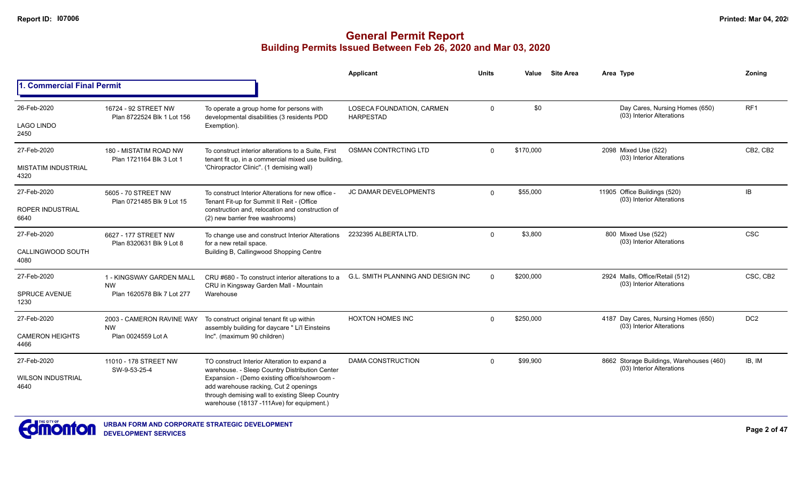|                                    |                                                                                                                                                                                                                                                         |                                                                                                                                   | <b>Applicant</b>                              | <b>Units</b> | Value     | <b>Site Area</b> | Area Type                                                             | Zonina          |
|------------------------------------|---------------------------------------------------------------------------------------------------------------------------------------------------------------------------------------------------------------------------------------------------------|-----------------------------------------------------------------------------------------------------------------------------------|-----------------------------------------------|--------------|-----------|------------------|-----------------------------------------------------------------------|-----------------|
| 1. Commercial Final Permit         |                                                                                                                                                                                                                                                         |                                                                                                                                   |                                               |              |           |                  |                                                                       |                 |
| 26-Feb-2020                        | 16724 - 92 STREET NW<br>Plan 8722524 Blk 1 Lot 156                                                                                                                                                                                                      | To operate a group home for persons with<br>developmental disabilities (3 residents PDD                                           | LOSECA FOUNDATION, CARMEN<br><b>HARPESTAD</b> | $\mathbf{0}$ | \$0       |                  | Day Cares, Nursing Homes (650)<br>(03) Interior Alterations           | RF1             |
| <b>LAGO LINDO</b><br>2450          |                                                                                                                                                                                                                                                         | Exemption).                                                                                                                       |                                               |              |           |                  |                                                                       |                 |
| 27-Feb-2020                        | 180 - MISTATIM ROAD NW<br>Plan 1721164 Blk 3 Lot 1                                                                                                                                                                                                      | To construct interior alterations to a Suite. First                                                                               | OSMAN CONTRCTING LTD                          | $\Omega$     | \$170,000 |                  | 2098 Mixed Use (522)<br>(03) Interior Alterations                     | CB2, CB2        |
| <b>MISTATIM INDUSTRIAL</b><br>4320 |                                                                                                                                                                                                                                                         | tenant fit up, in a commercial mixed use building,<br>'Chiropractor Clinic". (1 demising wall)                                    |                                               |              |           |                  |                                                                       |                 |
| 27-Feb-2020                        | 5605 - 70 STREET NW                                                                                                                                                                                                                                     | To construct Interior Alterations for new office -                                                                                | JC DAMAR DEVELOPMENTS                         | $\mathbf 0$  | \$55,000  |                  | 11905 Office Buildings (520)<br>(03) Interior Alterations             | IB              |
| <b>ROPER INDUSTRIAL</b><br>6640    | Plan 0721485 Blk 9 Lot 15                                                                                                                                                                                                                               | Tenant Fit-up for Summit II Reit - (Office<br>construction and, relocation and construction of<br>(2) new barrier free washrooms) |                                               |              |           |                  |                                                                       |                 |
| 27-Feb-2020                        | 6627 - 177 STREET NW<br>Plan 8320631 Blk 9 Lot 8                                                                                                                                                                                                        | To change use and construct Interior Alterations                                                                                  | 2232395 ALBERTA LTD.                          | $\Omega$     | \$3,800   |                  | 800 Mixed Use (522)<br>(03) Interior Alterations                      | <b>CSC</b>      |
| CALLINGWOOD SOUTH<br>4080          |                                                                                                                                                                                                                                                         | for a new retail space.<br>Building B, Callingwood Shopping Centre                                                                |                                               |              |           |                  |                                                                       |                 |
| 27-Feb-2020                        | 1 - KINGSWAY GARDEN MALL<br><b>NW</b>                                                                                                                                                                                                                   | CRU #680 - To construct interior alterations to a<br>CRU in Kingsway Garden Mall - Mountain                                       | <b>G.L. SMITH PLANNING AND DESIGN INC</b>     | $\Omega$     | \$200,000 |                  | 2924 Malls, Office/Retail (512)<br>(03) Interior Alterations          | CSC, CB2        |
| <b>SPRUCE AVENUE</b><br>1230       | Plan 1620578 Blk 7 Lot 277                                                                                                                                                                                                                              | Warehouse                                                                                                                         |                                               |              |           |                  |                                                                       |                 |
| 27-Feb-2020                        | 2003 - CAMERON RAVINE WAY<br><b>NW</b>                                                                                                                                                                                                                  | To construct original tenant fit up within                                                                                        | <b>HOXTON HOMES INC</b>                       | $\Omega$     | \$250,000 |                  | 4187 Day Cares, Nursing Homes (650)<br>(03) Interior Alterations      | DC <sub>2</sub> |
| <b>CAMERON HEIGHTS</b><br>4466     | Plan 0024559 Lot A                                                                                                                                                                                                                                      | assembly building for daycare " Li'l Einsteins<br>Inc". (maximum 90 children)                                                     |                                               |              |           |                  |                                                                       |                 |
| 27-Feb-2020                        | 11010 - 178 STREET NW                                                                                                                                                                                                                                   | TO construct Interior Alteration to expand a                                                                                      | <b>DAMA CONSTRUCTION</b>                      | $\Omega$     | \$99,900  |                  | 8662 Storage Buildings, Warehouses (460)<br>(03) Interior Alterations | IB, IM          |
| <b>WILSON INDUSTRIAL</b><br>4640   | SW-9-53-25-4<br>warehouse. - Sleep Country Distribution Center<br>Expansion - (Demo existing office/showroom -<br>add warehouse racking, Cut 2 openings<br>through demising wall to existing Sleep Country<br>warehouse (18137 -111Ave) for equipment.) |                                                                                                                                   |                                               |              |           |                  |                                                                       |                 |

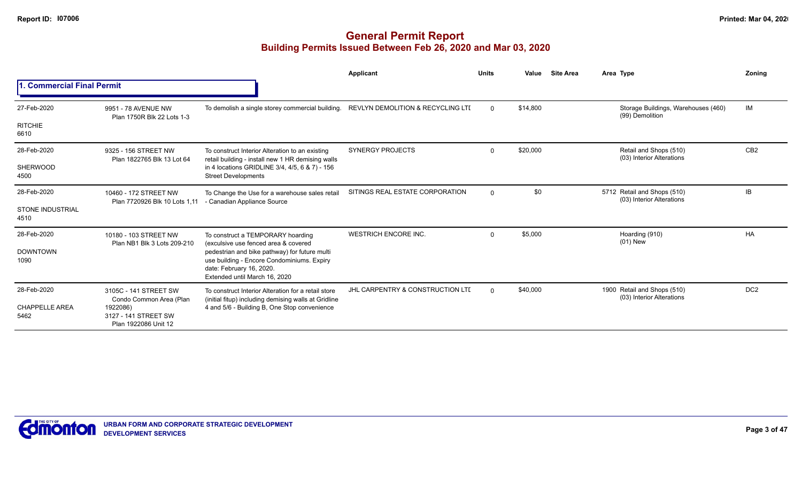|                                 |                                                          |                                                                                                                                                          | Applicant                        | <b>Units</b> | Value    | <b>Site Area</b> | Area Type                                                | Zonina          |
|---------------------------------|----------------------------------------------------------|----------------------------------------------------------------------------------------------------------------------------------------------------------|----------------------------------|--------------|----------|------------------|----------------------------------------------------------|-----------------|
| 1. Commercial Final Permit      |                                                          |                                                                                                                                                          |                                  |              |          |                  |                                                          |                 |
| 27-Feb-2020                     | 9951 - 78 AVENUE NW<br>Plan 1750R Blk 22 Lots 1-3        | To demolish a single storey commercial building. REVLYN DEMOLITION & RECYCLING LTI                                                                       |                                  | $\Omega$     | \$14.800 |                  | Storage Buildings, Warehouses (460)<br>(99) Demolition   | IM              |
| <b>RITCHIE</b><br>6610          |                                                          |                                                                                                                                                          |                                  |              |          |                  |                                                          |                 |
| 28-Feb-2020                     | 9325 - 156 STREET NW<br>Plan 1822765 Blk 13 Lot 64       | To construct Interior Alteration to an existing<br>retail building - install new 1 HR demising walls                                                     | <b>SYNERGY PROJECTS</b>          | $\Omega$     | \$20,000 |                  | Retail and Shops (510)<br>(03) Interior Alterations      | CB <sub>2</sub> |
| SHERWOOD<br>4500                |                                                          | in 4 locations GRIDLINE 3/4, 4/5, 6 & 7) - 156<br><b>Street Developments</b>                                                                             |                                  |              |          |                  |                                                          |                 |
| 28-Feb-2020                     | 10460 - 172 STREET NW<br>Plan 7720926 Blk 10 Lots 1,11   | To Change the Use for a warehouse sales retail<br>- Canadian Appliance Source                                                                            | SITINGS REAL ESTATE CORPORATION  | $\mathbf 0$  | \$0      |                  | 5712 Retail and Shops (510)<br>(03) Interior Alterations | IB              |
| <b>STONE INDUSTRIAL</b><br>4510 |                                                          |                                                                                                                                                          |                                  |              |          |                  |                                                          |                 |
| 28-Feb-2020                     | 10180 - 103 STREET NW<br>Plan NB1 Blk 3 Lots 209-210     | To construct a TEMPORARY hoarding<br>(exculsive use fenced area & covered                                                                                | <b>WESTRICH ENCORE INC.</b>      | $\Omega$     | \$5,000  |                  | Hoarding (910)<br>$(01)$ New                             | <b>HA</b>       |
| <b>DOWNTOWN</b><br>1090         |                                                          | pedestrian and bike pathway) for future multi<br>use building - Encore Condominiums. Expiry<br>date: February 16, 2020.<br>Extended until March 16, 2020 |                                  |              |          |                  |                                                          |                 |
| 28-Feb-2020                     | 3105C - 141 STREET SW<br>Condo Common Area (Plan         | To construct Interior Alteration for a retail store<br>(initial fitup) including demising walls at Gridline                                              | JHL CARPENTRY & CONSTRUCTION LTD | $\Omega$     | \$40,000 |                  | 1900 Retail and Shops (510)<br>(03) Interior Alterations | DC <sub>2</sub> |
| <b>CHAPPELLE AREA</b><br>5462   | 1922086)<br>3127 - 141 STREET SW<br>Plan 1922086 Unit 12 | 4 and 5/6 - Building B, One Stop convenience                                                                                                             |                                  |              |          |                  |                                                          |                 |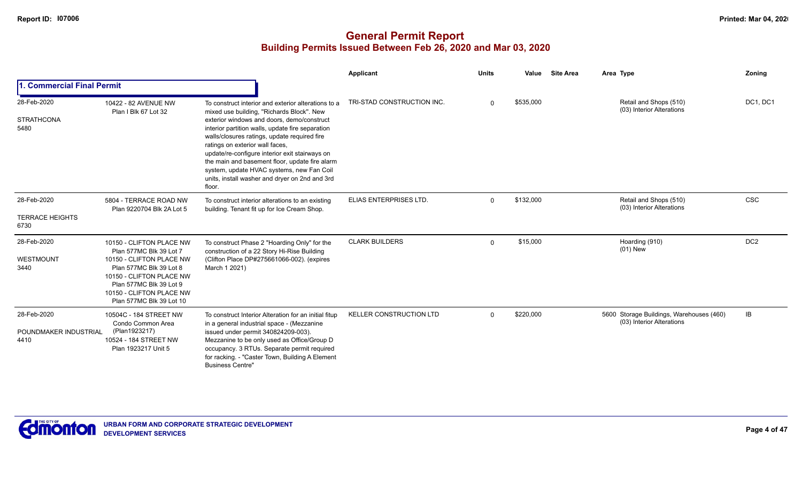|                                               |                                                                                                                                                                                                                           |                                                                                                                                                                                                                                                                                                                                                                                                                                                                                                    | Applicant                      | <b>Units</b> | Value     | <b>Site Area</b> | Area Type                                                             | <b>Zoning</b>   |
|-----------------------------------------------|---------------------------------------------------------------------------------------------------------------------------------------------------------------------------------------------------------------------------|----------------------------------------------------------------------------------------------------------------------------------------------------------------------------------------------------------------------------------------------------------------------------------------------------------------------------------------------------------------------------------------------------------------------------------------------------------------------------------------------------|--------------------------------|--------------|-----------|------------------|-----------------------------------------------------------------------|-----------------|
| I. Commercial Final Permit                    |                                                                                                                                                                                                                           |                                                                                                                                                                                                                                                                                                                                                                                                                                                                                                    |                                |              |           |                  |                                                                       |                 |
| 28-Feb-2020<br><b>STRATHCONA</b><br>5480      | 10422 - 82 AVENUE NW<br>Plan I Blk 67 Lot 32                                                                                                                                                                              | To construct interior and exterior alterations to a<br>mixed use building, "Richards Block". New<br>exterior windows and doors, demo/construct<br>interior partition walls, update fire separation<br>walls/closures ratings, update required fire<br>ratings on exterior wall faces,<br>update/re-configure interior exit stairways on<br>the main and basement floor, update fire alarm<br>system, update HVAC systems, new Fan Coil<br>units, install washer and dryer on 2nd and 3rd<br>floor. | TRI-STAD CONSTRUCTION INC.     | $\Omega$     | \$535,000 |                  | Retail and Shops (510)<br>(03) Interior Alterations                   | DC1, DC1        |
| 28-Feb-2020<br><b>TERRACE HEIGHTS</b><br>6730 | 5804 - TERRACE ROAD NW<br>Plan 9220704 Blk 2A Lot 5                                                                                                                                                                       | To construct interior alterations to an existing<br>building. Tenant fit up for Ice Cream Shop.                                                                                                                                                                                                                                                                                                                                                                                                    | ELIAS ENTERPRISES LTD.         | $\Omega$     | \$132,000 |                  | Retail and Shops (510)<br>(03) Interior Alterations                   | <b>CSC</b>      |
| 28-Feb-2020<br>WESTMOUNT<br>3440              | 10150 - CLIFTON PLACE NW<br>Plan 577MC Blk 39 Lot 7<br>10150 - CLIFTON PLACE NW<br>Plan 577MC Blk 39 Lot 8<br>10150 - CLIFTON PLACE NW<br>Plan 577MC Blk 39 Lot 9<br>10150 - CLIFTON PLACE NW<br>Plan 577MC Blk 39 Lot 10 | To construct Phase 2 "Hoarding Only" for the<br>construction of a 22 Story Hi-Rise Building<br>(Clifton Place DP#275661066-002). (expires<br>March 1 2021)                                                                                                                                                                                                                                                                                                                                         | <b>CLARK BUILDERS</b>          | $\mathbf 0$  | \$15,000  |                  | Hoarding (910)<br>$(01)$ New                                          | DC <sub>2</sub> |
| 28-Feb-2020<br>POUNDMAKER INDUSTRIAL<br>4410  | 10504C - 184 STREET NW<br>Condo Common Area<br>(Plan1923217)<br>10524 - 184 STREET NW<br>Plan 1923217 Unit 5                                                                                                              | To construct Interior Alteration for an initial fitup<br>in a general industrial space - (Mezzanine<br>issued under permit 340824209-003).<br>Mezzanine to be only used as Office/Group D<br>occupancy. 3 RTUs. Separate permit required<br>for racking. - "Caster Town, Building A Element<br><b>Business Centre"</b>                                                                                                                                                                             | <b>KELLER CONSTRUCTION LTD</b> | $\Omega$     | \$220,000 |                  | 5600 Storage Buildings, Warehouses (460)<br>(03) Interior Alterations | <b>IB</b>       |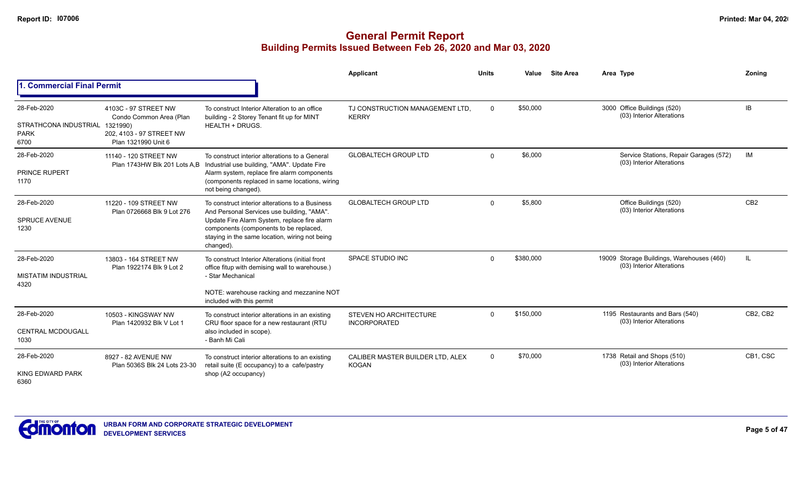|                                                             |                                                                                                                |                                                                                                                                                                                                                                                        | <b>Applicant</b>                                     | <b>Units</b> | Value     | <b>Site Area</b> | Area Type                                                              | Zoning          |
|-------------------------------------------------------------|----------------------------------------------------------------------------------------------------------------|--------------------------------------------------------------------------------------------------------------------------------------------------------------------------------------------------------------------------------------------------------|------------------------------------------------------|--------------|-----------|------------------|------------------------------------------------------------------------|-----------------|
| 1. Commercial Final Permit                                  |                                                                                                                |                                                                                                                                                                                                                                                        |                                                      |              |           |                  |                                                                        |                 |
| 28-Feb-2020<br>STRATHCONA INDUSTRIAL<br><b>PARK</b><br>6700 | 4103C - 97 STREET NW<br>Condo Common Area (Plan<br>1321990)<br>202, 4103 - 97 STREET NW<br>Plan 1321990 Unit 6 | To construct Interior Alteration to an office<br>building - 2 Storey Tenant fit up for MINT<br><b>HEALTH + DRUGS.</b>                                                                                                                                  | TJ CONSTRUCTION MANAGEMENT LTD.<br><b>KERRY</b>      | $\Omega$     | \$50,000  |                  | 3000 Office Buildings (520)<br>(03) Interior Alterations               | IB.             |
| 28-Feb-2020<br>PRINCE RUPERT<br>1170                        | 11140 - 120 STREET NW                                                                                          | To construct interior alterations to a General<br>Plan 1743HW Blk 201 Lots A,B Industrial use building, "AMA". Update Fire<br>Alarm system, replace fire alarm components<br>(components replaced in same locations, wiring<br>not being changed).     | <b>GLOBALTECH GROUP LTD</b>                          | $\Omega$     | \$6,000   |                  | Service Stations, Repair Garages (572)<br>(03) Interior Alterations    | IM              |
| 28-Feb-2020<br><b>SPRUCE AVENUE</b><br>1230                 | 11220 - 109 STREET NW<br>Plan 0726668 Blk 9 Lot 276                                                            | To construct interior alterations to a Business<br>And Personal Services use building, "AMA".<br>Update Fire Alarm System, replace fire alarm<br>components (components to be replaced,<br>staying in the same location, wiring not being<br>changed). | <b>GLOBALTECH GROUP LTD</b>                          | $\Omega$     | \$5,800   |                  | Office Buildings (520)<br>(03) Interior Alterations                    | CB <sub>2</sub> |
| 28-Feb-2020<br><b>MISTATIM INDUSTRIAL</b><br>4320           | 13803 - 164 STREET NW<br>Plan 1922174 Blk 9 Lot 2                                                              | To construct Interior Alterations (initial front<br>office fitup with demising wall to warehouse.)<br>- Star Mechanical<br>NOTE: warehouse racking and mezzanine NOT<br>included with this permit                                                      | <b>SPACE STUDIO INC</b>                              | $\Omega$     | \$380,000 |                  | 19009 Storage Buildings, Warehouses (460)<br>(03) Interior Alterations | IL              |
| 28-Feb-2020<br><b>CENTRAL MCDOUGALL</b><br>1030             | 10503 - KINGSWAY NW<br>Plan 1420932 Blk V Lot 1                                                                | To construct interior alterations in an existing<br>CRU floor space for a new restaurant (RTU<br>also included in scope).<br>- Banh Mi Cali                                                                                                            | <b>STEVEN HO ARCHITECTURE</b><br><b>INCORPORATED</b> | $\Omega$     | \$150,000 |                  | 1195 Restaurants and Bars (540)<br>(03) Interior Alterations           | CB2, CB2        |
| 28-Feb-2020<br>KING EDWARD PARK<br>6360                     | 8927 - 82 AVENUE NW<br>Plan 5036S Blk 24 Lots 23-30                                                            | To construct interior alterations to an existing<br>retail suite (E occupancy) to a cafe/pastry<br>shop (A2 occupancy)                                                                                                                                 | CALIBER MASTER BUILDER LTD. ALEX<br><b>KOGAN</b>     | $\mathbf 0$  | \$70,000  |                  | 1738 Retail and Shops (510)<br>(03) Interior Alterations               | CB1, CSC        |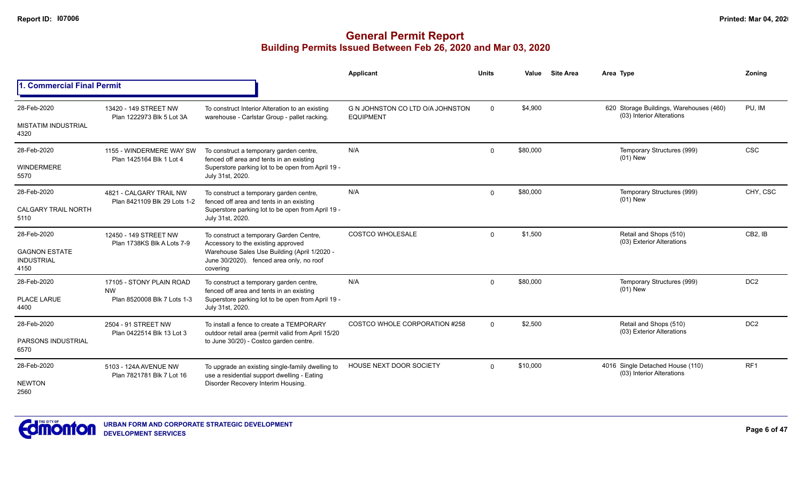|                                                   |                                                         |                                                                                                      | Applicant                                            | <b>Units</b> | Value    | <b>Site Area</b> | Area Type                                                            | Zonina               |
|---------------------------------------------------|---------------------------------------------------------|------------------------------------------------------------------------------------------------------|------------------------------------------------------|--------------|----------|------------------|----------------------------------------------------------------------|----------------------|
| 1. Commercial Final Permit                        |                                                         |                                                                                                      |                                                      |              |          |                  |                                                                      |                      |
| 28-Feb-2020                                       | 13420 - 149 STREET NW<br>Plan 1222973 Blk 5 Lot 3A      | To construct Interior Alteration to an existing<br>warehouse - Carlstar Group - pallet racking.      | G N JOHNSTON CO LTD O/A JOHNSTON<br><b>EQUIPMENT</b> | $\mathbf 0$  | \$4,900  |                  | 620 Storage Buildings, Warehouses (460)<br>(03) Interior Alterations | PU, IM               |
| <b>MISTATIM INDUSTRIAL</b><br>4320                |                                                         |                                                                                                      |                                                      |              |          |                  |                                                                      |                      |
| 28-Feb-2020                                       | 1155 - WINDERMERE WAY SW<br>Plan 1425164 Blk 1 Lot 4    | To construct a temporary garden centre,<br>fenced off area and tents in an existing                  | N/A                                                  | $\mathbf 0$  | \$80,000 |                  | Temporary Structures (999)<br>$(01)$ New                             | <b>CSC</b>           |
| <b>WINDERMERE</b><br>5570                         |                                                         | Superstore parking lot to be open from April 19 -<br>July 31st, 2020.                                |                                                      |              |          |                  |                                                                      |                      |
| 28-Feb-2020                                       | 4821 - CALGARY TRAIL NW<br>Plan 8421109 Blk 29 Lots 1-2 | To construct a temporary garden centre,<br>fenced off area and tents in an existing                  | N/A                                                  | $\Omega$     | \$80,000 |                  | Temporary Structures (999)<br>$(01)$ New                             | CHY, CSC             |
| <b>CALGARY TRAIL NORTH</b><br>5110                |                                                         | Superstore parking lot to be open from April 19 -<br>July 31st, 2020.                                |                                                      |              |          |                  |                                                                      |                      |
| 28-Feb-2020                                       | 12450 - 149 STREET NW<br>Plan 1738KS Blk A Lots 7-9     | To construct a temporary Garden Centre,<br>Accessory to the existing approved                        | <b>COSTCO WHOLESALE</b>                              | $\Omega$     | \$1,500  |                  | Retail and Shops (510)<br>(03) Exterior Alterations                  | CB <sub>2</sub> . IB |
| <b>GAGNON ESTATE</b><br><b>INDUSTRIAL</b><br>4150 |                                                         | Warehouse Sales Use Building (April 1/2020 -<br>June 30/2020). fenced area only, no roof<br>covering |                                                      |              |          |                  |                                                                      |                      |
| 28-Feb-2020                                       | 17105 - STONY PLAIN ROAD<br><b>NW</b>                   | To construct a temporary garden centre,<br>fenced off area and tents in an existing                  | N/A                                                  | $\mathbf 0$  | \$80,000 |                  | Temporary Structures (999)<br>$(01)$ New                             | DC <sub>2</sub>      |
| <b>PLACE LARUE</b><br>4400                        | Plan 8520008 Blk 7 Lots 1-3                             | Superstore parking lot to be open from April 19 -<br>July 31st, 2020.                                |                                                      |              |          |                  |                                                                      |                      |
| 28-Feb-2020                                       | 2504 - 91 STREET NW<br>Plan 0422514 Blk 13 Lot 3        | To install a fence to create a TEMPORARY<br>outdoor retail area (permit valid from April 15/20       | COSTCO WHOLE CORPORATION #258                        | $\Omega$     | \$2,500  |                  | Retail and Shops (510)<br>(03) Exterior Alterations                  | DC <sub>2</sub>      |
| PARSONS INDUSTRIAL<br>6570                        |                                                         | to June 30/20) - Costco garden centre.                                                               |                                                      |              |          |                  |                                                                      |                      |
| 28-Feb-2020                                       | 5103 - 124A AVENUE NW<br>Plan 7821781 Blk 7 Lot 16      | To upgrade an existing single-family dwelling to<br>use a residential support dwelling - Eating      | HOUSE NEXT DOOR SOCIETY                              | $\Omega$     | \$10,000 |                  | 4016 Single Detached House (110)<br>(03) Interior Alterations        | RF <sub>1</sub>      |
| <b>NEWTON</b><br>2560                             |                                                         | Disorder Recovery Interim Housing.                                                                   |                                                      |              |          |                  |                                                                      |                      |

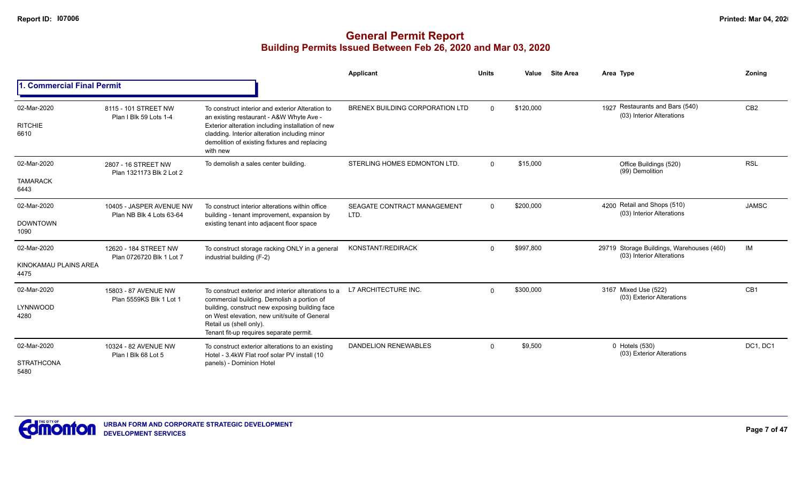|                                              |                                                      |                                                                                                                                                                                                                                                                           | Applicant                           | <b>Units</b> | Value     | <b>Site Area</b> | Area Type                                                              | Zoning          |
|----------------------------------------------|------------------------------------------------------|---------------------------------------------------------------------------------------------------------------------------------------------------------------------------------------------------------------------------------------------------------------------------|-------------------------------------|--------------|-----------|------------------|------------------------------------------------------------------------|-----------------|
| <b>Commercial Final Permit</b>               |                                                      |                                                                                                                                                                                                                                                                           |                                     |              |           |                  |                                                                        |                 |
| 02-Mar-2020<br><b>RITCHIE</b><br>6610        | 8115 - 101 STREET NW<br>Plan I Blk 59 Lots 1-4       | To construct interior and exterior Alteration to<br>an existing restaurant - A&W Whyte Ave -<br>Exterior alteration including installation of new<br>cladding. Interior alteration including minor<br>demolition of existing fixtures and replacing<br>with new           | BRENEX BUILDING CORPORATION LTD     | $\Omega$     | \$120,000 |                  | 1927 Restaurants and Bars (540)<br>(03) Interior Alterations           | CB <sub>2</sub> |
| 02-Mar-2020<br><b>TAMARACK</b><br>6443       | 2807 - 16 STREET NW<br>Plan 1321173 Blk 2 Lot 2      | To demolish a sales center building.                                                                                                                                                                                                                                      | STERLING HOMES EDMONTON LTD.        | $\Omega$     | \$15,000  |                  | Office Buildings (520)<br>(99) Demolition                              | <b>RSL</b>      |
| 02-Mar-2020<br><b>DOWNTOWN</b><br>1090       | 10405 - JASPER AVENUE NW<br>Plan NB Blk 4 Lots 63-64 | To construct interior alterations within office<br>building - tenant improvement, expansion by<br>existing tenant into adjacent floor space                                                                                                                               | SEAGATE CONTRACT MANAGEMENT<br>LTD. | $\Omega$     | \$200,000 |                  | 4200 Retail and Shops (510)<br>(03) Interior Alterations               | <b>JAMSC</b>    |
| 02-Mar-2020<br>KINOKAMAU PLAINS AREA<br>4475 | 12620 - 184 STREET NW<br>Plan 0726720 Blk 1 Lot 7    | To construct storage racking ONLY in a general<br>industrial building (F-2)                                                                                                                                                                                               | KONSTANT/REDIRACK                   | $\Omega$     | \$997,800 |                  | 29719 Storage Buildings, Warehouses (460)<br>(03) Interior Alterations | IM              |
| 02-Mar-2020<br>LYNNWOOD<br>4280              | 15803 - 87 AVENUE NW<br>Plan 5559KS Blk 1 Lot 1      | To construct exterior and interior alterations to a<br>commercial building. Demolish a portion of<br>building, construct new exposing building face<br>on West elevation, new unit/suite of General<br>Retail us (shell only).<br>Tenant fit-up requires separate permit. | L7 ARCHITECTURE INC.                | $\Omega$     | \$300,000 |                  | 3167 Mixed Use (522)<br>(03) Exterior Alterations                      | CB1             |
| 02-Mar-2020<br><b>STRATHCONA</b><br>5480     | 10324 - 82 AVENUE NW<br>Plan I Blk 68 Lot 5          | To construct exterior alterations to an existing<br>Hotel - 3.4kW Flat roof solar PV install (10<br>panels) - Dominion Hotel                                                                                                                                              | <b>DANDELION RENEWABLES</b>         | $\Omega$     | \$9,500   |                  | 0 Hotels (530)<br>(03) Exterior Alterations                            | DC1, DC1        |

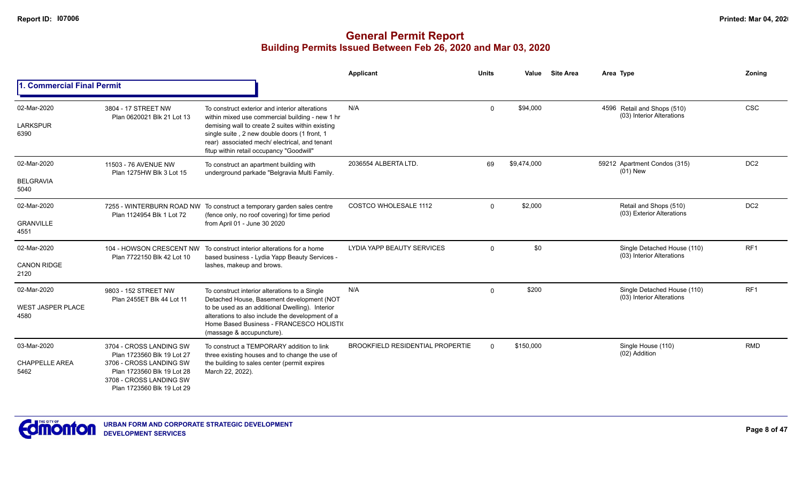|                                                 |                                                                                                                                                                         |                                                                                                                                                                                                                                                                                                    | <b>Applicant</b>                        | <b>Units</b> | Value       | <b>Site Area</b> | Area Type                                                | Zoning          |
|-------------------------------------------------|-------------------------------------------------------------------------------------------------------------------------------------------------------------------------|----------------------------------------------------------------------------------------------------------------------------------------------------------------------------------------------------------------------------------------------------------------------------------------------------|-----------------------------------------|--------------|-------------|------------------|----------------------------------------------------------|-----------------|
| <b>1. Commercial Final Permit</b>               |                                                                                                                                                                         |                                                                                                                                                                                                                                                                                                    |                                         |              |             |                  |                                                          |                 |
| 02-Mar-2020<br><b>LARKSPUR</b><br>6390          | 3804 - 17 STREET NW<br>Plan 0620021 Blk 21 Lot 13                                                                                                                       | To construct exterior and interior alterations<br>within mixed use commercial building - new 1 hr<br>demising wall to create 2 suites within existing<br>single suite, 2 new double doors (1 front, 1<br>rear) associated mech/ electrical, and tenant<br>fitup within retail occupancy "Goodwill" | N/A                                     | $\Omega$     | \$94,000    |                  | 4596 Retail and Shops (510)<br>(03) Interior Alterations | <b>CSC</b>      |
| 02-Mar-2020<br><b>BELGRAVIA</b><br>5040         | 11503 - 76 AVENUE NW<br>Plan 1275HW Blk 3 Lot 15                                                                                                                        | To construct an apartment building with<br>underground parkade "Belgravia Multi Family.                                                                                                                                                                                                            | 2036554 ALBERTA LTD.                    | 69           | \$9,474,000 |                  | 59212 Apartment Condos (315)<br>$(01)$ New               | DC <sub>2</sub> |
| 02-Mar-2020<br><b>GRANVILLE</b><br>4551         | Plan 1124954 Blk 1 Lot 72                                                                                                                                               | 7255 - WINTERBURN ROAD NW To construct a temporary garden sales centre<br>(fence only, no roof covering) for time period<br>from April 01 - June 30 2020                                                                                                                                           | <b>COSTCO WHOLESALE 1112</b>            | $\Omega$     | \$2,000     |                  | Retail and Shops (510)<br>(03) Exterior Alterations      | DC <sub>2</sub> |
| 02-Mar-2020<br><b>CANON RIDGE</b><br>2120       | Plan 7722150 Blk 42 Lot 10                                                                                                                                              | 104 - HOWSON CRESCENT NW To construct interior alterations for a home<br>based business - Lydia Yapp Beauty Services -<br>lashes, makeup and brows.                                                                                                                                                | LYDIA YAPP BEAUTY SERVICES              | $\Omega$     | \$0         |                  | Single Detached House (110)<br>(03) Interior Alterations | RF <sub>1</sub> |
| 02-Mar-2020<br><b>WEST JASPER PLACE</b><br>4580 | 9803 - 152 STREET NW<br>Plan 2455ET Blk 44 Lot 11                                                                                                                       | To construct interior alterations to a Single<br>Detached House, Basement development (NOT<br>to be used as an additional Dwelling). Interior<br>alterations to also include the development of a<br>Home Based Business - FRANCESCO HOLISTI(<br>(massage & accupuncture).                         | N/A                                     | $\Omega$     | \$200       |                  | Single Detached House (110)<br>(03) Interior Alterations | RF1             |
| 03-Mar-2020<br><b>CHAPPELLE AREA</b><br>5462    | 3704 - CROSS LANDING SW<br>Plan 1723560 Blk 19 Lot 27<br>3706 - CROSS LANDING SW<br>Plan 1723560 Blk 19 Lot 28<br>3708 - CROSS LANDING SW<br>Plan 1723560 Blk 19 Lot 29 | To construct a TEMPORARY addition to link<br>three existing houses and to change the use of<br>the building to sales center (permit expires<br>March 22, 2022).                                                                                                                                    | <b>BROOKFIELD RESIDENTIAL PROPERTIE</b> | $\Omega$     | \$150,000   |                  | Single House (110)<br>(02) Addition                      | <b>RMD</b>      |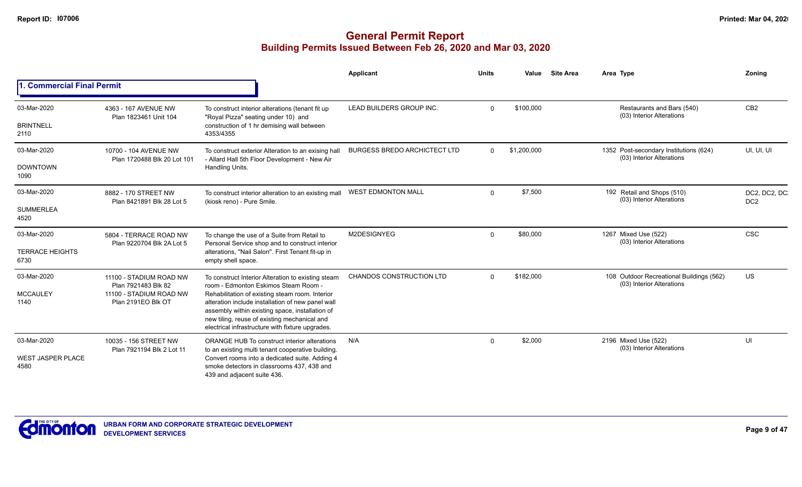|                                                 |                                                                                                 |                                                                                                                                                                                                                                                                                                                                                           | Applicant                           | <b>Units</b> | Value       | <b>Site Area</b> | Area Type                                                             | Zonina                           |
|-------------------------------------------------|-------------------------------------------------------------------------------------------------|-----------------------------------------------------------------------------------------------------------------------------------------------------------------------------------------------------------------------------------------------------------------------------------------------------------------------------------------------------------|-------------------------------------|--------------|-------------|------------------|-----------------------------------------------------------------------|----------------------------------|
| <b>Commercial Final Permit</b>                  |                                                                                                 |                                                                                                                                                                                                                                                                                                                                                           |                                     |              |             |                  |                                                                       |                                  |
| 03-Mar-2020<br><b>BRINTNELL</b><br>2110         | 4363 - 167 AVENUE NW<br>Plan 1823461 Unit 104                                                   | To construct interior alterations (tenant fit up<br>"Royal Pizza" seating under 10) and<br>construction of 1 hr demising wall between<br>4353/4355                                                                                                                                                                                                        | LEAD BUILDERS GROUP INC.            | $\Omega$     | \$100,000   |                  | Restaurants and Bars (540)<br>(03) Interior Alterations               | CB <sub>2</sub>                  |
| 03-Mar-2020<br><b>DOWNTOWN</b><br>1090          | 10700 - 104 AVENUE NW<br>Plan 1720488 Blk 20 Lot 101                                            | To construct exterior Alteration to an exising hall<br>- Allard Hall 5th Floor Development - New Air<br>Handling Units.                                                                                                                                                                                                                                   | <b>BURGESS BREDO ARCHICTECT LTD</b> | $\Omega$     | \$1,200,000 |                  | 1352 Post-secondary Institutions (624)<br>(03) Interior Alterations   | UI, UI, UI                       |
| 03-Mar-2020<br><b>SUMMERLEA</b><br>4520         | 8882 - 170 STREET NW<br>Plan 8421891 Blk 28 Lot 5                                               | To construct interior alteration to an existing mall<br>(kiosk reno) - Pure Smile.                                                                                                                                                                                                                                                                        | <b>WEST EDMONTON MALL</b>           | $\Omega$     | \$7,500     |                  | 192 Retail and Shops (510)<br>(03) Interior Alterations               | DC2, DC2, DC.<br>DC <sub>2</sub> |
| 03-Mar-2020<br><b>TERRACE HEIGHTS</b><br>6730   | 5804 - TERRACE ROAD NW<br>Plan 9220704 Blk 2A Lot 5                                             | To change the use of a Suite from Retail to<br>Personal Service shop and to construct interior<br>alterations, "Nail Salon". First Tenant fit-up in<br>empty shell space.                                                                                                                                                                                 | M2DESIGNYEG                         | $\Omega$     | \$80,000    |                  | 1267 Mixed Use (522)<br>(03) Interior Alterations                     | <b>CSC</b>                       |
| 03-Mar-2020<br><b>MCCAULEY</b><br>1140          | 11100 - STADIUM ROAD NW<br>Plan 7921483 Blk 82<br>11100 - STADIUM ROAD NW<br>Plan 2191EO Blk OT | To construct Interior Alteration to existing steam<br>room - Edmonton Eskimos Steam Room -<br>Rehabilitation of existing steam room. Interior<br>alteration include installation of new panel wall<br>assembly within existing space, installation of<br>new tiling, reuse of existing mechanical and<br>electrical infrastructure with fixture upgrades. | <b>CHANDOS CONSTRUCTION LTD</b>     | $\Omega$     | \$182,000   |                  | 108 Outdoor Recreational Buildings (562)<br>(03) Interior Alterations | US                               |
| 03-Mar-2020<br><b>WEST JASPER PLACE</b><br>4580 | 10035 - 156 STREET NW<br>Plan 7921194 Blk 2 Lot 11                                              | ORANGE HUB To construct interior alterations<br>to an existing multi tenant cooperative building.<br>Convert rooms into a dedicated suite. Adding 4<br>smoke detectors in classrooms 437, 438 and<br>439 and adjacent suite 436.                                                                                                                          | N/A                                 | $\Omega$     | \$2,000     |                  | 2196 Mixed Use (522)<br>(03) Interior Alterations                     | UI                               |

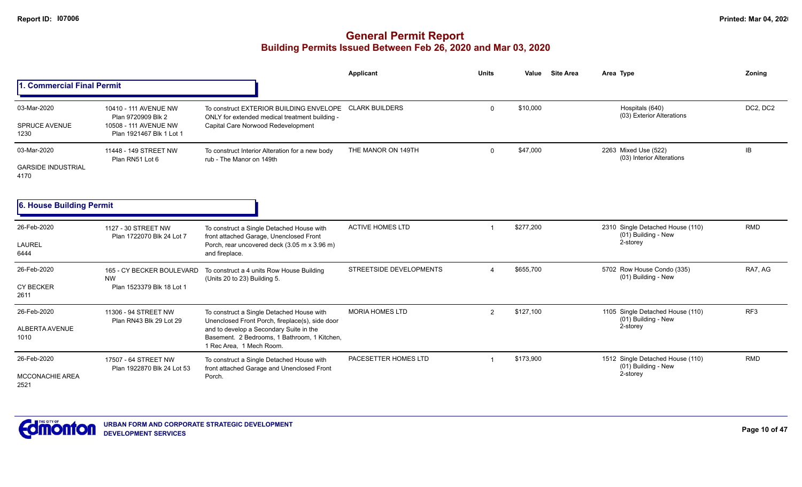# **General Permit Report Building Permits Issued Between Feb 26, 2020 and Mar 03, 2020**

|                                                  |                                                                                                  |                                                                                                                                                                                                                     | <b>Applicant</b>        | <b>Units</b>           | Value     | <b>Site Area</b> | Area Type                                                           | Zoning          |
|--------------------------------------------------|--------------------------------------------------------------------------------------------------|---------------------------------------------------------------------------------------------------------------------------------------------------------------------------------------------------------------------|-------------------------|------------------------|-----------|------------------|---------------------------------------------------------------------|-----------------|
| . Commercial Final Permit                        |                                                                                                  |                                                                                                                                                                                                                     |                         |                        |           |                  |                                                                     |                 |
| 03-Mar-2020<br><b>SPRUCE AVENUE</b><br>1230      | 10410 - 111 AVENUE NW<br>Plan 9720909 Blk 2<br>10508 - 111 AVENUE NW<br>Plan 1921467 Blk 1 Lot 1 | To construct EXTERIOR BUILDING ENVELOPE CLARK BUILDERS<br>ONLY for extended medical treatment building -<br>Capital Care Norwood Redevelopment                                                                      |                         | $\mathbf 0$            | \$10,000  |                  | Hospitals (640)<br>(03) Exterior Alterations                        | DC2, DC2        |
| 03-Mar-2020<br><b>GARSIDE INDUSTRIAL</b><br>4170 | 11448 - 149 STREET NW<br>Plan RN51 Lot 6                                                         | To construct Interior Alteration for a new body<br>rub - The Manor on 149th                                                                                                                                         | THE MANOR ON 149TH      | $\Omega$               | \$47,000  |                  | 2263 Mixed Use (522)<br>(03) Interior Alterations                   | <b>IB</b>       |
| <b>6. House Building Permit</b>                  |                                                                                                  |                                                                                                                                                                                                                     |                         |                        |           |                  |                                                                     |                 |
| 26-Feb-2020<br><b>LAUREL</b><br>6444             | 1127 - 30 STREET NW<br>Plan 1722070 Blk 24 Lot 7                                                 | To construct a Single Detached House with<br>front attached Garage, Unenclosed Front<br>Porch, rear uncovered deck (3.05 m x 3.96 m)<br>and fireplace.                                                              | <b>ACTIVE HOMES LTD</b> |                        | \$277,200 |                  | 2310 Single Detached House (110)<br>(01) Building - New<br>2-storey | <b>RMD</b>      |
| 26-Feb-2020<br><b>CY BECKER</b><br>2611          | 165 - CY BECKER BOULEVARD<br><b>NW</b><br>Plan 1523379 Blk 18 Lot 1                              | To construct a 4 units Row House Building<br>(Units 20 to 23) Building 5.                                                                                                                                           | STREETSIDE DEVELOPMENTS | $\boldsymbol{\Lambda}$ | \$655,700 |                  | 5702 Row House Condo (335)<br>(01) Building - New                   | RA7. AG         |
| 26-Feb-2020<br>ALBERTA AVENUE<br>1010            | 11306 - 94 STREET NW<br>Plan RN43 Blk 29 Lot 29                                                  | To construct a Single Detached House with<br>Unenclosed Front Porch, fireplace(s), side door<br>and to develop a Secondary Suite in the<br>Basement. 2 Bedrooms, 1 Bathroom, 1 Kitchen,<br>1 Rec Area. 1 Mech Room. | <b>MORIA HOMES LTD</b>  | $\overline{2}$         | \$127,100 |                  | 1105 Single Detached House (110)<br>(01) Building - New<br>2-storey | RF <sub>3</sub> |
| 26-Feb-2020<br><b>MCCONACHIE AREA</b><br>2521    | 17507 - 64 STREET NW<br>Plan 1922870 Blk 24 Lot 53                                               | To construct a Single Detached House with<br>front attached Garage and Unenclosed Front<br>Porch.                                                                                                                   | PACESETTER HOMES LTD    |                        | \$173,900 |                  | 1512 Single Detached House (110)<br>(01) Building - New<br>2-storey | <b>RMD</b>      |



**Page 10 of 47**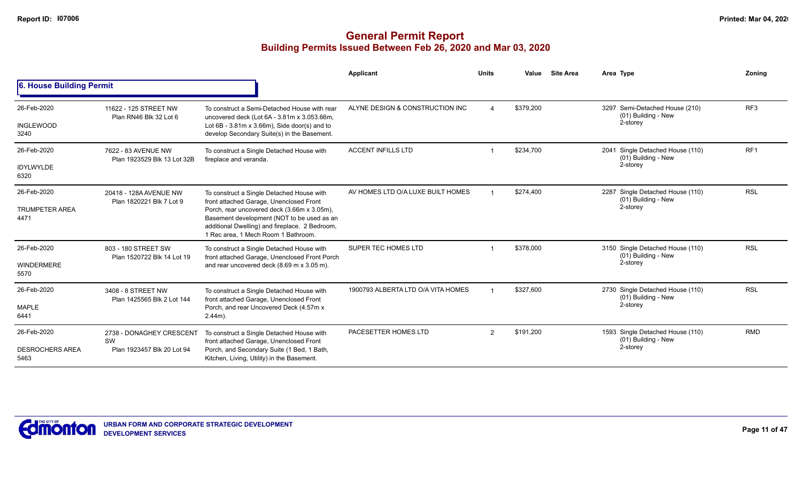|                                |                                                    |                                                                                                                                                                                    | Applicant                          | <b>Units</b> | Value     | <b>Site Area</b> | Area Type                                                  | Zoning          |
|--------------------------------|----------------------------------------------------|------------------------------------------------------------------------------------------------------------------------------------------------------------------------------------|------------------------------------|--------------|-----------|------------------|------------------------------------------------------------|-----------------|
| 6. House Building Permit       |                                                    |                                                                                                                                                                                    |                                    |              |           |                  |                                                            |                 |
| 26-Feb-2020                    | 11622 - 125 STREET NW<br>Plan RN46 Blk 32 Lot 6    | To construct a Semi-Detached House with rear<br>uncovered deck (Lot 6A - 3.81m x 3.053.66m,                                                                                        | ALYNE DESIGN & CONSTRUCTION INC    |              | \$379,200 |                  | 3297 Semi-Detached House (210)<br>(01) Building - New      | RF <sub>3</sub> |
| <b>INGLEWOOD</b><br>3240       |                                                    | Lot $6B - 3.81m \times 3.66m$ , Side door(s) and to<br>develop Secondary Suite(s) in the Basement.                                                                                 |                                    |              |           |                  | 2-storey                                                   |                 |
| 26-Feb-2020                    | 7622 - 83 AVENUE NW<br>Plan 1923529 Blk 13 Lot 32B | To construct a Single Detached House with<br>fireplace and veranda.                                                                                                                | <b>ACCENT INFILLS LTD</b>          |              | \$234,700 |                  | Single Detached House (110)<br>2041<br>(01) Building - New | RF <sub>1</sub> |
| <b>IDYLWYLDE</b><br>6320       |                                                    |                                                                                                                                                                                    |                                    |              |           |                  | 2-storey                                                   |                 |
| 26-Feb-2020                    | 20418 - 128A AVENUE NW<br>Plan 1820221 Blk 7 Lot 9 | To construct a Single Detached House with<br>front attached Garage, Unenclosed Front                                                                                               | AV HOMES LTD O/A LUXE BUILT HOMES  |              | \$274.400 |                  | 2287 Single Detached House (110)<br>(01) Building - New    | <b>RSL</b>      |
| <b>TRUMPETER AREA</b><br>4471  |                                                    | Porch, rear uncovered deck (3.66m x 3.05m),<br>Basement development (NOT to be used as an<br>additional Dwelling) and fireplace. 2 Bedroom,<br>1 Rec area, 1 Mech Room 1 Bathroom. |                                    |              |           | 2-storey         |                                                            |                 |
| 26-Feb-2020                    | 803 - 180 STREET SW<br>Plan 1520722 Blk 14 Lot 19  | To construct a Single Detached House with<br>front attached Garage, Unenclosed Front Porch                                                                                         | SUPER TEC HOMES LTD                |              | \$378,000 |                  | 3150 Single Detached House (110)<br>(01) Building - New    | <b>RSL</b>      |
| <b>WINDERMERE</b><br>5570      |                                                    | and rear uncovered deck (8.69 m x 3.05 m).                                                                                                                                         |                                    |              |           | 2-storey         |                                                            |                 |
| 26-Feb-2020                    | 3408 - 8 STREET NW                                 | To construct a Single Detached House with<br>front attached Garage, Unenclosed Front                                                                                               | 1900793 ALBERTA LTD O/A VITA HOMES |              | \$327,600 |                  | 2730 Single Detached House (110)<br>(01) Building - New    | <b>RSL</b>      |
| <b>MAPLE</b><br>6441           | Plan 1425565 Blk 2 Lot 144                         | Porch, and rear Uncovered Deck (4.57m x<br>$2.44m$ ).                                                                                                                              |                                    |              |           |                  | 2-storey                                                   |                 |
| 26-Feb-2020                    | 2738 - DONAGHEY CRESCENT<br>SW                     | To construct a Single Detached House with<br>front attached Garage, Unenclosed Front                                                                                               | PACESETTER HOMES LTD               | 2            | \$191,200 |                  | 1593 Single Detached House (110)<br>(01) Building - New    | <b>RMD</b>      |
| <b>DESROCHERS AREA</b><br>5463 | Plan 1923457 Blk 20 Lot 94                         | Porch, and Secondary Suite (1 Bed, 1 Bath,<br>Kitchen, Living, Utility) in the Basement.                                                                                           |                                    |              |           |                  | 2-storey                                                   |                 |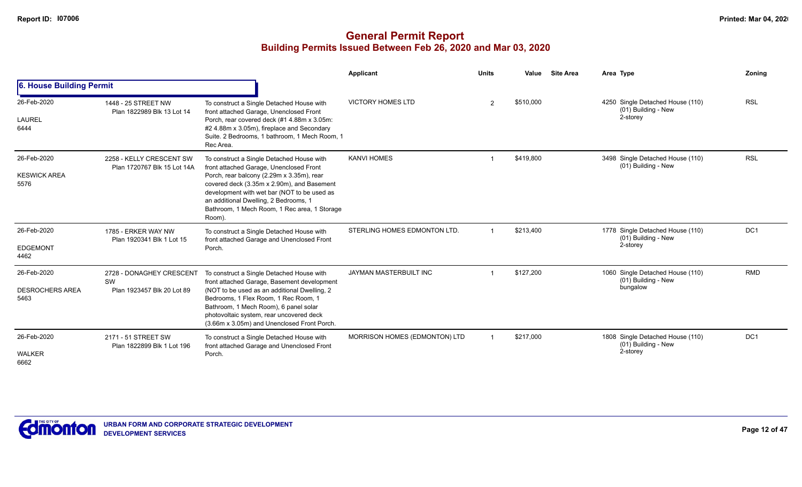|                                               |                                                              |                                                                                                                                                                                                                                                                                                                                   | Applicant                     | <b>Units</b>   | Value     | <b>Site Area</b> | Area Type                                                           | Zoning          |
|-----------------------------------------------|--------------------------------------------------------------|-----------------------------------------------------------------------------------------------------------------------------------------------------------------------------------------------------------------------------------------------------------------------------------------------------------------------------------|-------------------------------|----------------|-----------|------------------|---------------------------------------------------------------------|-----------------|
| 6. House Building Permit                      |                                                              |                                                                                                                                                                                                                                                                                                                                   |                               |                |           |                  |                                                                     |                 |
| 26-Feb-2020<br>LAUREL<br>6444                 | 1448 - 25 STREET NW<br>Plan 1822989 Blk 13 Lot 14            | To construct a Single Detached House with<br>front attached Garage, Unenclosed Front<br>Porch, rear covered deck (#1 4.88m x 3.05m:<br>#2 4.88m x 3.05m), fireplace and Secondary<br>Suite, 2 Bedrooms, 1 bathroom, 1 Mech Room, 1<br>Rec Area.                                                                                   | <b>VICTORY HOMES LTD</b>      | $\overline{2}$ | \$510,000 |                  | 4250 Single Detached House (110)<br>(01) Building - New<br>2-storey | <b>RSL</b>      |
| 26-Feb-2020<br><b>KESWICK AREA</b><br>5576    | 2258 - KELLY CRESCENT SW<br>Plan 1720767 Blk 15 Lot 14A      | To construct a Single Detached House with<br>front attached Garage, Unenclosed Front<br>Porch, rear balcony (2.29m x 3.35m), rear<br>covered deck (3.35m x 2.90m), and Basement<br>development with wet bar (NOT to be used as<br>an additional Dwelling, 2 Bedrooms, 1<br>Bathroom, 1 Mech Room, 1 Rec area, 1 Storage<br>Room). | <b>KANVI HOMES</b>            |                | \$419,800 |                  | 3498 Single Detached House (110)<br>(01) Building - New             | <b>RSL</b>      |
| 26-Feb-2020<br><b>EDGEMONT</b><br>4462        | 1785 - ERKER WAY NW<br>Plan 1920341 Blk 1 Lot 15             | To construct a Single Detached House with<br>front attached Garage and Unenclosed Front<br>Porch.                                                                                                                                                                                                                                 | STERLING HOMES EDMONTON LTD.  |                | \$213,400 |                  | 1778 Single Detached House (110)<br>(01) Building - New<br>2-storey | DC <sub>1</sub> |
| 26-Feb-2020<br><b>DESROCHERS AREA</b><br>5463 | 2728 - DONAGHEY CRESCENT<br>SW<br>Plan 1923457 Blk 20 Lot 89 | To construct a Single Detached House with<br>front attached Garage, Basement development<br>(NOT to be used as an additional Dwelling, 2<br>Bedrooms, 1 Flex Room, 1 Rec Room, 1<br>Bathroom, 1 Mech Room), 6 panel solar<br>photovoltaic system, rear uncovered deck<br>(3.66m x 3.05m) and Unenclosed Front Porch.              | <b>JAYMAN MASTERBUILT INC</b> |                | \$127.200 |                  | 1060 Single Detached House (110)<br>(01) Building - New<br>bungalow | <b>RMD</b>      |
| 26-Feb-2020<br><b>WALKER</b><br>6662          | 2171 - 51 STREET SW<br>Plan 1822899 Blk 1 Lot 196            | To construct a Single Detached House with<br>front attached Garage and Unenclosed Front<br>Porch.                                                                                                                                                                                                                                 | MORRISON HOMES (EDMONTON) LTD |                | \$217,000 |                  | 1808 Single Detached House (110)<br>(01) Building - New<br>2-storey | DC1             |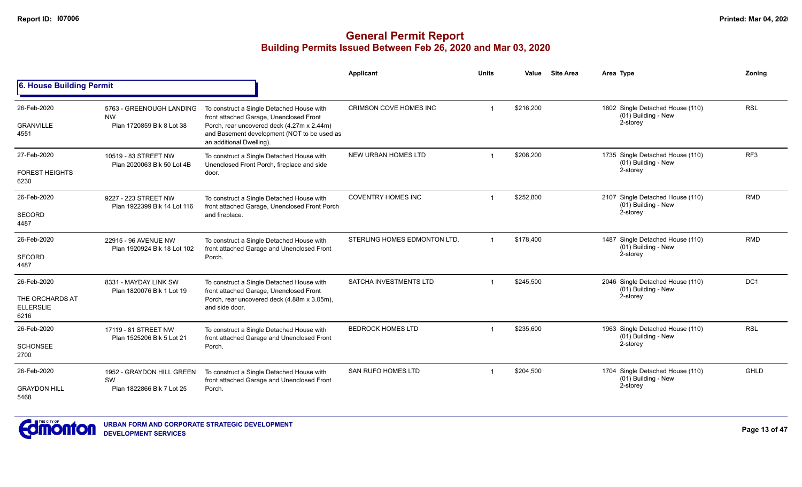|                                                            |                                                                    |                                                                                                                                                                                                               | <b>Applicant</b>              | <b>Units</b> | Value     | <b>Site Area</b> | Area Type                                                           | Zoning          |
|------------------------------------------------------------|--------------------------------------------------------------------|---------------------------------------------------------------------------------------------------------------------------------------------------------------------------------------------------------------|-------------------------------|--------------|-----------|------------------|---------------------------------------------------------------------|-----------------|
| 6. House Building Permit                                   |                                                                    |                                                                                                                                                                                                               |                               |              |           |                  |                                                                     |                 |
| 26-Feb-2020<br><b>GRANVILLE</b><br>4551                    | 5763 - GREENOUGH LANDING<br><b>NW</b><br>Plan 1720859 Blk 8 Lot 38 | To construct a Single Detached House with<br>front attached Garage, Unenclosed Front<br>Porch, rear uncovered deck (4.27m x 2.44m)<br>and Basement development (NOT to be used as<br>an additional Dwelling). | CRIMSON COVE HOMES INC        |              | \$216,200 |                  | 1802 Single Detached House (110)<br>(01) Building - New<br>2-storey | <b>RSL</b>      |
| 27-Feb-2020<br><b>FOREST HEIGHTS</b><br>6230               | 10519 - 83 STREET NW<br>Plan 2020063 Blk 50 Lot 4B                 | To construct a Single Detached House with<br>Unenclosed Front Porch, fireplace and side<br>door.                                                                                                              | NEW URBAN HOMES LTD           |              | \$208,200 |                  | 1735 Single Detached House (110)<br>(01) Building - New<br>2-storey | RF3             |
| 26-Feb-2020<br>SECORD<br>4487                              | 9227 - 223 STREET NW<br>Plan 1922399 Blk 14 Lot 116                | To construct a Single Detached House with<br>front attached Garage, Unenclosed Front Porch<br>and fireplace.                                                                                                  | <b>COVENTRY HOMES INC</b>     |              | \$252,800 |                  | 2107 Single Detached House (110)<br>(01) Building - New<br>2-storey | <b>RMD</b>      |
| 26-Feb-2020<br>SECORD<br>4487                              | 22915 - 96 AVENUE NW<br>Plan 1920924 Blk 18 Lot 102                | To construct a Single Detached House with<br>front attached Garage and Unenclosed Front<br>Porch.                                                                                                             | STERLING HOMES EDMONTON LTD.  |              | \$178,400 |                  | 1487 Single Detached House (110)<br>(01) Building - New<br>2-storey | <b>RMD</b>      |
| 26-Feb-2020<br>THE ORCHARDS AT<br><b>ELLERSLIE</b><br>6216 | 8331 - MAYDAY LINK SW<br>Plan 1820076 Blk 1 Lot 19                 | To construct a Single Detached House with<br>front attached Garage, Unenclosed Front<br>Porch, rear uncovered deck (4.88m x 3.05m),<br>and side door.                                                         | <b>SATCHA INVESTMENTS LTD</b> |              | \$245,500 |                  | 2046 Single Detached House (110)<br>(01) Building - New<br>2-storey | DC <sub>1</sub> |
| 26-Feb-2020<br><b>SCHONSEE</b><br>2700                     | 17119 - 81 STREET NW<br>Plan 1525206 Blk 5 Lot 21                  | To construct a Single Detached House with<br>front attached Garage and Unenclosed Front<br>Porch.                                                                                                             | <b>BEDROCK HOMES LTD</b>      |              | \$235,600 |                  | 1963 Single Detached House (110)<br>(01) Building - New<br>2-storey | <b>RSL</b>      |
| 26-Feb-2020<br><b>GRAYDON HILL</b><br>5468                 | 1952 - GRAYDON HILL GREEN<br>SW<br>Plan 1822866 Blk 7 Lot 25       | To construct a Single Detached House with<br>front attached Garage and Unenclosed Front<br>Porch.                                                                                                             | <b>SAN RUFO HOMES LTD</b>     |              | \$204,500 |                  | 1704 Single Detached House (110)<br>(01) Building - New<br>2-storey | <b>GHLD</b>     |

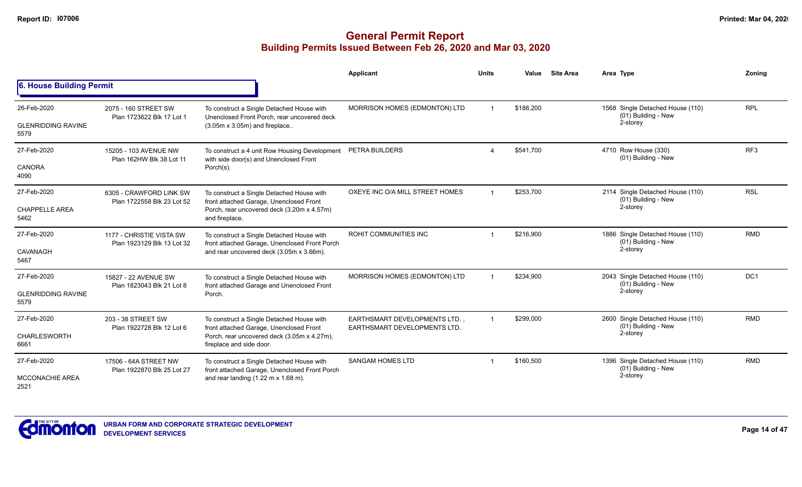|                                                  |                                                        |                                                                                                                                                                 | Applicant                                                           | <b>Units</b> | Value     | <b>Site Area</b> | Area Type                                                           | Zoning          |
|--------------------------------------------------|--------------------------------------------------------|-----------------------------------------------------------------------------------------------------------------------------------------------------------------|---------------------------------------------------------------------|--------------|-----------|------------------|---------------------------------------------------------------------|-----------------|
| 6. House Building Permit                         |                                                        |                                                                                                                                                                 |                                                                     |              |           |                  |                                                                     |                 |
| 26-Feb-2020<br><b>GLENRIDDING RAVINE</b><br>5579 | 2075 - 160 STREET SW<br>Plan 1723622 Blk 17 Lot 1      | To construct a Single Detached House with<br>Unenclosed Front Porch, rear uncovered deck<br>$(3.05m \times 3.05m)$ and fireplace                                | MORRISON HOMES (EDMONTON) LTD                                       |              | \$188,200 |                  | 1568 Single Detached House (110)<br>(01) Building - New<br>2-storey | <b>RPL</b>      |
| 27-Feb-2020<br><b>CANORA</b><br>4090             | 15205 - 103 AVENUE NW<br>Plan 162HW Blk 38 Lot 11      | To construct a 4 unit Row Housing Development<br>with side door(s) and Unenclosed Front<br>Porch(s).                                                            | PETRA BUILDERS                                                      |              | \$541,700 |                  | 4710 Row House (330)<br>(01) Building - New                         | RF <sub>3</sub> |
| 27-Feb-2020<br><b>CHAPPELLE AREA</b><br>5462     | 6305 - CRAWFORD LINK SW<br>Plan 1722558 Blk 23 Lot 52  | To construct a Single Detached House with<br>front attached Garage, Unenclosed Front<br>Porch, rear uncovered deck (3.20m x 4.57m)<br>and fireplace.            | OXEYE INC O/A MILL STREET HOMES                                     | $\mathbf 1$  | \$253,700 |                  | 2114 Single Detached House (110)<br>(01) Building - New<br>2-storey | <b>RSL</b>      |
| 27-Feb-2020<br>CAVANAGH<br>5467                  | 1177 - CHRISTIE VISTA SW<br>Plan 1923129 Blk 13 Lot 32 | To construct a Single Detached House with<br>front attached Garage, Unenclosed Front Porch<br>and rear uncovered deck (3.05m x 3.66m).                          | ROHIT COMMUNITIES INC                                               |              | \$216,900 |                  | 1886 Single Detached House (110)<br>(01) Building - New<br>2-storey | <b>RMD</b>      |
| 27-Feb-2020<br><b>GLENRIDDING RAVINE</b><br>5579 | 15827 - 22 AVENUE SW<br>Plan 1823043 Blk 21 Lot 8      | To construct a Single Detached House with<br>front attached Garage and Unenclosed Front<br>Porch.                                                               | MORRISON HOMES (EDMONTON) LTD                                       |              | \$234,900 |                  | 2043 Single Detached House (110)<br>(01) Building - New<br>2-storey | DC <sub>1</sub> |
| 27-Feb-2020<br><b>CHARLESWORTH</b><br>6661       | 203 - 38 STREET SW<br>Plan 1922728 Blk 12 Lot 6        | To construct a Single Detached House with<br>front attached Garage, Unenclosed Front<br>Porch, rear uncovered deck (3.05m x 4.27m),<br>fireplace and side door. | <b>EARTHSMART DEVELOPMENTS LTD.</b><br>EARTHSMART DEVELOPMENTS LTD. | $\mathbf{1}$ | \$299,000 |                  | 2600 Single Detached House (110)<br>(01) Building - New<br>2-storey | <b>RMD</b>      |
| 27-Feb-2020<br><b>MCCONACHIE AREA</b><br>2521    | 17506 - 64A STREET NW<br>Plan 1922870 Blk 25 Lot 27    | To construct a Single Detached House with<br>front attached Garage, Unenclosed Front Porch<br>and rear landing $(1.22 \text{ m} \times 1.68 \text{ m})$ .       | <b>SANGAM HOMES LTD</b>                                             |              | \$160.500 |                  | 1396 Single Detached House (110)<br>(01) Building - New<br>2-storey | <b>RMD</b>      |

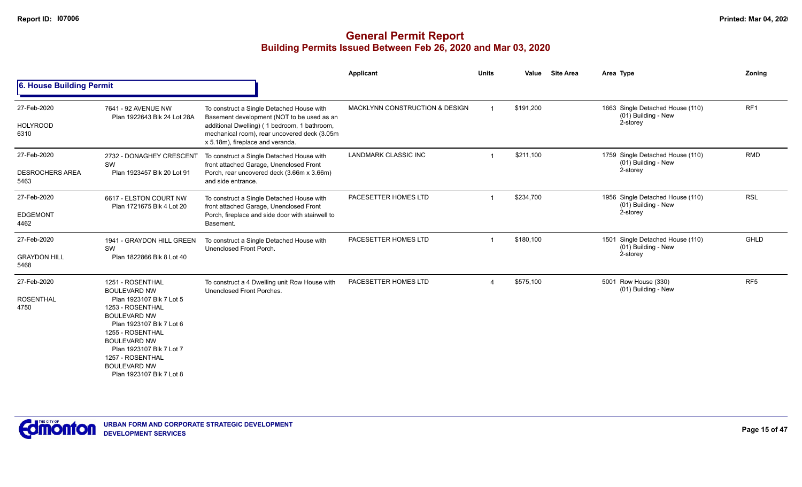|                                               |                                                                                                                                                                                                                                                                                          |                                                                                                                                                                                                                             | Applicant                      | <b>Units</b> | Value     | <b>Site Area</b> | Area Type                                                           | Zoning          |
|-----------------------------------------------|------------------------------------------------------------------------------------------------------------------------------------------------------------------------------------------------------------------------------------------------------------------------------------------|-----------------------------------------------------------------------------------------------------------------------------------------------------------------------------------------------------------------------------|--------------------------------|--------------|-----------|------------------|---------------------------------------------------------------------|-----------------|
| 6. House Building Permit                      |                                                                                                                                                                                                                                                                                          |                                                                                                                                                                                                                             |                                |              |           |                  |                                                                     |                 |
| 27-Feb-2020<br><b>HOLYROOD</b><br>6310        | 7641 - 92 AVENUE NW<br>Plan 1922643 Blk 24 Lot 28A                                                                                                                                                                                                                                       | To construct a Single Detached House with<br>Basement development (NOT to be used as an<br>additional Dwelling) (1 bedroom, 1 bathroom,<br>mechanical room), rear uncovered deck (3.05m<br>x 5.18m), fireplace and veranda. | MACKLYNN CONSTRUCTION & DESIGN |              | \$191,200 |                  | 1663 Single Detached House (110)<br>(01) Building - New<br>2-storey | RF1             |
| 27-Feb-2020<br><b>DESROCHERS AREA</b><br>5463 | 2732 - DONAGHEY CRESCENT<br>SW<br>Plan 1923457 Blk 20 Lot 91                                                                                                                                                                                                                             | To construct a Single Detached House with<br>front attached Garage, Unenclosed Front<br>Porch, rear uncovered deck (3.66m x 3.66m)<br>and side entrance.                                                                    | <b>LANDMARK CLASSIC INC</b>    |              | \$211,100 |                  | 1759 Single Detached House (110)<br>(01) Building - New<br>2-storey | <b>RMD</b>      |
| 27-Feb-2020<br><b>EDGEMONT</b><br>4462        | 6617 - ELSTON COURT NW<br>Plan 1721675 Blk 4 Lot 20                                                                                                                                                                                                                                      | To construct a Single Detached House with<br>front attached Garage, Unenclosed Front<br>Porch, fireplace and side door with stairwell to<br>Basement.                                                                       | PACESETTER HOMES LTD           |              | \$234,700 |                  | 1956 Single Detached House (110)<br>(01) Building - New<br>2-storey | <b>RSL</b>      |
| 27-Feb-2020<br><b>GRAYDON HILL</b><br>5468    | 1941 - GRAYDON HILL GREEN<br>SW<br>Plan 1822866 Blk 8 Lot 40                                                                                                                                                                                                                             | To construct a Single Detached House with<br>Unenclosed Front Porch.                                                                                                                                                        | PACESETTER HOMES LTD           |              | \$180,100 |                  | 1501 Single Detached House (110)<br>(01) Building - New<br>2-storey | GHLD            |
| 27-Feb-2020<br><b>ROSENTHAL</b><br>4750       | 1251 - ROSENTHAL<br><b>BOULEVARD NW</b><br>Plan 1923107 Blk 7 Lot 5<br>1253 - ROSENTHAL<br><b>BOULEVARD NW</b><br>Plan 1923107 Blk 7 Lot 6<br>1255 - ROSENTHAL<br><b>BOULEVARD NW</b><br>Plan 1923107 Blk 7 Lot 7<br>1257 - ROSENTHAL<br><b>BOULEVARD NW</b><br>Plan 1923107 Blk 7 Lot 8 | To construct a 4 Dwelling unit Row House with<br>Unenclosed Front Porches.                                                                                                                                                  | PACESETTER HOMES LTD           |              | \$575,100 |                  | 5001 Row House (330)<br>(01) Building - New                         | RF <sub>5</sub> |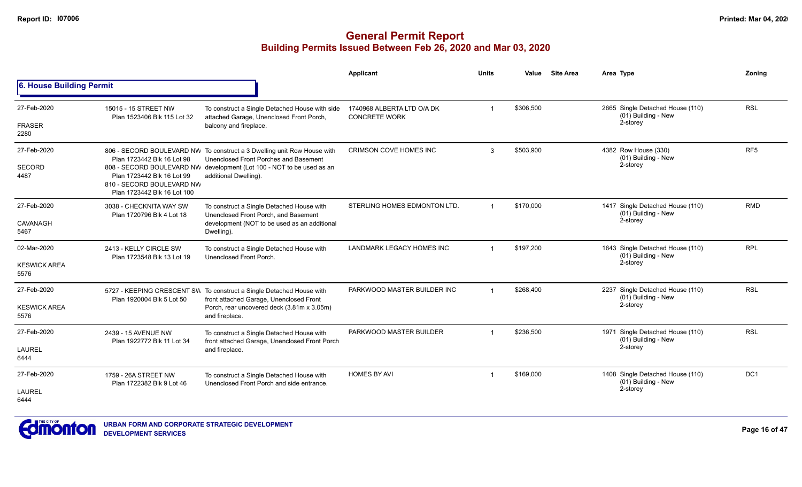|                             |                                                                                        |                                                                                                                  | Applicant                                          | <b>Units</b>   | Value     | <b>Site Area</b> | Area Type                                               | Zoning          |
|-----------------------------|----------------------------------------------------------------------------------------|------------------------------------------------------------------------------------------------------------------|----------------------------------------------------|----------------|-----------|------------------|---------------------------------------------------------|-----------------|
| 6. House Building Permit    |                                                                                        |                                                                                                                  |                                                    |                |           |                  |                                                         |                 |
| 27-Feb-2020                 | 15015 - 15 STREET NW<br>Plan 1523406 Blk 115 Lot 32                                    | To construct a Single Detached House with side<br>attached Garage, Unenclosed Front Porch,                       | 1740968 ALBERTA LTD O/A DK<br><b>CONCRETE WORK</b> | $\mathbf{1}$   | \$306,500 |                  | 2665 Single Detached House (110)<br>(01) Building - New | <b>RSL</b>      |
| <b>FRASER</b><br>2280       |                                                                                        | balcony and fireplace.                                                                                           |                                                    |                |           |                  | 2-storey                                                |                 |
| 27-Feb-2020                 | Plan 1723442 Blk 16 Lot 98                                                             | 806 - SECORD BOULEVARD NW To construct a 3 Dwelling unit Row House with<br>Unenclosed Front Porches and Basement | <b>CRIMSON COVE HOMES INC</b>                      | 3              | \$503,900 |                  | 4382 Row House (330)<br>(01) Building - New             | RF <sub>5</sub> |
| <b>SECORD</b><br>4487       | Plan 1723442 Blk 16 Lot 99<br>810 - SECORD BOULEVARD NW<br>Plan 1723442 Blk 16 Lot 100 | 808 - SECORD BOULEVARD NW development (Lot 100 - NOT to be used as an<br>additional Dwelling).                   |                                                    |                |           |                  | 2-storey                                                |                 |
| 27-Feb-2020                 | 3038 - CHECKNITA WAY SW<br>Plan 1720796 Blk 4 Lot 18                                   | To construct a Single Detached House with<br>Unenclosed Front Porch, and Basement                                | STERLING HOMES EDMONTON LTD.                       | $\overline{1}$ | \$170.000 |                  | 1417 Single Detached House (110)<br>(01) Building - New | <b>RMD</b>      |
| CAVANAGH<br>5467            |                                                                                        | development (NOT to be used as an additional<br>Dwelling).                                                       |                                                    |                |           |                  | 2-storey                                                |                 |
| 02-Mar-2020                 | 2413 - KELLY CIRCLE SW<br>Plan 1723548 Blk 13 Lot 19                                   | To construct a Single Detached House with<br>Unenclosed Front Porch.                                             | <b>LANDMARK LEGACY HOMES INC</b>                   | $\overline{1}$ | \$197,200 |                  | 1643 Single Detached House (110)<br>(01) Building - New | <b>RPL</b>      |
| <b>KESWICK AREA</b><br>5576 |                                                                                        |                                                                                                                  |                                                    |                |           | 2-storey         |                                                         |                 |
| 27-Feb-2020                 | Plan 1920004 Blk 5 Lot 50                                                              | 5727 - KEEPING CRESCENT SW To construct a Single Detached House with<br>front attached Garage, Unenclosed Front  | PARKWOOD MASTER BUILDER INC                        |                | \$268,400 |                  | 2237 Single Detached House (110)<br>(01) Building - New | <b>RSL</b>      |
| <b>KESWICK AREA</b><br>5576 |                                                                                        | Porch, rear uncovered deck (3.81m x 3.05m)<br>and fireplace.                                                     |                                                    |                |           |                  | 2-storey                                                |                 |
| 27-Feb-2020                 | 2439 - 15 AVENUE NW<br>Plan 1922772 Blk 11 Lot 34                                      | To construct a Single Detached House with<br>front attached Garage, Unenclosed Front Porch                       | PARKWOOD MASTER BUILDER                            |                | \$236.500 |                  | 1971 Single Detached House (110)<br>(01) Building - New | <b>RSL</b>      |
| <b>LAUREL</b><br>6444       |                                                                                        | and fireplace.                                                                                                   |                                                    |                |           |                  | 2-storey                                                |                 |
| 27-Feb-2020                 | 1759 - 26A STREET NW<br>Plan 1722382 Blk 9 Lot 46                                      | To construct a Single Detached House with<br>Unenclosed Front Porch and side entrance.                           | <b>HOMES BY AVI</b>                                | $\mathbf 1$    | \$169,000 |                  | 1408 Single Detached House (110)<br>(01) Building - New | DC <sub>1</sub> |
| LAUREL<br>6444              |                                                                                        |                                                                                                                  |                                                    |                |           |                  | 2-storey                                                |                 |

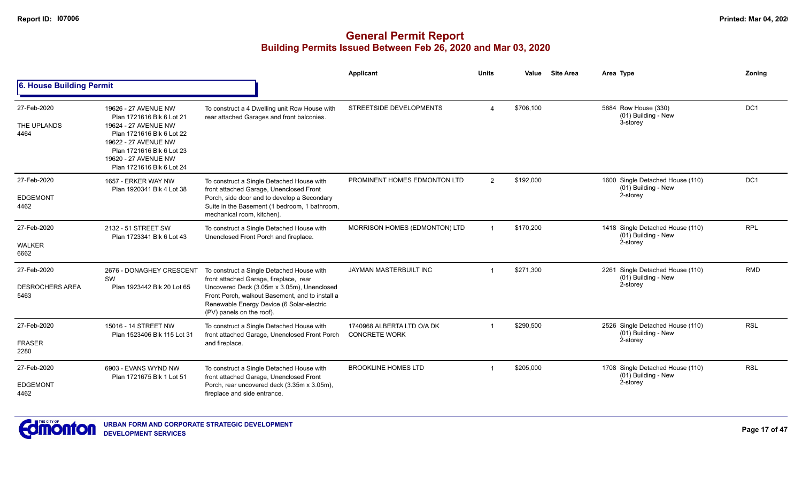|                                               |                                                                                                                                                                                                                  |                                                                                                                                                                                                                                                                | Applicant                                          | <b>Units</b>   | Value     | <b>Site Area</b> | Area Type                                                           | Zoning          |
|-----------------------------------------------|------------------------------------------------------------------------------------------------------------------------------------------------------------------------------------------------------------------|----------------------------------------------------------------------------------------------------------------------------------------------------------------------------------------------------------------------------------------------------------------|----------------------------------------------------|----------------|-----------|------------------|---------------------------------------------------------------------|-----------------|
| 6. House Building Permit                      |                                                                                                                                                                                                                  |                                                                                                                                                                                                                                                                |                                                    |                |           |                  |                                                                     |                 |
| 27-Feb-2020<br>THE UPLANDS<br>4464            | 19626 - 27 AVENUE NW<br>Plan 1721616 Blk 6 Lot 21<br>19624 - 27 AVENUE NW<br>Plan 1721616 Blk 6 Lot 22<br>19622 - 27 AVENUE NW<br>Plan 1721616 Blk 6 Lot 23<br>19620 - 27 AVENUE NW<br>Plan 1721616 Blk 6 Lot 24 | To construct a 4 Dwelling unit Row House with<br>rear attached Garages and front balconies.                                                                                                                                                                    | STREETSIDE DEVELOPMENTS                            | $\overline{a}$ | \$706,100 |                  | 5884 Row House (330)<br>(01) Building - New<br>3-storey             | DC <sub>1</sub> |
| 27-Feb-2020<br><b>EDGEMONT</b><br>4462        | 1657 - ERKER WAY NW<br>Plan 1920341 Blk 4 Lot 38                                                                                                                                                                 | To construct a Single Detached House with<br>front attached Garage, Unenclosed Front<br>Porch, side door and to develop a Secondary<br>Suite in the Basement (1 bedroom, 1 bathroom,<br>mechanical room, kitchen).                                             | PROMINENT HOMES EDMONTON LTD                       | $\overline{2}$ | \$192,000 |                  | 1600 Single Detached House (110)<br>(01) Building - New<br>2-storey | DC <sub>1</sub> |
| 27-Feb-2020<br><b>WALKER</b><br>6662          | 2132 - 51 STREET SW<br>Plan 1723341 Blk 6 Lot 43                                                                                                                                                                 | To construct a Single Detached House with<br>Unenclosed Front Porch and fireplace.                                                                                                                                                                             | MORRISON HOMES (EDMONTON) LTD                      |                | \$170,200 |                  | 1418 Single Detached House (110)<br>(01) Building - New<br>2-storey | <b>RPL</b>      |
| 27-Feb-2020<br><b>DESROCHERS AREA</b><br>5463 | 2676 - DONAGHEY CRESCENT<br>SW<br>Plan 1923442 Blk 20 Lot 65                                                                                                                                                     | To construct a Single Detached House with<br>front attached Garage, fireplace, rear<br>Uncovered Deck (3.05m x 3.05m), Unenclosed<br>Front Porch, walkout Basement, and to install a<br>Renewable Energy Device (6 Solar-electric<br>(PV) panels on the roof). | JAYMAN MASTERBUILT INC                             |                | \$271,300 |                  | 2261 Single Detached House (110)<br>(01) Building - New<br>2-storey | <b>RMD</b>      |
| 27-Feb-2020<br><b>FRASER</b><br>2280          | 15016 - 14 STREET NW<br>Plan 1523406 Blk 115 Lot 31                                                                                                                                                              | To construct a Single Detached House with<br>front attached Garage, Unenclosed Front Porch<br>and fireplace.                                                                                                                                                   | 1740968 ALBERTA LTD O/A DK<br><b>CONCRETE WORK</b> |                | \$290.500 |                  | 2526 Single Detached House (110)<br>(01) Building - New<br>2-storey | <b>RSL</b>      |
| 27-Feb-2020<br><b>EDGEMONT</b><br>4462        | 6903 - EVANS WYND NW<br>Plan 1721675 Blk 1 Lot 51                                                                                                                                                                | To construct a Single Detached House with<br>front attached Garage, Unenclosed Front<br>Porch, rear uncovered deck (3.35m x 3.05m),<br>fireplace and side entrance.                                                                                            | <b>BROOKLINE HOMES LTD</b>                         |                | \$205,000 |                  | 1708 Single Detached House (110)<br>(01) Building - New<br>2-storey | <b>RSL</b>      |

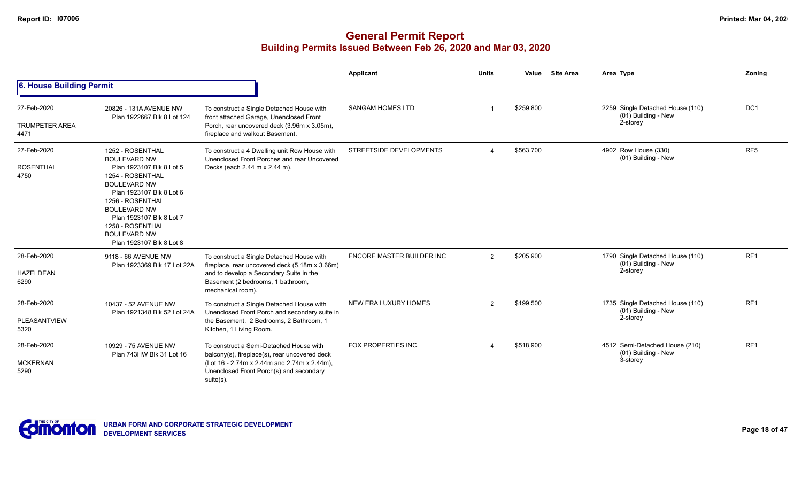|                                              |                                                                                                                                                                                                                                                                                          |                                                                                                                                                                                                  | Applicant                   | <b>Units</b>   | Value     | <b>Site Area</b> | Area Type                                                           | Zoning          |
|----------------------------------------------|------------------------------------------------------------------------------------------------------------------------------------------------------------------------------------------------------------------------------------------------------------------------------------------|--------------------------------------------------------------------------------------------------------------------------------------------------------------------------------------------------|-----------------------------|----------------|-----------|------------------|---------------------------------------------------------------------|-----------------|
| 6. House Building Permit                     |                                                                                                                                                                                                                                                                                          |                                                                                                                                                                                                  |                             |                |           |                  |                                                                     |                 |
| 27-Feb-2020<br><b>TRUMPETER AREA</b><br>4471 | 20826 - 131A AVENUE NW<br>Plan 1922667 Blk 8 Lot 124                                                                                                                                                                                                                                     | To construct a Single Detached House with<br>front attached Garage, Unenclosed Front<br>Porch, rear uncovered deck (3.96m x 3.05m),<br>fireplace and walkout Basement.                           | <b>SANGAM HOMES LTD</b>     | -1             | \$259,800 |                  | 2259 Single Detached House (110)<br>(01) Building - New<br>2-storey | DC <sub>1</sub> |
| 27-Feb-2020<br><b>ROSENTHAL</b><br>4750      | 1252 - ROSENTHAL<br><b>BOULEVARD NW</b><br>Plan 1923107 Blk 8 Lot 5<br>1254 - ROSENTHAL<br><b>BOULEVARD NW</b><br>Plan 1923107 Blk 8 Lot 6<br>1256 - ROSENTHAL<br><b>BOULEVARD NW</b><br>Plan 1923107 Blk 8 Lot 7<br>1258 - ROSENTHAL<br><b>BOULEVARD NW</b><br>Plan 1923107 Blk 8 Lot 8 | To construct a 4 Dwelling unit Row House with<br>Unenclosed Front Porches and rear Uncovered<br>Decks (each 2.44 m x 2.44 m).                                                                    | STREETSIDE DEVELOPMENTS     | $\Delta$       | \$563,700 |                  | 4902 Row House (330)<br>(01) Building - New                         | RF <sub>5</sub> |
| 28-Feb-2020<br><b>HAZELDEAN</b><br>6290      | 9118 - 66 AVENUE NW<br>Plan 1923369 Blk 17 Lot 22A                                                                                                                                                                                                                                       | To construct a Single Detached House with<br>fireplace, rear uncovered deck (5.18m x 3.66m)<br>and to develop a Secondary Suite in the<br>Basement (2 bedrooms, 1 bathroom,<br>mechanical room). | ENCORE MASTER BUILDER INC   | $\overline{2}$ | \$205,900 |                  | 1790 Single Detached House (110)<br>(01) Building - New<br>2-storey | RF <sub>1</sub> |
| 28-Feb-2020<br>PLEASANTVIEW<br>5320          | 10437 - 52 AVENUE NW<br>Plan 1921348 Blk 52 Lot 24A                                                                                                                                                                                                                                      | To construct a Single Detached House with<br>Unenclosed Front Porch and secondary suite in<br>the Basement. 2 Bedrooms, 2 Bathroom, 1<br>Kitchen, 1 Living Room.                                 | <b>NEW ERA LUXURY HOMES</b> | $\overline{2}$ | \$199,500 |                  | 1735 Single Detached House (110)<br>(01) Building - New<br>2-storey | RF <sub>1</sub> |
| 28-Feb-2020<br><b>MCKERNAN</b><br>5290       | 10929 - 75 AVENUE NW<br>Plan 743HW Blk 31 Lot 16                                                                                                                                                                                                                                         | To construct a Semi-Detached House with<br>balcony(s), fireplace(s), rear uncovered deck<br>(Lot 16 - 2.74m x 2.44m and 2.74m x 2.44m),<br>Unenclosed Front Porch(s) and secondary<br>suite(s).  | FOX PROPERTIES INC.         | $\Delta$       | \$518,900 |                  | 4512 Semi-Detached House (210)<br>(01) Building - New<br>3-storey   | RF <sub>1</sub> |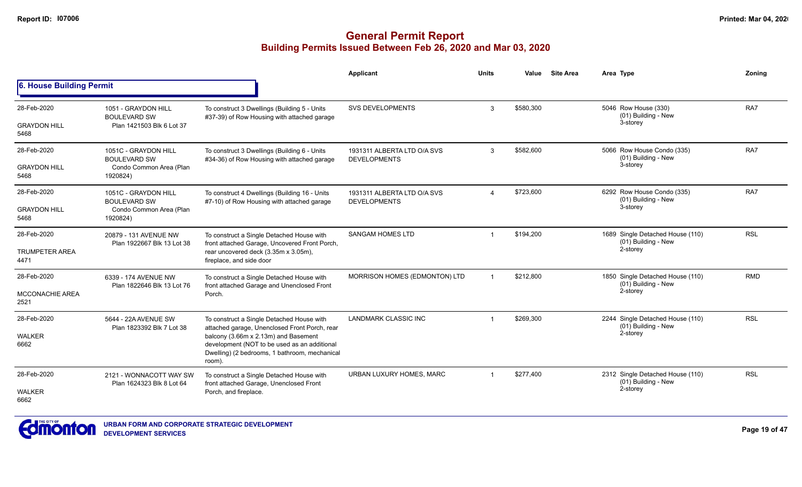|                                 |                                                      |                                                                                                                                                 | Applicant                                          | <b>Units</b>   | Value                                             | <b>Site Area</b>                 | Area Type                                               | Zonina     |
|---------------------------------|------------------------------------------------------|-------------------------------------------------------------------------------------------------------------------------------------------------|----------------------------------------------------|----------------|---------------------------------------------------|----------------------------------|---------------------------------------------------------|------------|
| <b>6. House Building Permit</b> |                                                      |                                                                                                                                                 |                                                    |                |                                                   |                                  |                                                         |            |
| 28-Feb-2020                     | 1051 - GRAYDON HILL<br><b>BOULEVARD SW</b>           | To construct 3 Dwellings (Building 5 - Units                                                                                                    | <b>SVS DEVELOPMENTS</b>                            | 3              | \$580,300                                         |                                  | 5046 Row House (330)<br>(01) Building - New             | RA7        |
| <b>GRAYDON HILL</b><br>5468     | Plan 1421503 Blk 6 Lot 37                            | #37-39) of Row Housing with attached garage                                                                                                     |                                                    |                |                                                   |                                  | 3-storey                                                |            |
| 28-Feb-2020                     | 1051C - GRAYDON HILL<br><b>BOULEVARD SW</b>          | To construct 3 Dwellings (Building 6 - Units<br>#34-36) of Row Housing with attached garage                                                     | 1931311 ALBERTA LTD O/A SVS<br><b>DEVELOPMENTS</b> | \$582,600<br>3 | 5066 Row House Condo (335)<br>(01) Building - New | RA7                              |                                                         |            |
| <b>GRAYDON HILL</b><br>5468     | Condo Common Area (Plan<br>1920824)                  |                                                                                                                                                 |                                                    |                |                                                   |                                  | 3-storey                                                |            |
| 28-Feb-2020                     | 1051C - GRAYDON HILL<br><b>BOULEVARD SW</b>          | To construct 4 Dwellings (Building 16 - Units<br>#7-10) of Row Housing with attached garage                                                     | 1931311 ALBERTA LTD O/A SVS<br><b>DEVELOPMENTS</b> |                | \$723,600                                         |                                  | 6292 Row House Condo (335)<br>(01) Building - New       | RA7        |
| <b>GRAYDON HILL</b><br>5468     | Condo Common Area (Plan<br>1920824)                  |                                                                                                                                                 |                                                    |                |                                                   | 3-storey                         |                                                         |            |
| 28-Feb-2020                     | 20879 - 131 AVENUE NW<br>Plan 1922667 Blk 13 Lot 38  | To construct a Single Detached House with<br>front attached Garage, Uncovered Front Porch,                                                      | <b>SANGAM HOMES LTD</b>                            |                | \$194,200                                         |                                  | 1689 Single Detached House (110)<br>(01) Building - New | <b>RSL</b> |
| <b>TRUMPETER AREA</b><br>4471   |                                                      | rear uncovered deck (3.35m x 3.05m),<br>fireplace, and side door                                                                                |                                                    |                |                                                   |                                  | 2-storey                                                |            |
| 28-Feb-2020                     | 6339 - 174 AVENUE NW<br>Plan 1822646 Blk 13 Lot 76   | To construct a Single Detached House with<br>front attached Garage and Unenclosed Front                                                         | MORRISON HOMES (EDMONTON) LTD                      |                | \$212.800<br>(01) Building - New<br>2-storey      | 1850 Single Detached House (110) | <b>RMD</b>                                              |            |
| <b>MCCONACHIE AREA</b><br>2521  |                                                      | Porch.                                                                                                                                          |                                                    |                |                                                   |                                  |                                                         |            |
| 28-Feb-2020                     | 5644 - 22A AVENUE SW                                 | To construct a Single Detached House with<br>attached garage, Unenclosed Front Porch, rear                                                      | <b>LANDMARK CLASSIC INC</b>                        |                | \$269,300                                         |                                  | 2244 Single Detached House (110)<br>(01) Building - New | <b>RSL</b> |
| <b>WALKER</b><br>6662           | Plan 1823392 Blk 7 Lot 38                            | balcony (3.66m x 2.13m) and Basement<br>development (NOT to be used as an additional<br>Dwelling) (2 bedrooms, 1 bathroom, mechanical<br>room). |                                                    |                |                                                   | 2-storey                         |                                                         |            |
| 28-Feb-2020                     | 2121 - WONNACOTT WAY SW<br>Plan 1624323 Blk 8 Lot 64 | To construct a Single Detached House with<br>front attached Garage, Unenclosed Front                                                            | URBAN LUXURY HOMES, MARC                           |                | \$277,400                                         |                                  | 2312 Single Detached House (110)<br>(01) Building - New | <b>RSL</b> |
| <b>WALKER</b><br>6662           |                                                      | Porch, and fireplace.                                                                                                                           |                                                    |                |                                                   |                                  | 2-storey                                                |            |

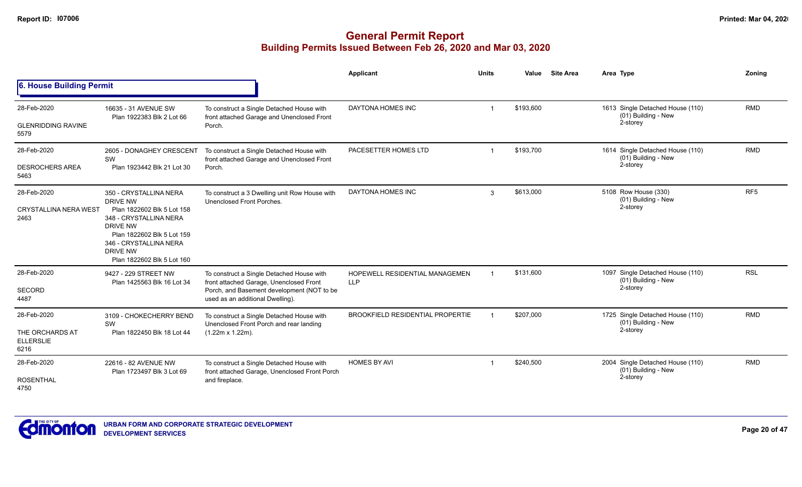|                                                            |                                                                                                                                                                                                          |                                                                                                                                                                        | Applicant                                                                                                                                                                                                                                                                                                      | <b>Units</b> | Value     | <b>Site Area</b> | Area Type                                                           | Zoning          |
|------------------------------------------------------------|----------------------------------------------------------------------------------------------------------------------------------------------------------------------------------------------------------|------------------------------------------------------------------------------------------------------------------------------------------------------------------------|----------------------------------------------------------------------------------------------------------------------------------------------------------------------------------------------------------------------------------------------------------------------------------------------------------------|--------------|-----------|------------------|---------------------------------------------------------------------|-----------------|
| 6. House Building Permit                                   |                                                                                                                                                                                                          |                                                                                                                                                                        | 1613 Single Detached House (110)<br>DAYTONA HOMES INC<br>\$193,600<br>(01) Building - New<br>2-storey<br>PACESETTER HOMES LTD<br>\$193,700<br>1614 Single Detached House (110)<br>(01) Building - New<br>2-storey<br><b>DAYTONA HOMES INC</b><br>\$613,000<br>5108 Row House (330)<br>3<br>(01) Building - New |              |           |                  |                                                                     |                 |
| 28-Feb-2020<br><b>GLENRIDDING RAVINE</b><br>5579           | 16635 - 31 AVENUE SW<br>Plan 1922383 Blk 2 Lot 66                                                                                                                                                        | To construct a Single Detached House with<br>front attached Garage and Unenclosed Front<br>Porch.                                                                      |                                                                                                                                                                                                                                                                                                                |              |           |                  |                                                                     | <b>RMD</b>      |
| 28-Feb-2020<br><b>DESROCHERS AREA</b><br>5463              | 2605 - DONAGHEY CRESCENT<br>SW<br>Plan 1923442 Blk 21 Lot 30                                                                                                                                             | To construct a Single Detached House with<br>front attached Garage and Unenclosed Front<br>Porch.                                                                      |                                                                                                                                                                                                                                                                                                                |              |           |                  |                                                                     | <b>RMD</b>      |
| 28-Feb-2020<br><b>CRYSTALLINA NERA WEST</b><br>2463        | 350 - CRYSTALLINA NERA<br>DRIVE NW<br>Plan 1822602 Blk 5 Lot 158<br>348 - CRYSTALLINA NERA<br>DRIVE NW<br>Plan 1822602 Blk 5 Lot 159<br>346 - CRYSTALLINA NERA<br>DRIVE NW<br>Plan 1822602 Blk 5 Lot 160 | To construct a 3 Dwelling unit Row House with<br>Unenclosed Front Porches.                                                                                             |                                                                                                                                                                                                                                                                                                                |              |           |                  | 2-storey                                                            | RF <sub>5</sub> |
| 28-Feb-2020<br><b>SECORD</b><br>4487                       | 9427 - 229 STREET NW<br>Plan 1425563 Blk 16 Lot 34                                                                                                                                                       | To construct a Single Detached House with<br>front attached Garage, Unenclosed Front<br>Porch, and Basement development (NOT to be<br>used as an additional Dwelling). | <b>HOPEWELL RESIDENTIAL MANAGEMEN</b><br><b>LLP</b>                                                                                                                                                                                                                                                            |              | \$131,600 |                  | 1097 Single Detached House (110)<br>(01) Building - New<br>2-storey | <b>RSL</b>      |
| 28-Feb-2020<br>THE ORCHARDS AT<br><b>ELLERSLIE</b><br>6216 | 3109 - CHOKECHERRY BEND<br>SW<br>Plan 1822450 Blk 18 Lot 44                                                                                                                                              | To construct a Single Detached House with<br>Unenclosed Front Porch and rear landing<br>$(1.22m \times 1.22m)$ .                                                       | <b>BROOKFIELD RESIDENTIAL PROPERTIE</b>                                                                                                                                                                                                                                                                        |              | \$207,000 |                  | 1725 Single Detached House (110)<br>(01) Building - New<br>2-storey | <b>RMD</b>      |
| 28-Feb-2020<br><b>ROSENTHAL</b><br>4750                    | 22616 - 82 AVENUE NW<br>Plan 1723497 Blk 3 Lot 69                                                                                                                                                        | To construct a Single Detached House with<br>front attached Garage, Unenclosed Front Porch<br>and fireplace.                                                           | <b>HOMES BY AVI</b>                                                                                                                                                                                                                                                                                            |              | \$240,500 |                  | 2004 Single Detached House (110)<br>(01) Building - New<br>2-storey | <b>RMD</b>      |

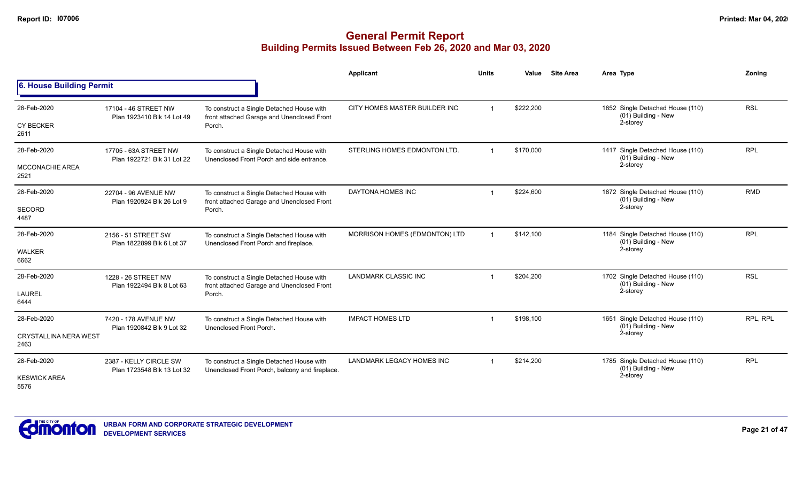|                                                     |                                                      |                                                                                                   | Applicant                     | <b>Units</b>            | Value     | <b>Site Area</b> | Area Type                                                              | Zonina     |
|-----------------------------------------------------|------------------------------------------------------|---------------------------------------------------------------------------------------------------|-------------------------------|-------------------------|-----------|------------------|------------------------------------------------------------------------|------------|
| 6. House Building Permit                            |                                                      |                                                                                                   |                               |                         |           |                  |                                                                        |            |
| 28-Feb-2020<br><b>CY BECKER</b><br>2611             | 17104 - 46 STREET NW<br>Plan 1923410 Blk 14 Lot 49   | To construct a Single Detached House with<br>front attached Garage and Unenclosed Front<br>Porch. | CITY HOMES MASTER BUILDER INC |                         | \$222,200 |                  | 1852 Single Detached House (110)<br>(01) Building - New<br>2-storey    | <b>RSL</b> |
| 28-Feb-2020<br>MCCONACHIE AREA<br>2521              | 17705 - 63A STREET NW<br>Plan 1922721 Blk 31 Lot 22  | To construct a Single Detached House with<br>Unenclosed Front Porch and side entrance.            | STERLING HOMES EDMONTON LTD.  |                         | \$170,000 |                  | 1417 Single Detached House (110)<br>(01) Building - New<br>2-storey    | <b>RPL</b> |
| 28-Feb-2020<br>SECORD<br>4487                       | 22704 - 96 AVENUE NW<br>Plan 1920924 Blk 26 Lot 9    | To construct a Single Detached House with<br>front attached Garage and Unenclosed Front<br>Porch. | DAYTONA HOMES INC             |                         | \$224,600 |                  | 1872 Single Detached House (110)<br>(01) Building - New<br>2-storey    | <b>RMD</b> |
| 28-Feb-2020<br><b>WALKER</b><br>6662                | 2156 - 51 STREET SW<br>Plan 1822899 Blk 6 Lot 37     | To construct a Single Detached House with<br>Unenclosed Front Porch and fireplace.                | MORRISON HOMES (EDMONTON) LTD |                         | \$142,100 |                  | 1184 Single Detached House (110)<br>(01) Building - New<br>2-storey    | <b>RPL</b> |
| 28-Feb-2020<br>LAUREL<br>6444                       | 1228 - 26 STREET NW<br>Plan 1922494 Blk 8 Lot 63     | To construct a Single Detached House with<br>front attached Garage and Unenclosed Front<br>Porch. | LANDMARK CLASSIC INC          |                         | \$204,200 |                  | 1702 Single Detached House (110)<br>(01) Building - New<br>2-storey    | <b>RSL</b> |
| 28-Feb-2020<br><b>CRYSTALLINA NERA WEST</b><br>2463 | 7420 - 178 AVENUE NW<br>Plan 1920842 Blk 9 Lot 32    | To construct a Single Detached House with<br>Unenclosed Front Porch.                              | <b>IMPACT HOMES LTD</b>       |                         | \$198,100 |                  | Single Detached House (110)<br>1651<br>(01) Building - New<br>2-storey | RPL, RPL   |
| 28-Feb-2020<br><b>KESWICK AREA</b><br>5576          | 2387 - KELLY CIRCLE SW<br>Plan 1723548 Blk 13 Lot 32 | To construct a Single Detached House with<br>Unenclosed Front Porch, balcony and fireplace.       | LANDMARK LEGACY HOMES INC     | $\overline{\mathbf{1}}$ | \$214,200 |                  | 1785 Single Detached House (110)<br>(01) Building - New<br>2-storey    | <b>RPL</b> |

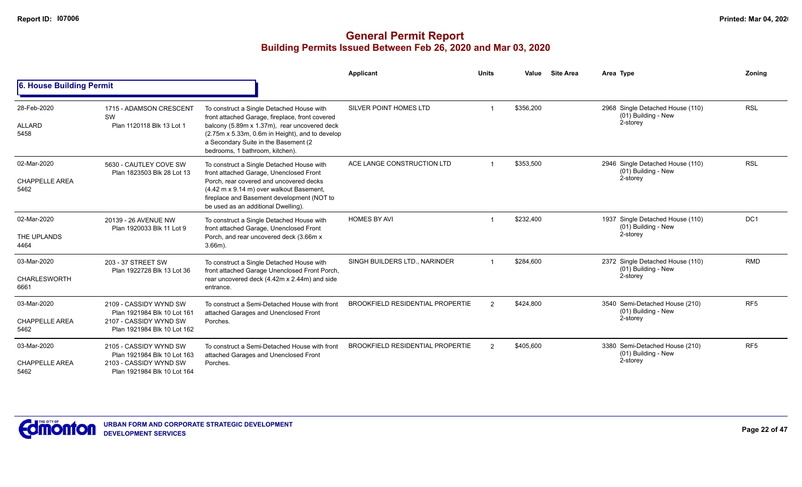|                                              |                                                                                                                |                                                                                                                                                                                                                                                                            | <b>Applicant</b>                        | <b>Units</b>   | Value     | <b>Site Area</b> | Area Type                                                           | Zoning                                                                              |
|----------------------------------------------|----------------------------------------------------------------------------------------------------------------|----------------------------------------------------------------------------------------------------------------------------------------------------------------------------------------------------------------------------------------------------------------------------|-----------------------------------------|----------------|-----------|------------------|---------------------------------------------------------------------|-------------------------------------------------------------------------------------|
| 6. House Building Permit                     |                                                                                                                |                                                                                                                                                                                                                                                                            |                                         |                |           |                  |                                                                     | <b>RSL</b><br><b>RSL</b><br>DC1<br><b>RMD</b><br>RF <sub>5</sub><br>RF <sub>5</sub> |
| 28-Feb-2020<br>ALLARD<br>5458                | 1715 - ADAMSON CRESCENT<br>SW<br>Plan 1120118 Blk 13 Lot 1                                                     | To construct a Single Detached House with<br>front attached Garage, fireplace, front covered<br>balcony (5.89m x 1.37m), rear uncovered deck<br>(2.75m x 5.33m, 0.6m in Height), and to develop<br>a Secondary Suite in the Basement (2<br>bedrooms, 1 bathroom, kitchen). | SILVER POINT HOMES LTD                  |                | \$356,200 |                  | 2968 Single Detached House (110)<br>(01) Building - New<br>2-storey |                                                                                     |
| 02-Mar-2020<br><b>CHAPPELLE AREA</b><br>5462 | 5630 - CAUTLEY COVE SW<br>Plan 1823503 Blk 28 Lot 13                                                           | To construct a Single Detached House with<br>front attached Garage, Unenclosed Front<br>Porch, rear covered and uncovered decks<br>(4.42 m x 9.14 m) over walkout Basement,<br>fireplace and Basement development (NOT to<br>be used as an additional Dwelling).           | ACE LANGE CONSTRUCTION LTD              |                | \$353,500 |                  | 2946 Single Detached House (110)<br>(01) Building - New<br>2-storey |                                                                                     |
| 02-Mar-2020<br>THE UPLANDS<br>4464           | 20139 - 26 AVENUE NW<br>Plan 1920033 Blk 11 Lot 9                                                              | To construct a Single Detached House with<br>front attached Garage, Unenclosed Front<br>Porch, and rear uncovered deck (3.66m x<br>$3.66m$ ).                                                                                                                              | <b>HOMES BY AVI</b>                     |                | \$232,400 |                  | 1937 Single Detached House (110)<br>(01) Building - New<br>2-storey |                                                                                     |
| 03-Mar-2020<br><b>CHARLESWORTH</b><br>6661   | 203 - 37 STREET SW<br>Plan 1922728 Blk 13 Lot 36                                                               | To construct a Single Detached House with<br>front attached Garage Unenclosed Front Porch,<br>rear uncovered deck (4.42m x 2.44m) and side<br>entrance.                                                                                                                    | SINGH BUILDERS LTD., NARINDER           |                | \$284.600 |                  | 2372 Single Detached House (110)<br>(01) Building - New<br>2-storey |                                                                                     |
| 03-Mar-2020<br><b>CHAPPELLE AREA</b><br>5462 | 2109 - CASSIDY WYND SW<br>Plan 1921984 Blk 10 Lot 161<br>2107 - CASSIDY WYND SW<br>Plan 1921984 Blk 10 Lot 162 | To construct a Semi-Detached House with front<br>attached Garages and Unenclosed Front<br>Porches.                                                                                                                                                                         | <b>BROOKFIELD RESIDENTIAL PROPERTIE</b> | $\mathcal{P}$  | \$424,800 |                  | 3540 Semi-Detached House (210)<br>(01) Building - New<br>2-storey   |                                                                                     |
| 03-Mar-2020<br><b>CHAPPELLE AREA</b><br>5462 | 2105 - CASSIDY WYND SW<br>Plan 1921984 Blk 10 Lot 163<br>2103 - CASSIDY WYND SW<br>Plan 1921984 Blk 10 Lot 164 | To construct a Semi-Detached House with front<br>attached Garages and Unenclosed Front<br>Porches.                                                                                                                                                                         | <b>BROOKFIELD RESIDENTIAL PROPERTIE</b> | $\overline{2}$ | \$405,600 |                  | 3380 Semi-Detached House (210)<br>(01) Building - New<br>2-storey   |                                                                                     |

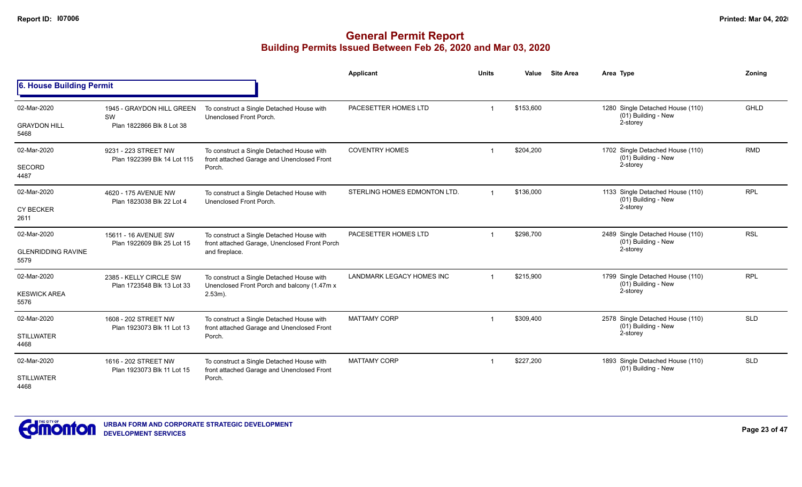|                                                  |                                                              |                                                                                                              | Applicant                        | <b>Units</b>   | Value     | <b>Site Area</b> | Area Type                                                           | Zoning      |
|--------------------------------------------------|--------------------------------------------------------------|--------------------------------------------------------------------------------------------------------------|----------------------------------|----------------|-----------|------------------|---------------------------------------------------------------------|-------------|
| 6. House Building Permit                         |                                                              |                                                                                                              |                                  |                |           |                  |                                                                     |             |
| 02-Mar-2020<br><b>GRAYDON HILL</b><br>5468       | 1945 - GRAYDON HILL GREEN<br>SW<br>Plan 1822866 Blk 8 Lot 38 | To construct a Single Detached House with<br>Unenclosed Front Porch.                                         | PACESETTER HOMES LTD             |                | \$153,600 |                  | 1280 Single Detached House (110)<br>(01) Building - New<br>2-storey | <b>GHLD</b> |
| 02-Mar-2020<br><b>SECORD</b><br>4487             | 9231 - 223 STREET NW<br>Plan 1922399 Blk 14 Lot 115          | To construct a Single Detached House with<br>front attached Garage and Unenclosed Front<br>Porch.            | <b>COVENTRY HOMES</b>            |                | \$204,200 |                  | 1702 Single Detached House (110)<br>(01) Building - New<br>2-storey | <b>RMD</b>  |
| 02-Mar-2020<br><b>CY BECKER</b><br>2611          | 4620 - 175 AVENUE NW<br>Plan 1823038 Blk 22 Lot 4            | To construct a Single Detached House with<br>Unenclosed Front Porch.                                         | STERLING HOMES EDMONTON LTD.     | $\overline{1}$ | \$136,000 |                  | 1133 Single Detached House (110)<br>(01) Building - New<br>2-storey | <b>RPL</b>  |
| 02-Mar-2020<br><b>GLENRIDDING RAVINE</b><br>5579 | 15611 - 16 AVENUE SW<br>Plan 1922609 Blk 25 Lot 15           | To construct a Single Detached House with<br>front attached Garage, Unenclosed Front Porch<br>and fireplace. | PACESETTER HOMES LTD             |                | \$298,700 |                  | 2489 Single Detached House (110)<br>(01) Building - New<br>2-storey | <b>RSL</b>  |
| 02-Mar-2020<br><b>KESWICK AREA</b><br>5576       | 2385 - KELLY CIRCLE SW<br>Plan 1723548 Blk 13 Lot 33         | To construct a Single Detached House with<br>Unenclosed Front Porch and balcony (1.47m x<br>$2.53m$ ).       | <b>LANDMARK LEGACY HOMES INC</b> |                | \$215,900 |                  | 1799 Single Detached House (110)<br>(01) Building - New<br>2-storey | <b>RPL</b>  |
| 02-Mar-2020<br><b>STILLWATER</b><br>4468         | 1608 - 202 STREET NW<br>Plan 1923073 Blk 11 Lot 13           | To construct a Single Detached House with<br>front attached Garage and Unenclosed Front<br>Porch.            | <b>MATTAMY CORP</b>              |                | \$309,400 |                  | 2578 Single Detached House (110)<br>(01) Building - New<br>2-storey | <b>SLD</b>  |
| 02-Mar-2020<br><b>STILLWATER</b><br>4468         | 1616 - 202 STREET NW<br>Plan 1923073 Blk 11 Lot 15           | To construct a Single Detached House with<br>front attached Garage and Unenclosed Front<br>Porch.            | <b>MATTAMY CORP</b>              | -1             | \$227,200 |                  | 1893 Single Detached House (110)<br>(01) Building - New             | <b>SLD</b>  |

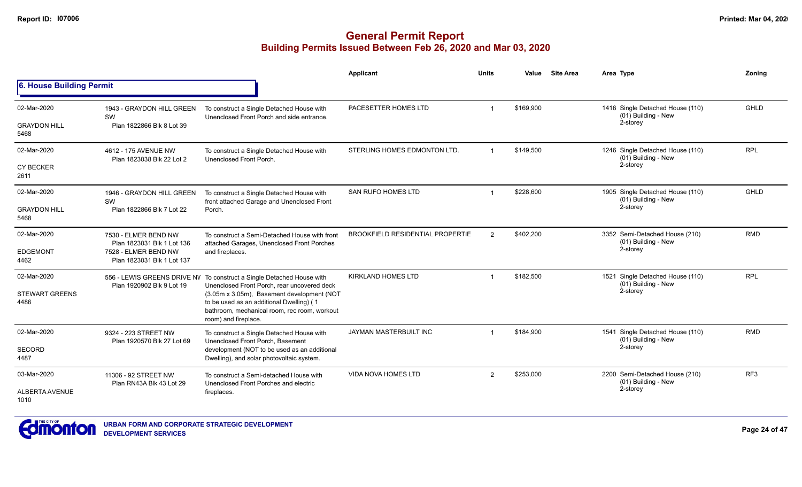|                               |                                                    |                                                                                                                                                                | <b>Applicant</b>                        | <b>Units</b>   | Value     | <b>Site Area</b> | Area Type                                               | Zoning          |
|-------------------------------|----------------------------------------------------|----------------------------------------------------------------------------------------------------------------------------------------------------------------|-----------------------------------------|----------------|-----------|------------------|---------------------------------------------------------|-----------------|
| 6. House Building Permit      |                                                    |                                                                                                                                                                |                                         |                |           |                  |                                                         |                 |
| 02-Mar-2020                   | 1943 - GRAYDON HILL GREEN<br>SW                    | To construct a Single Detached House with<br>Unenclosed Front Porch and side entrance.                                                                         | PACESETTER HOMES LTD                    | $\mathbf 1$    | \$169,900 |                  | 1416 Single Detached House (110)<br>(01) Building - New | GHLD            |
| <b>GRAYDON HILL</b><br>5468   | Plan 1822866 Blk 8 Lot 39                          |                                                                                                                                                                |                                         |                |           |                  | 2-storey                                                |                 |
| 02-Mar-2020                   | 4612 - 175 AVENUE NW<br>Plan 1823038 Blk 22 Lot 2  | To construct a Single Detached House with<br>Unenclosed Front Porch.                                                                                           | STERLING HOMES EDMONTON LTD.            |                | \$149,500 |                  | 1246 Single Detached House (110)<br>(01) Building - New | <b>RPL</b>      |
| <b>CY BECKER</b><br>2611      |                                                    |                                                                                                                                                                |                                         |                |           |                  | 2-storey                                                |                 |
| 02-Mar-2020                   | 1946 - GRAYDON HILL GREEN<br>SW                    | To construct a Single Detached House with<br>front attached Garage and Unenclosed Front                                                                        | SAN RUFO HOMES LTD                      |                | \$228,600 |                  | 1905 Single Detached House (110)<br>(01) Building - New | <b>GHLD</b>     |
| <b>GRAYDON HILL</b><br>5468   | Plan 1822866 Blk 7 Lot 22                          | Porch.                                                                                                                                                         |                                         |                |           |                  | 2-storey                                                |                 |
| 02-Mar-2020                   | 7530 - ELMER BEND NW<br>Plan 1823031 Blk 1 Lot 136 | To construct a Semi-Detached House with front<br>attached Garages, Unenclosed Front Porches<br>and fireplaces.                                                 | <b>BROOKFIELD RESIDENTIAL PROPERTIE</b> | $\overline{2}$ | \$402,200 |                  | 3352 Semi-Detached House (210)<br>(01) Building - New   | <b>RMD</b>      |
| <b>EDGEMONT</b><br>4462       | 7528 - ELMER BEND NW<br>Plan 1823031 Blk 1 Lot 137 |                                                                                                                                                                |                                         |                |           |                  | 2-storey                                                |                 |
| 02-Mar-2020                   | Plan 1920902 Blk 9 Lot 19                          | 556 - LEWIS GREENS DRIVE NV To construct a Single Detached House with<br>Unenclosed Front Porch, rear uncovered deck                                           | <b>KIRKLAND HOMES LTD</b>               |                | \$182,500 |                  | 1521 Single Detached House (110)<br>(01) Building - New | <b>RPL</b>      |
| <b>STEWART GREENS</b><br>4486 |                                                    | (3.05m x 3.05m), Basement development (NOT<br>to be used as an additional Dwelling) (1<br>bathroom, mechanical room, rec room, workout<br>room) and fireplace. |                                         |                |           |                  | 2-storey                                                |                 |
| 02-Mar-2020                   | 9324 - 223 STREET NW                               | To construct a Single Detached House with<br>Unenclosed Front Porch, Basement                                                                                  | JAYMAN MASTERBUILT INC                  |                | \$184.900 |                  | 1541 Single Detached House (110)<br>(01) Building - New | <b>RMD</b>      |
| <b>SECORD</b><br>4487         | Plan 1920570 Blk 27 Lot 69                         | development (NOT to be used as an additional<br>Dwelling), and solar photovoltaic system.                                                                      |                                         |                |           |                  | 2-storey                                                |                 |
| 03-Mar-2020                   | 11306 - 92 STREET NW<br>Plan RN43A Blk 43 Lot 29   | To construct a Semi-detached House with<br>Unenclosed Front Porches and electric                                                                               | <b>VIDA NOVA HOMES LTD</b>              | 2              | \$253,000 |                  | 2200 Semi-Detached House (210)<br>(01) Building - New   | RF <sub>3</sub> |
| ALBERTA AVENUE<br>1010        |                                                    | fireplaces.                                                                                                                                                    |                                         |                |           |                  | 2-storey                                                |                 |

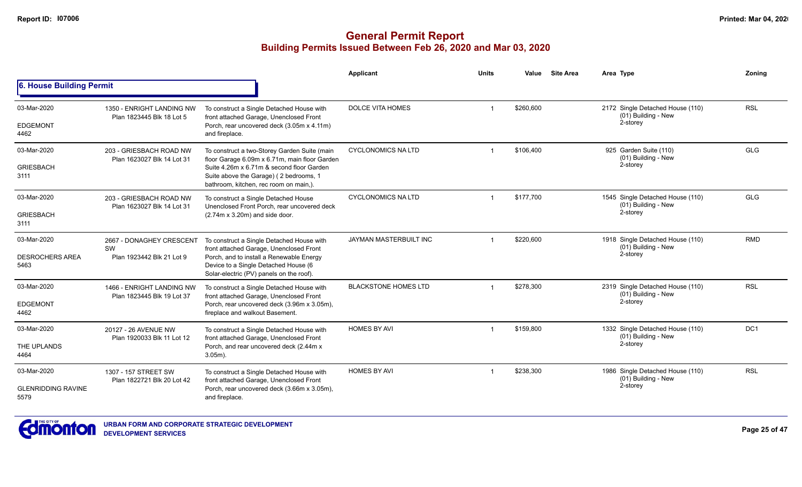|                                   |                                                         |                                                                                                                               | <b>Applicant</b>            | <b>Units</b> | Value     | <b>Site Area</b> | Area Type                                               | Zoning          |
|-----------------------------------|---------------------------------------------------------|-------------------------------------------------------------------------------------------------------------------------------|-----------------------------|--------------|-----------|------------------|---------------------------------------------------------|-----------------|
| 6. House Building Permit          |                                                         |                                                                                                                               |                             |              |           |                  |                                                         |                 |
| 03-Mar-2020                       | 1350 - ENRIGHT LANDING NW                               | To construct a Single Detached House with                                                                                     | <b>DOLCE VITA HOMES</b>     |              | \$260,600 |                  | 2172 Single Detached House (110)<br>(01) Building - New | <b>RSL</b>      |
| <b>EDGEMONT</b><br>4462           | Plan 1823445 Blk 18 Lot 5                               | front attached Garage, Unenclosed Front<br>Porch, rear uncovered deck (3.05m x 4.11m)<br>and fireplace.                       |                             |              |           |                  | 2-storey                                                |                 |
| 03-Mar-2020                       | 203 - GRIESBACH ROAD NW<br>Plan 1623027 Blk 14 Lot 31   | To construct a two-Storey Garden Suite (main<br>floor Garage 6.09m x 6.71m, main floor Garden                                 | <b>CYCLONOMICS NA LTD</b>   |              | \$106,400 |                  | 925 Garden Suite (110)<br>(01) Building - New           | <b>GLG</b>      |
| <b>GRIESBACH</b><br>3111          |                                                         | Suite 4.26m x 6.71m & second floor Garden<br>Suite above the Garage) (2 bedrooms, 1<br>bathroom, kitchen, rec room on main,). |                             |              |           |                  | 2-storey                                                |                 |
| 03-Mar-2020                       | 203 - GRIESBACH ROAD NW<br>Plan 1623027 Blk 14 Lot 31   | To construct a Single Detached House<br>Unenclosed Front Porch, rear uncovered deck                                           | <b>CYCLONOMICS NA LTD</b>   |              | \$177,700 |                  | 1545 Single Detached House (110)<br>(01) Building - New | <b>GLG</b>      |
| <b>GRIESBACH</b><br>3111          |                                                         | $(2.74m \times 3.20m)$ and side door.                                                                                         |                             |              |           |                  | 2-storey                                                |                 |
| 03-Mar-2020                       | 2667 - DONAGHEY CRESCENT                                | To construct a Single Detached House with<br>front attached Garage, Unenclosed Front                                          | JAYMAN MASTERBUILT INC      |              | \$220,600 |                  | 1918 Single Detached House (110)<br>(01) Building - New | <b>RMD</b>      |
| <b>DESROCHERS AREA</b><br>5463    | SW<br>Plan 1923442 Blk 21 Lot 9                         | Porch, and to install a Renewable Energy<br>Device to a Single Detached House (6<br>Solar-electric (PV) panels on the roof).  |                             |              |           |                  | 2-storey                                                |                 |
| 03-Mar-2020                       | 1466 - ENRIGHT LANDING NW<br>Plan 1823445 Blk 19 Lot 37 | To construct a Single Detached House with<br>front attached Garage, Unenclosed Front                                          | <b>BLACKSTONE HOMES LTD</b> |              | \$278,300 |                  | 2319 Single Detached House (110)<br>(01) Building - New | <b>RSL</b>      |
| <b>EDGEMONT</b><br>4462           |                                                         | Porch, rear uncovered deck (3.96m x 3.05m),<br>fireplace and walkout Basement.                                                |                             |              |           |                  | 2-storey                                                |                 |
| 03-Mar-2020                       | 20127 - 26 AVENUE NW<br>Plan 1920033 Blk 11 Lot 12      | To construct a Single Detached House with<br>front attached Garage, Unenclosed Front                                          | <b>HOMES BY AVI</b>         |              | \$159,800 |                  | 1332 Single Detached House (110)<br>(01) Building - New | DC <sub>1</sub> |
| THE UPLANDS<br>4464               |                                                         | Porch, and rear uncovered deck (2.44m x)<br>$3.05m$ ).                                                                        |                             |              |           |                  | 2-storey                                                |                 |
| 03-Mar-2020                       | 1307 - 157 STREET SW<br>Plan 1822721 Blk 20 Lot 42      | To construct a Single Detached House with<br>front attached Garage, Unenclosed Front                                          | <b>HOMES BY AVI</b>         |              | \$238,300 |                  | 1986 Single Detached House (110)<br>(01) Building - New | <b>RSL</b>      |
| <b>GLENRIDDING RAVINE</b><br>5579 |                                                         | Porch, rear uncovered deck (3.66m x 3.05m),<br>and fireplace.                                                                 |                             |              |           |                  | 2-storey                                                |                 |

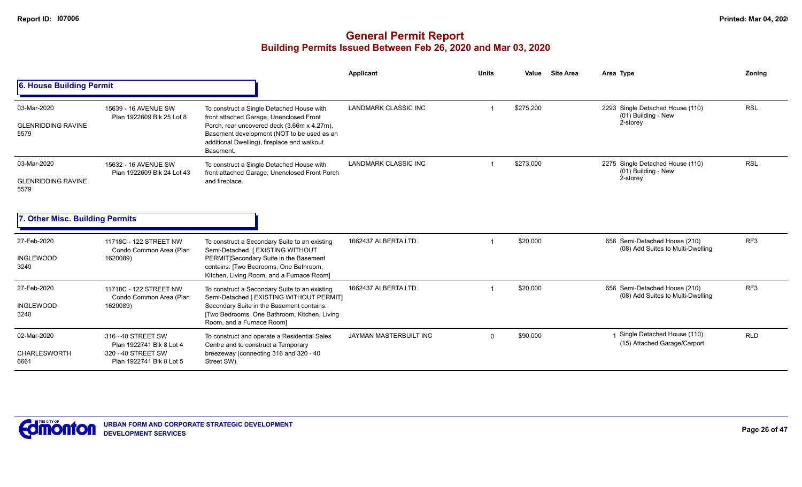|                                                  |                                                                                                  |                                                                                                                                                                                                                                              | <b>Applicant</b>       | <b>Units</b> | Value     | <b>Site Area</b> | Area Type                                                             | Zonina          |
|--------------------------------------------------|--------------------------------------------------------------------------------------------------|----------------------------------------------------------------------------------------------------------------------------------------------------------------------------------------------------------------------------------------------|------------------------|--------------|-----------|------------------|-----------------------------------------------------------------------|-----------------|
| 6. House Building Permit                         |                                                                                                  |                                                                                                                                                                                                                                              |                        |              |           |                  |                                                                       |                 |
| 03-Mar-2020<br><b>GLENRIDDING RAVINE</b><br>5579 | 15639 - 16 AVENUE SW<br>Plan 1922609 Blk 25 Lot 8                                                | To construct a Single Detached House with<br>front attached Garage, Unenclosed Front<br>Porch, rear uncovered deck (3.66m x 4.27m),<br>Basement development (NOT to be used as an<br>additional Dwelling), fireplace and walkout<br>Basement | LANDMARK CLASSIC INC   |              | \$275,200 |                  | 2293 Single Detached House (110)<br>$(01)$ Building - New<br>2-storey | <b>RSL</b>      |
| 03-Mar-2020<br><b>GLENRIDDING RAVINE</b><br>5579 | 15632 - 16 AVENUE SW<br>Plan 1922609 Blk 24 Lot 43                                               | To construct a Single Detached House with<br>front attached Garage, Unenclosed Front Porch<br>and fireplace.                                                                                                                                 | LANDMARK CLASSIC INC   |              | \$273,000 |                  | 2275 Single Detached House (110)<br>(01) Building - New<br>2-storey   | <b>RSL</b>      |
| 7. Other Misc. Building Permits                  |                                                                                                  |                                                                                                                                                                                                                                              |                        |              |           |                  |                                                                       |                 |
| 27-Feb-2020<br><b>INGLEWOOD</b><br>3240          | 11718C - 122 STREET NW<br>Condo Common Area (Plan<br>1620089)                                    | To construct a Secondary Suite to an existing<br>Semi-Detached. [ EXISTING WITHOUT<br>PERMIT]Secondary Suite in the Basement<br>contains: [Two Bedrooms, One Bathroom,<br>Kitchen, Living Room, and a Furnace Room]                          | 1662437 ALBERTA LTD.   |              | \$20,000  |                  | 656 Semi-Detached House (210)<br>(08) Add Suites to Multi-Dwelling    | RF <sub>3</sub> |
| 27-Feb-2020<br><b>INGLEWOOD</b><br>3240          | 11718C - 122 STREET NW<br>Condo Common Area (Plan<br>1620089)                                    | To construct a Secondary Suite to an existing<br>Semi-Detached [ EXISTING WITHOUT PERMIT]<br>Secondary Suite in the Basement contains:<br>[Two Bedrooms, One Bathroom, Kitchen, Living<br>Room, and a Furnace Room]                          | 1662437 ALBERTA LTD.   |              | \$20,000  |                  | 656 Semi-Detached House (210)<br>(08) Add Suites to Multi-Dwelling    | RF <sub>3</sub> |
| 02-Mar-2020<br><b>CHARLESWORTH</b><br>6661       | 316 - 40 STREET SW<br>Plan 1922741 Blk 8 Lot 4<br>320 - 40 STREET SW<br>Plan 1922741 Blk 8 Lot 5 | To construct and operate a Residential Sales<br>Centre and to construct a Temporary<br>breezeway (connecting 316 and 320 - 40<br>Street SW).                                                                                                 | JAYMAN MASTERBUILT INC | $\Omega$     | \$90,000  |                  | Single Detached House (110)<br>(15) Attached Garage/Carport           | <b>RLD</b>      |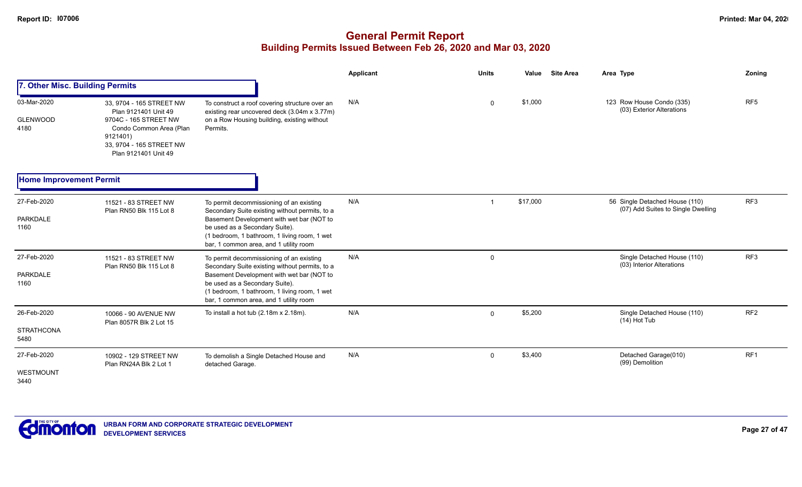|                                          |                                                                                                                                                                      |                                                                                                                                                                                                                                                                     | <b>Applicant</b> | <b>Units</b> | Value    | <b>Site Area</b> | Area Type                                                            | Zoning          |
|------------------------------------------|----------------------------------------------------------------------------------------------------------------------------------------------------------------------|---------------------------------------------------------------------------------------------------------------------------------------------------------------------------------------------------------------------------------------------------------------------|------------------|--------------|----------|------------------|----------------------------------------------------------------------|-----------------|
| 7. Other Misc. Building Permits          |                                                                                                                                                                      |                                                                                                                                                                                                                                                                     |                  |              |          |                  |                                                                      |                 |
| 03-Mar-2020<br><b>GLENWOOD</b><br>4180   | 33, 9704 - 165 STREET NW<br>Plan 9121401 Unit 49<br>9704C - 165 STREET NW<br>Condo Common Area (Plan<br>9121401)<br>33, 9704 - 165 STREET NW<br>Plan 9121401 Unit 49 | To construct a roof covering structure over an<br>existing rear uncovered deck (3.04m x 3.77m)<br>on a Row Housing building, existing without<br>Permits.                                                                                                           | N/A              | 0            | \$1,000  |                  | 123 Row House Condo (335)<br>(03) Exterior Alterations               | RF <sub>5</sub> |
| <b>Home Improvement Permit</b>           |                                                                                                                                                                      |                                                                                                                                                                                                                                                                     |                  |              |          |                  |                                                                      |                 |
| 27-Feb-2020<br><b>PARKDALE</b><br>1160   | 11521 - 83 STREET NW<br>Plan RN50 Blk 115 Lot 8                                                                                                                      | To permit decommissioning of an existing<br>Secondary Suite existing without permits, to a<br>Basement Development with wet bar (NOT to<br>be used as a Secondary Suite).<br>(1 bedroom, 1 bathroom, 1 living room, 1 wet<br>bar, 1 common area, and 1 utility room | N/A              |              | \$17,000 |                  | 56 Single Detached House (110)<br>(07) Add Suites to Single Dwelling | RF3             |
| 27-Feb-2020<br><b>PARKDALE</b><br>1160   | 11521 - 83 STREET NW<br>Plan RN50 Blk 115 Lot 8                                                                                                                      | To permit decommissioning of an existing<br>Secondary Suite existing without permits, to a<br>Basement Development with wet bar (NOT to<br>be used as a Secondary Suite).<br>(1 bedroom, 1 bathroom, 1 living room, 1 wet<br>bar, 1 common area, and 1 utility room | N/A              | 0            |          |                  | Single Detached House (110)<br>(03) Interior Alterations             | RF3             |
| 26-Feb-2020<br><b>STRATHCONA</b><br>5480 | 10066 - 90 AVENUE NW<br>Plan 8057R Blk 2 Lot 15                                                                                                                      | To install a hot tub $(2.18m \times 2.18m)$ .                                                                                                                                                                                                                       | N/A              | $\mathbf 0$  | \$5,200  |                  | Single Detached House (110)<br>(14) Hot Tub                          | RF <sub>2</sub> |
| 27-Feb-2020<br>WESTMOUNT<br>3440         | 10902 - 129 STREET NW<br>Plan RN24A Blk 2 Lot 1                                                                                                                      | To demolish a Single Detached House and<br>detached Garage.                                                                                                                                                                                                         | N/A              | $\mathbf 0$  | \$3,400  |                  | Detached Garage(010)<br>(99) Demolition                              | RF1             |

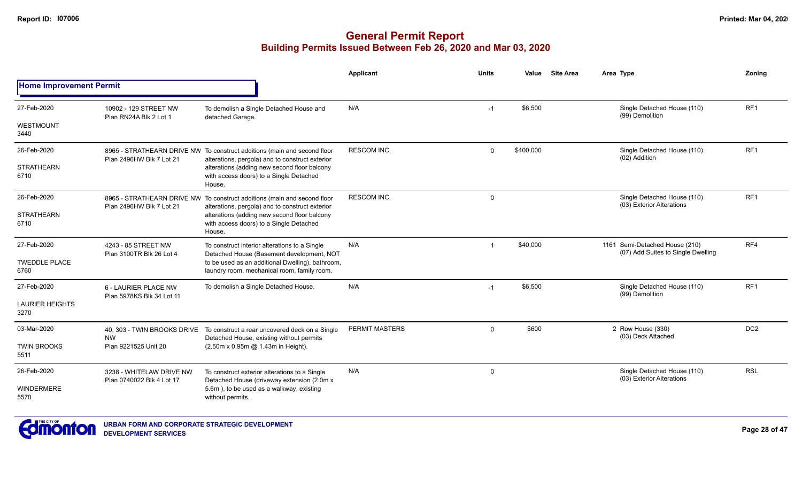|                                |                                                       |                                                                                                                             | Applicant             | <b>Units</b> | Value     | <b>Site Area</b> | Area Type                                                | Zoning          |
|--------------------------------|-------------------------------------------------------|-----------------------------------------------------------------------------------------------------------------------------|-----------------------|--------------|-----------|------------------|----------------------------------------------------------|-----------------|
| <b>Home Improvement Permit</b> |                                                       |                                                                                                                             |                       |              |           |                  |                                                          |                 |
| 27-Feb-2020                    | 10902 - 129 STREET NW<br>Plan RN24A Blk 2 Lot 1       | To demolish a Single Detached House and<br>detached Garage.                                                                 | N/A                   | $-1$         | \$6,500   |                  | Single Detached House (110)<br>(99) Demolition           | RF <sub>1</sub> |
| WESTMOUNT<br>3440              |                                                       |                                                                                                                             |                       |              |           |                  |                                                          |                 |
| 26-Feb-2020                    | Plan 2496HW Blk 7 Lot 21                              | 8965 - STRATHEARN DRIVE NW To construct additions (main and second floor<br>alterations, pergola) and to construct exterior | <b>RESCOM INC.</b>    | $\Omega$     | \$400,000 |                  | Single Detached House (110)<br>(02) Addition             | RF1             |
| <b>STRATHEARN</b><br>6710      |                                                       | alterations (adding new second floor balcony<br>with access doors) to a Single Detached<br>House.                           |                       |              |           |                  |                                                          |                 |
| 26-Feb-2020                    | Plan 2496HW Blk 7 Lot 21                              | 8965 - STRATHEARN DRIVE NW To construct additions (main and second floor<br>alterations, pergola) and to construct exterior | <b>RESCOM INC.</b>    | $\mathbf 0$  |           |                  | Single Detached House (110)<br>(03) Exterior Alterations | RF <sub>1</sub> |
| <b>STRATHEARN</b><br>6710      |                                                       | alterations (adding new second floor balcony<br>with access doors) to a Single Detached<br>House.                           |                       |              |           |                  | 1161 Semi-Detached House (210)                           |                 |
| 27-Feb-2020                    | 4243 - 85 STREET NW<br>Plan 3100TR Blk 26 Lot 4       | To construct interior alterations to a Single<br>Detached House (Basement development, NOT                                  | N/A                   |              | \$40,000  |                  | (07) Add Suites to Single Dwelling                       | RF4             |
| <b>TWEDDLE PLACE</b><br>6760   |                                                       | to be used as an additional Dwelling). bathroom,<br>laundry room, mechanical room, family room.                             |                       |              |           |                  |                                                          |                 |
| 27-Feb-2020                    | 6 - LAURIER PLACE NW<br>Plan 5978KS Blk 34 Lot 11     | To demolish a Single Detached House.                                                                                        | N/A                   | $-1$         | \$6,500   |                  | Single Detached House (110)<br>(99) Demolition           | RF <sub>1</sub> |
| <b>LAURIER HEIGHTS</b><br>3270 |                                                       |                                                                                                                             |                       |              |           |                  |                                                          |                 |
| 03-Mar-2020                    | 40, 303 - TWIN BROOKS DRIVE                           | To construct a rear uncovered deck on a Single<br>Detached House, existing without permits                                  | <b>PERMIT MASTERS</b> | $\Omega$     | \$600     |                  | 2 Row House (330)<br>(03) Deck Attached                  | DC <sub>2</sub> |
| <b>TWIN BROOKS</b><br>5511     | <b>NW</b><br>Plan 9221525 Unit 20                     | (2.50m x 0.95m @ 1.43m in Height).                                                                                          |                       |              |           |                  |                                                          |                 |
| 26-Feb-2020                    | 3238 - WHITELAW DRIVE NW<br>Plan 0740022 Blk 4 Lot 17 | To construct exterior alterations to a Single                                                                               | N/A                   | 0            |           |                  | Single Detached House (110)<br>(03) Exterior Alterations | <b>RSL</b>      |
| WINDERMERE<br>5570             |                                                       | Detached House (driveway extension (2.0m x<br>5.6m), to be used as a walkway, existing<br>without permits.                  |                       |              |           |                  |                                                          |                 |

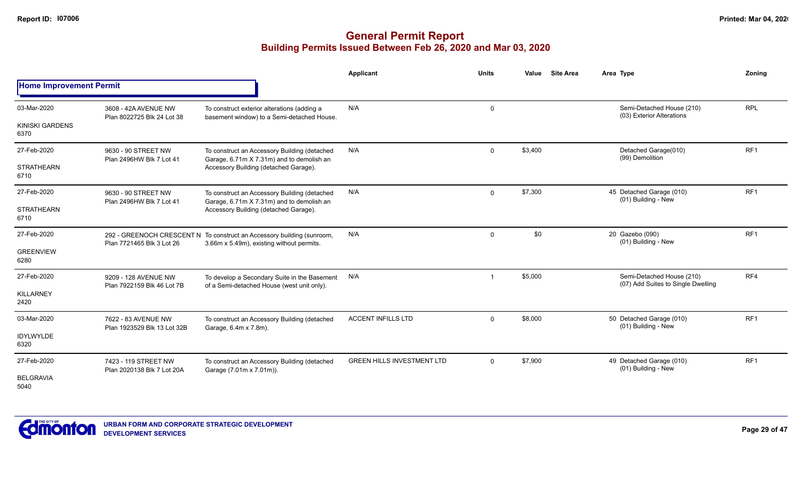|                                |                                                    |                                                                                                                     | Applicant                         | <b>Units</b> | <b>Site Area</b><br>Value | Area Type                                                       | Zoning          |
|--------------------------------|----------------------------------------------------|---------------------------------------------------------------------------------------------------------------------|-----------------------------------|--------------|---------------------------|-----------------------------------------------------------------|-----------------|
| <b>Home Improvement Permit</b> |                                                    |                                                                                                                     |                                   |              |                           |                                                                 |                 |
| 03-Mar-2020                    | 3608 - 42A AVENUE NW<br>Plan 8022725 Blk 24 Lot 38 | To construct exterior alterations (adding a<br>basement window) to a Semi-detached House.                           | N/A                               | 0            |                           | Semi-Detached House (210)<br>(03) Exterior Alterations          | <b>RPL</b>      |
| <b>KINISKI GARDENS</b><br>6370 |                                                    |                                                                                                                     |                                   |              |                           |                                                                 |                 |
| 27-Feb-2020                    | 9630 - 90 STREET NW<br>Plan 2496HW Blk 7 Lot 41    | To construct an Accessory Building (detached<br>Garage, 6.71m X 7.31m) and to demolish an                           | N/A                               | $\mathbf 0$  | \$3,400                   | Detached Garage(010)<br>(99) Demolition                         | RF <sub>1</sub> |
| <b>STRATHEARN</b><br>6710      |                                                    | Accessory Building (detached Garage).                                                                               |                                   |              |                           |                                                                 |                 |
| 27-Feb-2020                    | 9630 - 90 STREET NW<br>Plan 2496HW Blk 7 Lot 41    | To construct an Accessory Building (detached<br>Garage, 6.71m X 7.31m) and to demolish an                           | N/A                               | $\Omega$     | \$7,300                   | 45 Detached Garage (010)<br>(01) Building - New                 | RF <sub>1</sub> |
| <b>STRATHEARN</b><br>6710      |                                                    | Accessory Building (detached Garage).                                                                               |                                   |              |                           |                                                                 |                 |
| 27-Feb-2020                    | Plan 7721465 Blk 3 Lot 26                          | 292 - GREENOCH CRESCENT N To construct an Accessory building (sunroom,<br>3.66m x 5.49m), existing without permits. | N/A                               | $\Omega$     | \$0                       | 20 Gazebo (090)<br>(01) Building - New                          | RF <sub>1</sub> |
| <b>GREENVIEW</b><br>6280       |                                                    |                                                                                                                     |                                   |              |                           |                                                                 |                 |
| 27-Feb-2020                    | 9209 - 128 AVENUE NW<br>Plan 7922159 Blk 46 Lot 7B | To develop a Secondary Suite in the Basement<br>of a Semi-detached House (west unit only).                          | N/A                               | $\mathbf{1}$ | \$5,000                   | Semi-Detached House (210)<br>(07) Add Suites to Single Dwelling | RF4             |
| <b>KILLARNEY</b><br>2420       |                                                    |                                                                                                                     |                                   |              |                           |                                                                 |                 |
| 03-Mar-2020                    | 7622 - 83 AVENUE NW<br>Plan 1923529 Blk 13 Lot 32B | To construct an Accessory Building (detached<br>Garage, 6.4m x 7.8m).                                               | <b>ACCENT INFILLS LTD</b>         | $\Omega$     | \$8,000                   | 50 Detached Garage (010)<br>(01) Building - New                 | RF <sub>1</sub> |
| <b>IDYLWYLDE</b><br>6320       |                                                    |                                                                                                                     |                                   |              |                           |                                                                 |                 |
| 27-Feb-2020                    | 7423 - 119 STREET NW<br>Plan 2020138 Blk 7 Lot 20A | To construct an Accessory Building (detached<br>Garage (7.01m x 7.01m)).                                            | <b>GREEN HILLS INVESTMENT LTD</b> | $\Omega$     | \$7,900                   | 49 Detached Garage (010)<br>(01) Building - New                 | RF <sub>1</sub> |
| <b>BELGRAVIA</b><br>5040       |                                                    |                                                                                                                     |                                   |              |                           |                                                                 |                 |

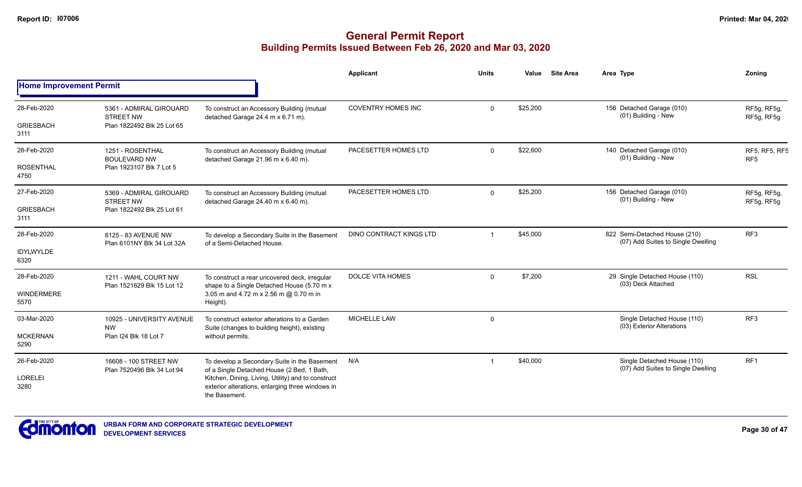|                                |                                                     |                                                                                                                         | <b>Applicant</b>          | <b>Units</b> | Value    | <b>Site Area</b> | Area Type                                                           | Zoning                           |
|--------------------------------|-----------------------------------------------------|-------------------------------------------------------------------------------------------------------------------------|---------------------------|--------------|----------|------------------|---------------------------------------------------------------------|----------------------------------|
| <b>Home Improvement Permit</b> |                                                     |                                                                                                                         |                           |              |          |                  |                                                                     |                                  |
| 28-Feb-2020                    | 5361 - ADMIRAL GIROUARD<br><b>STREET NW</b>         | To construct an Accessory Building (mutual<br>detached Garage 24.4 m x 6.71 m).                                         | <b>COVENTRY HOMES INC</b> | $\Omega$     | \$25,200 |                  | 156 Detached Garage (010)<br>(01) Building - New                    | RF5g, RF5g,<br>RF5g, RF5g        |
| <b>GRIESBACH</b><br>3111       | Plan 1822492 Blk 25 Lot 65                          |                                                                                                                         |                           |              |          |                  |                                                                     |                                  |
| 28-Feb-2020                    | 1251 - ROSENTHAL<br><b>BOULEVARD NW</b>             | To construct an Accessory Building (mutual<br>detached Garage 21.96 m x 6.40 m).                                        | PACESETTER HOMES LTD      | $\Omega$     | \$22,600 |                  | 140 Detached Garage (010)<br>(01) Building - New                    | RF5, RF5, RF5<br>RF <sub>5</sub> |
| <b>ROSENTHAL</b><br>4750       | Plan 1923107 Blk 7 Lot 5                            |                                                                                                                         |                           |              |          |                  |                                                                     |                                  |
| 27-Feb-2020                    | 5369 - ADMIRAL GIROUARD<br><b>STREET NW</b>         | To construct an Accessory Building (mutual<br>detached Garage 24.40 m x 6.40 m).                                        | PACESETTER HOMES LTD      | $\Omega$     | \$25,200 |                  | 156 Detached Garage (010)<br>(01) Building - New                    | RF5g, RF5g,<br>RF5g, RF5g        |
| <b>GRIESBACH</b><br>3111       | Plan 1822492 Blk 25 Lot 61                          |                                                                                                                         |                           |              |          |                  |                                                                     |                                  |
| 28-Feb-2020                    | 8125 - 83 AVENUE NW<br>Plan 6101NY Blk 34 Lot 32A   | To develop a Secondary Suite in the Basement<br>of a Semi-Detached House.                                               | DINO CONTRACT KINGS LTD   |              | \$45,000 |                  | 822 Semi-Detached House (210)<br>(07) Add Suites to Single Dwelling | RF <sub>3</sub>                  |
| IDYLWYLDE<br>6320              |                                                     |                                                                                                                         |                           |              |          |                  |                                                                     |                                  |
| 28-Feb-2020                    | 1211 - WAHL COURT NW<br>Plan 1521629 Blk 15 Lot 12  | To construct a rear uncovered deck, irregular<br>shape to a Single Detached House (5.70 m x                             | <b>DOLCE VITA HOMES</b>   | $\mathbf 0$  | \$7,200  |                  | 29 Single Detached House (110)<br>(03) Deck Attached                | <b>RSL</b>                       |
| <b>WINDERMERE</b><br>5570      |                                                     | 3.05 m and 4.72 m x 2.56 m @ 0.70 m in<br>Height).                                                                      |                           |              |          |                  |                                                                     |                                  |
| 03-Mar-2020                    | 10925 - UNIVERSITY AVENUE<br><b>NW</b>              | To construct exterior alterations to a Garden<br>Suite (changes to building height), existing                           | <b>MICHELLE LAW</b>       | $\mathbf 0$  |          |                  | Single Detached House (110)<br>(03) Exterior Alterations            | RF3                              |
| <b>MCKERNAN</b><br>5290        | Plan I24 Blk 18 Lot 7                               | without permits.                                                                                                        |                           |              |          |                  |                                                                     |                                  |
| 26-Feb-2020                    | 16608 - 100 STREET NW<br>Plan 7520496 Blk 34 Lot 94 | To develop a Secondary Suite in the Basement<br>of a Single Detached House (2 Bed, 1 Bath,                              | N/A                       |              | \$40,000 |                  | Single Detached House (110)<br>(07) Add Suites to Single Dwelling   | RF <sub>1</sub>                  |
| LORELEI<br>3280                |                                                     | Kitchen, Dining, Living, Utility) and to construct<br>exterior alterations, enlarging three windows in<br>the Basement. |                           |              |          |                  |                                                                     |                                  |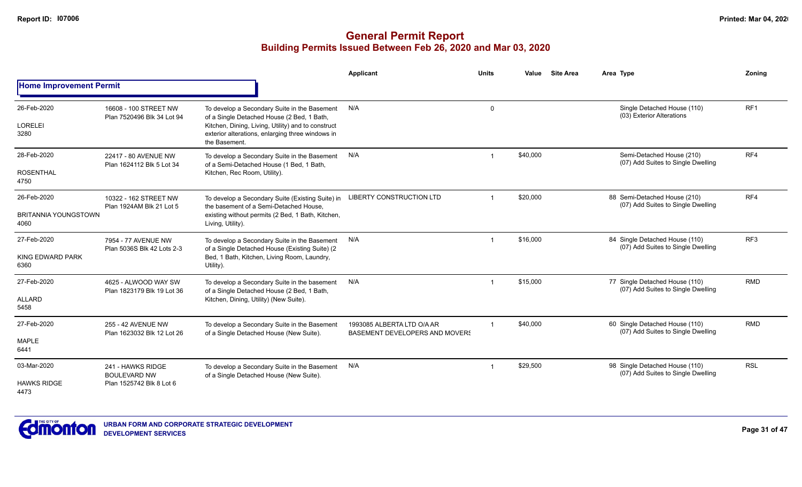|                                     |                                                     |                                                                                                                         | Applicant                                                                                      | <b>Units</b> | Value    | <b>Site Area</b> | Area Type                                                            | Zonina                                                               |                 |
|-------------------------------------|-----------------------------------------------------|-------------------------------------------------------------------------------------------------------------------------|------------------------------------------------------------------------------------------------|--------------|----------|------------------|----------------------------------------------------------------------|----------------------------------------------------------------------|-----------------|
| <b>Home Improvement Permit</b>      |                                                     |                                                                                                                         |                                                                                                |              |          |                  |                                                                      |                                                                      |                 |
| 26-Feb-2020                         | 16608 - 100 STREET NW<br>Plan 7520496 Blk 34 Lot 94 | To develop a Secondary Suite in the Basement<br>of a Single Detached House (2 Bed, 1 Bath,                              | N/A                                                                                            | 0            |          |                  | Single Detached House (110)<br>(03) Exterior Alterations             | RF <sub>1</sub>                                                      |                 |
| <b>LORELEI</b><br>3280              |                                                     | Kitchen, Dining, Living, Utility) and to construct<br>exterior alterations, enlarging three windows in<br>the Basement. |                                                                                                |              |          |                  |                                                                      |                                                                      |                 |
| 28-Feb-2020                         | 22417 - 80 AVENUE NW<br>Plan 1624112 Blk 5 Lot 34   | To develop a Secondary Suite in the Basement<br>of a Semi-Detached House (1 Bed, 1 Bath,                                | N/A                                                                                            |              | \$40,000 |                  | Semi-Detached House (210)<br>(07) Add Suites to Single Dwelling      | RF4                                                                  |                 |
| <b>ROSENTHAL</b><br>4750            |                                                     | Kitchen, Rec Room, Utility).                                                                                            |                                                                                                |              |          |                  |                                                                      |                                                                      |                 |
| 26-Feb-2020                         | 10322 - 162 STREET NW<br>Plan 1924AM Blk 21 Lot 5   | To develop a Secondary Suite (Existing Suite) in<br>the basement of a Semi-Detached House.                              | <b>LIBERTY CONSTRUCTION LTD</b>                                                                |              | \$20,000 |                  | 88 Semi-Detached House (210)<br>(07) Add Suites to Single Dwelling   | RF4                                                                  |                 |
| <b>BRITANNIA YOUNGSTOWN</b><br>4060 |                                                     | existing without permits (2 Bed, 1 Bath, Kitchen,<br>Living, Utility).                                                  |                                                                                                |              |          |                  |                                                                      |                                                                      |                 |
| 27-Feb-2020                         | 7954 - 77 AVENUE NW                                 | Plan 5036S Blk 42 Lots 2-3                                                                                              | To develop a Secondary Suite in the Basement<br>of a Single Detached House (Existing Suite) (2 | N/A          | -1       | \$16,000         |                                                                      | 84 Single Detached House (110)<br>(07) Add Suites to Single Dwelling | RF <sub>3</sub> |
| KING EDWARD PARK<br>6360            |                                                     | Bed, 1 Bath, Kitchen, Living Room, Laundry,<br>Utility).                                                                |                                                                                                |              |          |                  |                                                                      |                                                                      |                 |
| 27-Feb-2020                         | 4625 - ALWOOD WAY SW<br>Plan 1823179 Blk 19 Lot 36  | To develop a Secondary Suite in the basement<br>of a Single Detached House (2 Bed, 1 Bath,                              | N/A                                                                                            | -1           | \$15,000 |                  | 77 Single Detached House (110)<br>(07) Add Suites to Single Dwelling | <b>RMD</b>                                                           |                 |
| <b>ALLARD</b><br>5458               |                                                     | Kitchen, Dining, Utility) (New Suite).                                                                                  |                                                                                                |              |          |                  |                                                                      |                                                                      |                 |
| 27-Feb-2020                         | 255 - 42 AVENUE NW<br>Plan 1623032 Blk 12 Lot 26    | To develop a Secondary Suite in the Basement<br>of a Single Detached House (New Suite).                                 | 1993085 ALBERTA LTD O/A AR<br><b>BASEMENT DEVELOPERS AND MOVERS</b>                            |              | \$40,000 |                  | 60 Single Detached House (110)<br>(07) Add Suites to Single Dwelling | <b>RMD</b>                                                           |                 |
| <b>MAPLE</b><br>6441                |                                                     |                                                                                                                         |                                                                                                |              |          |                  |                                                                      |                                                                      |                 |
| 03-Mar-2020                         | 241 - HAWKS RIDGE<br><b>BOULEVARD NW</b>            | To develop a Secondary Suite in the Basement<br>of a Single Detached House (New Suite).                                 | N/A                                                                                            |              | \$29,500 |                  | 98 Single Detached House (110)<br>(07) Add Suites to Single Dwelling | <b>RSL</b>                                                           |                 |
| <b>HAWKS RIDGE</b><br>4473          | Plan 1525742 Blk 8 Lot 6                            |                                                                                                                         |                                                                                                |              |          |                  |                                                                      |                                                                      |                 |

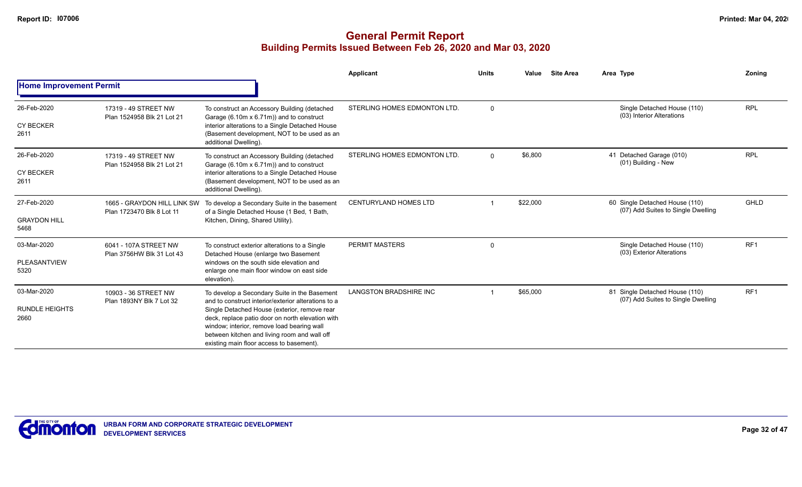|                                 |                                                          |                                                                                                                                                                                                                                            | Applicant                     | <b>Units</b> | Value    | <b>Site Area</b> | Area Type                                                            | Zoning          |
|---------------------------------|----------------------------------------------------------|--------------------------------------------------------------------------------------------------------------------------------------------------------------------------------------------------------------------------------------------|-------------------------------|--------------|----------|------------------|----------------------------------------------------------------------|-----------------|
| <b>Home Improvement Permit</b>  |                                                          |                                                                                                                                                                                                                                            |                               |              |          |                  |                                                                      |                 |
| 26-Feb-2020<br><b>CY BECKER</b> | 17319 - 49 STREET NW<br>Plan 1524958 Blk 21 Lot 21       | To construct an Accessory Building (detached<br>Garage (6.10m x 6.71m)) and to construct<br>interior alterations to a Single Detached House                                                                                                | STERLING HOMES EDMONTON LTD.  | $\Omega$     |          |                  | Single Detached House (110)<br>(03) Interior Alterations             | <b>RPL</b>      |
| 2611                            |                                                          | (Basement development, NOT to be used as an<br>additional Dwelling).                                                                                                                                                                       |                               |              |          |                  |                                                                      |                 |
| 26-Feb-2020                     | 17319 - 49 STREET NW<br>Plan 1524958 Blk 21 Lot 21       | To construct an Accessory Building (detached<br>Garage (6.10m x 6.71m)) and to construct                                                                                                                                                   | STERLING HOMES EDMONTON LTD.  | $\Omega$     | \$6,800  |                  | 41 Detached Garage (010)<br>(01) Building - New                      | <b>RPL</b>      |
| <b>CY BECKER</b><br>2611        |                                                          | interior alterations to a Single Detached House<br>(Basement development, NOT to be used as an<br>additional Dwelling).                                                                                                                    |                               |              |          |                  |                                                                      |                 |
| 27-Feb-2020                     | 1665 - GRAYDON HILL LINK SW<br>Plan 1723470 Blk 8 Lot 11 | To develop a Secondary Suite in the basement<br>of a Single Detached House (1 Bed, 1 Bath,                                                                                                                                                 | <b>CENTURYLAND HOMES LTD</b>  |              | \$22,000 |                  | 60 Single Detached House (110)<br>(07) Add Suites to Single Dwelling | GHLD            |
| <b>GRAYDON HILL</b><br>5468     |                                                          | Kitchen, Dining, Shared Utility).                                                                                                                                                                                                          |                               |              |          |                  |                                                                      |                 |
| 03-Mar-2020                     | 6041 - 107A STREET NW<br>Plan 3756HW Blk 31 Lot 43       | To construct exterior alterations to a Single<br>Detached House (enlarge two Basement                                                                                                                                                      | <b>PERMIT MASTERS</b>         | $\Omega$     |          |                  | Single Detached House (110)<br>(03) Exterior Alterations             | RF1             |
| PLEASANTVIEW<br>5320            |                                                          | windows on the south side elevation and<br>enlarge one main floor window on east side<br>elevation).                                                                                                                                       |                               |              |          |                  |                                                                      |                 |
| 03-Mar-2020                     | 10903 - 36 STREET NW<br>Plan 1893NY Blk 7 Lot 32         | To develop a Secondary Suite in the Basement<br>and to construct interior/exterior alterations to a                                                                                                                                        | <b>LANGSTON BRADSHIRE INC</b> |              | \$65,000 |                  | 81 Single Detached House (110)<br>(07) Add Suites to Single Dwelling | RF <sub>1</sub> |
| <b>RUNDLE HEIGHTS</b><br>2660   |                                                          | Single Detached House (exterior, remove rear<br>deck, replace patio door on north elevation with<br>window; interior, remove load bearing wall<br>between kitchen and living room and wall off<br>existing main floor access to basement). |                               |              |          |                  |                                                                      |                 |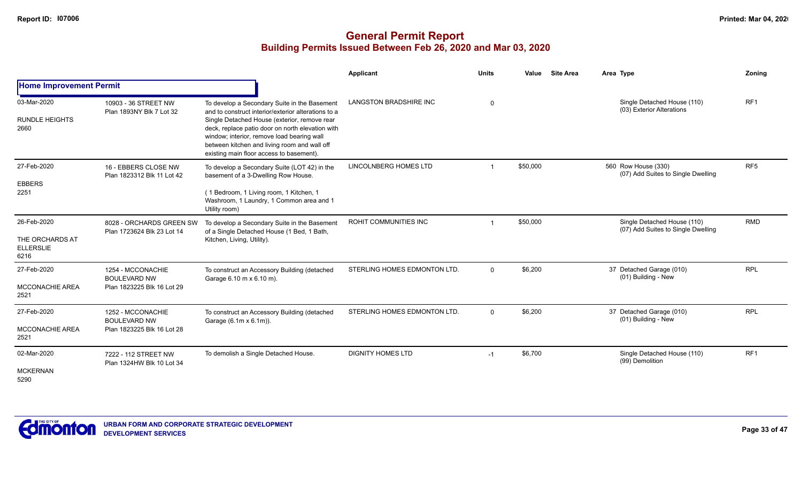|                                                            |                                                                        |                                                                                                                                                                                                                                                                                                                                                   | <b>Applicant</b>              | <b>Units</b> | Value<br><b>Site Area</b> | Area Type                                                         | Zoning          |
|------------------------------------------------------------|------------------------------------------------------------------------|---------------------------------------------------------------------------------------------------------------------------------------------------------------------------------------------------------------------------------------------------------------------------------------------------------------------------------------------------|-------------------------------|--------------|---------------------------|-------------------------------------------------------------------|-----------------|
| <b>Home Improvement Permit</b>                             |                                                                        |                                                                                                                                                                                                                                                                                                                                                   |                               |              |                           |                                                                   |                 |
| 03-Mar-2020<br><b>RUNDLE HEIGHTS</b><br>2660               | 10903 - 36 STREET NW<br>Plan 1893NY Blk 7 Lot 32                       | To develop a Secondary Suite in the Basement<br>and to construct interior/exterior alterations to a<br>Single Detached House (exterior, remove rear<br>deck, replace patio door on north elevation with<br>window; interior, remove load bearing wall<br>between kitchen and living room and wall off<br>existing main floor access to basement). | <b>LANGSTON BRADSHIRE INC</b> | $\Omega$     |                           | Single Detached House (110)<br>(03) Exterior Alterations          | RF1             |
| 27-Feb-2020<br><b>EBBERS</b><br>2251                       | 16 - EBBERS CLOSE NW<br>Plan 1823312 Blk 11 Lot 42                     | To develop a Secondary Suite (LOT 42) in the<br>basement of a 3-Dwelling Row House.<br>(1 Bedroom, 1 Living room, 1 Kitchen, 1<br>Washroom, 1 Laundry, 1 Common area and 1<br>Utility room)                                                                                                                                                       | LINCOLNBERG HOMES LTD         |              | \$50,000                  | 560 Row House (330)<br>(07) Add Suites to Single Dwelling         | RF <sub>5</sub> |
| 26-Feb-2020<br>THE ORCHARDS AT<br><b>ELLERSLIE</b><br>6216 | 8028 - ORCHARDS GREEN SW<br>Plan 1723624 Blk 23 Lot 14                 | To develop a Secondary Suite in the Basement<br>of a Single Detached House (1 Bed, 1 Bath,<br>Kitchen, Living, Utility).                                                                                                                                                                                                                          | ROHIT COMMUNITIES INC         |              | \$50,000                  | Single Detached House (110)<br>(07) Add Suites to Single Dwelling | <b>RMD</b>      |
| 27-Feb-2020<br><b>MCCONACHIE AREA</b><br>2521              | 1254 - MCCONACHIE<br><b>BOULEVARD NW</b><br>Plan 1823225 Blk 16 Lot 29 | To construct an Accessory Building (detached<br>Garage 6.10 m x 6.10 m).                                                                                                                                                                                                                                                                          | STERLING HOMES EDMONTON LTD.  | $\Omega$     | \$6,200                   | 37 Detached Garage (010)<br>(01) Building - New                   | <b>RPL</b>      |
| 27-Feb-2020<br>MCCONACHIE AREA<br>2521                     | 1252 - MCCONACHIE<br><b>BOULEVARD NW</b><br>Plan 1823225 Blk 16 Lot 28 | To construct an Accessory Building (detached<br>Garage (6.1m x 6.1m)).                                                                                                                                                                                                                                                                            | STERLING HOMES EDMONTON LTD.  | $\mathbf 0$  | \$6,200                   | 37 Detached Garage (010)<br>(01) Building - New                   | <b>RPL</b>      |
| 02-Mar-2020<br><b>MCKERNAN</b><br>5290                     | 7222 - 112 STREET NW<br>Plan 1324HW Blk 10 Lot 34                      | To demolish a Single Detached House.                                                                                                                                                                                                                                                                                                              | <b>DIGNITY HOMES LTD</b>      | $-1$         | \$6,700                   | Single Detached House (110)<br>(99) Demolition                    | RF <sub>1</sub> |

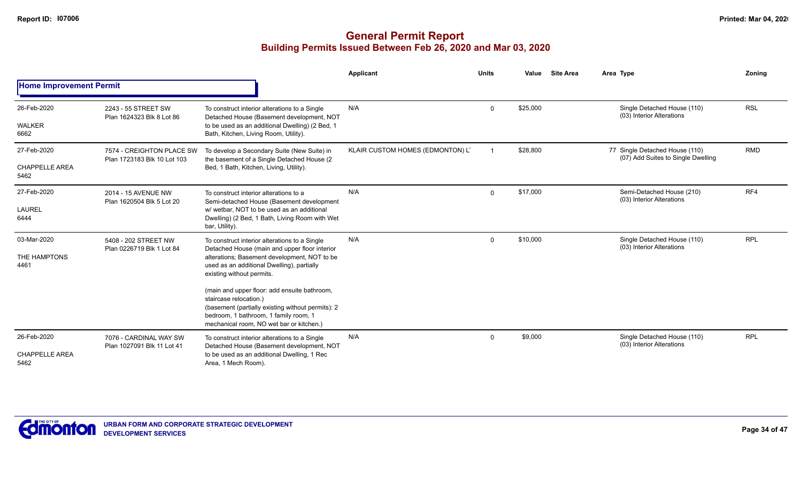|                                |                                                          |                                                                                                                                                                                                                  | Applicant                        | <b>Units</b> | Value    | <b>Site Area</b> | Area Type                                                            | Zoning     |
|--------------------------------|----------------------------------------------------------|------------------------------------------------------------------------------------------------------------------------------------------------------------------------------------------------------------------|----------------------------------|--------------|----------|------------------|----------------------------------------------------------------------|------------|
| <b>Home Improvement Permit</b> |                                                          |                                                                                                                                                                                                                  |                                  |              |          |                  |                                                                      |            |
| 26-Feb-2020                    | 2243 - 55 STREET SW<br>Plan 1624323 Blk 8 Lot 86         | To construct interior alterations to a Single<br>Detached House (Basement development, NOT                                                                                                                       | N/A                              | $\Omega$     | \$25,000 |                  | Single Detached House (110)<br>(03) Interior Alterations             | <b>RSL</b> |
| <b>WALKER</b><br>6662          |                                                          | to be used as an additional Dwelling) (2 Bed, 1<br>Bath, Kitchen, Living Room, Utility).                                                                                                                         |                                  |              |          |                  |                                                                      |            |
| 27-Feb-2020                    | 7574 - CREIGHTON PLACE SW<br>Plan 1723183 Blk 10 Lot 103 | To develop a Secondary Suite (New Suite) in<br>the basement of a Single Detached House (2                                                                                                                        | KLAIR CUSTOM HOMES (EDMONTON) LT |              | \$28,800 |                  | 77 Single Detached House (110)<br>(07) Add Suites to Single Dwelling | <b>RMD</b> |
| <b>CHAPPELLE AREA</b><br>5462  | 2014 - 15 AVENUE NW                                      | Bed, 1 Bath, Kitchen, Living, Utility).                                                                                                                                                                          |                                  |              |          |                  |                                                                      |            |
| 27-Feb-2020                    | Plan 1620504 Blk 5 Lot 20                                | To construct interior alterations to a<br>Semi-detached House (Basement development                                                                                                                              | N/A                              | $\mathbf 0$  | \$17,000 |                  | Semi-Detached House (210)<br>(03) Interior Alterations               | RF4        |
| LAUREL<br>6444                 |                                                          | w/wetbar. NOT to be used as an additional<br>Dwelling) (2 Bed, 1 Bath, Living Room with Wet<br>bar, Utility).                                                                                                    |                                  |              |          |                  |                                                                      |            |
| 03-Mar-2020                    | 5408 - 202 STREET NW<br>Plan 0226719 Blk 1 Lot 84        | To construct interior alterations to a Single<br>Detached House (main and upper floor interior                                                                                                                   | N/A                              | $\mathbf 0$  | \$10,000 |                  | Single Detached House (110)<br>(03) Interior Alterations             | <b>RPL</b> |
| THE HAMPTONS<br>4461           |                                                          | alterations; Basement development, NOT to be<br>used as an additional Dwelling), partially<br>existing without permits.                                                                                          |                                  |              |          |                  |                                                                      |            |
|                                |                                                          | (main and upper floor: add ensuite bathroom,<br>staircase relocation.)<br>(basement (partially existing without permits): 2<br>bedroom, 1 bathroom, 1 family room, 1<br>mechanical room, NO wet bar or kitchen.) |                                  |              |          |                  |                                                                      |            |
| 26-Feb-2020                    | 7076 - CARDINAL WAY SW<br>Plan 1027091 Blk 11 Lot 41     | To construct interior alterations to a Single<br>Detached House (Basement development, NOT                                                                                                                       | N/A                              | $\Omega$     | \$9,000  |                  | Single Detached House (110)<br>(03) Interior Alterations             | <b>RPL</b> |
| <b>CHAPPELLE AREA</b><br>5462  |                                                          | to be used as an additional Dwelling, 1 Rec<br>Area, 1 Mech Room).                                                                                                                                               |                                  |              |          |                  |                                                                      |            |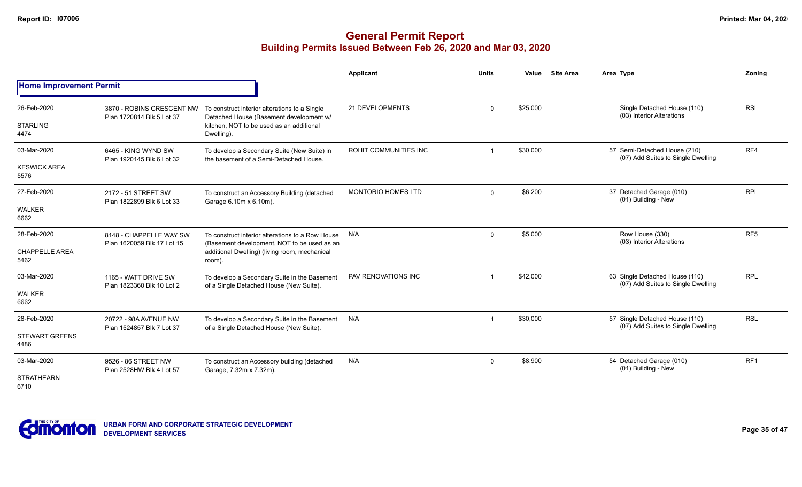|                                |                                                        |                                                                                                 | Applicant                 | <b>Units</b> | Value    | <b>Site Area</b> | Area Type                                                                                       | Zoning          |
|--------------------------------|--------------------------------------------------------|-------------------------------------------------------------------------------------------------|---------------------------|--------------|----------|------------------|-------------------------------------------------------------------------------------------------|-----------------|
| <b>Home Improvement Permit</b> |                                                        |                                                                                                 |                           |              |          |                  |                                                                                                 |                 |
| 26-Feb-2020                    | 3870 - ROBINS CRESCENT NW<br>Plan 1720814 Blk 5 Lot 37 | To construct interior alterations to a Single<br>Detached House (Basement development w/        | 21 DEVELOPMENTS           | $\Omega$     | \$25,000 |                  | Single Detached House (110)<br>(03) Interior Alterations                                        | <b>RSL</b>      |
| <b>STARLING</b><br>4474        |                                                        | kitchen. NOT to be used as an additional<br>Dwelling).                                          |                           |              |          |                  |                                                                                                 |                 |
| 03-Mar-2020                    | 6465 - KING WYND SW<br>Plan 1920145 Blk 6 Lot 32       | To develop a Secondary Suite (New Suite) in<br>the basement of a Semi-Detached House.           | ROHIT COMMUNITIES INC     |              | \$30,000 |                  | 57 Semi-Detached House (210)<br>(07) Add Suites to Single Dwelling                              | RF4             |
| <b>KESWICK AREA</b><br>5576    |                                                        |                                                                                                 |                           |              |          |                  | 37 Detached Garage (010)<br>(01) Building - New<br>Row House (330)<br>(03) Interior Alterations |                 |
| 27-Feb-2020                    | 2172 - 51 STREET SW<br>Plan 1822899 Blk 6 Lot 33       | To construct an Accessory Building (detached<br>Garage 6.10m x 6.10m).                          | <b>MONTORIO HOMES LTD</b> | $\Omega$     | \$6,200  |                  |                                                                                                 | <b>RPL</b>      |
| <b>WALKER</b><br>6662          |                                                        |                                                                                                 |                           |              |          |                  |                                                                                                 |                 |
| 28-Feb-2020                    | 8148 - CHAPPELLE WAY SW<br>Plan 1620059 Blk 17 Lot 15  | To construct interior alterations to a Row House<br>(Basement development, NOT to be used as an | N/A                       | $\Omega$     | \$5,000  |                  |                                                                                                 | RF <sub>5</sub> |
| <b>CHAPPELLE AREA</b><br>5462  |                                                        | additional Dwelling) (living room, mechanical<br>room).                                         |                           |              |          |                  |                                                                                                 |                 |
| 03-Mar-2020                    | 1165 - WATT DRIVE SW<br>Plan 1823360 Blk 10 Lot 2      | To develop a Secondary Suite in the Basement<br>of a Single Detached House (New Suite).         | PAV RENOVATIONS INC       |              | \$42,000 |                  | 63 Single Detached House (110)<br>(07) Add Suites to Single Dwelling                            | <b>RPL</b>      |
| <b>WALKER</b><br>6662          |                                                        |                                                                                                 |                           |              |          |                  |                                                                                                 |                 |
| 28-Feb-2020                    | 20722 - 98A AVENUE NW<br>Plan 1524857 Blk 7 Lot 37     | To develop a Secondary Suite in the Basement<br>of a Single Detached House (New Suite).         | N/A                       |              | \$30,000 |                  | 57 Single Detached House (110)<br>(07) Add Suites to Single Dwelling                            | <b>RSL</b>      |
| <b>STEWART GREENS</b><br>4486  |                                                        |                                                                                                 |                           |              |          |                  |                                                                                                 |                 |
| 03-Mar-2020                    | 9526 - 86 STREET NW<br>Plan 2528HW Blk 4 Lot 57        | To construct an Accessory building (detached<br>Garage, 7.32m x 7.32m).                         | N/A                       | 0            | \$8,900  |                  | 54 Detached Garage (010)<br>(01) Building - New                                                 | RF <sub>1</sub> |
| <b>STRATHEARN</b><br>6710      |                                                        |                                                                                                 |                           |              |          |                  |                                                                                                 |                 |

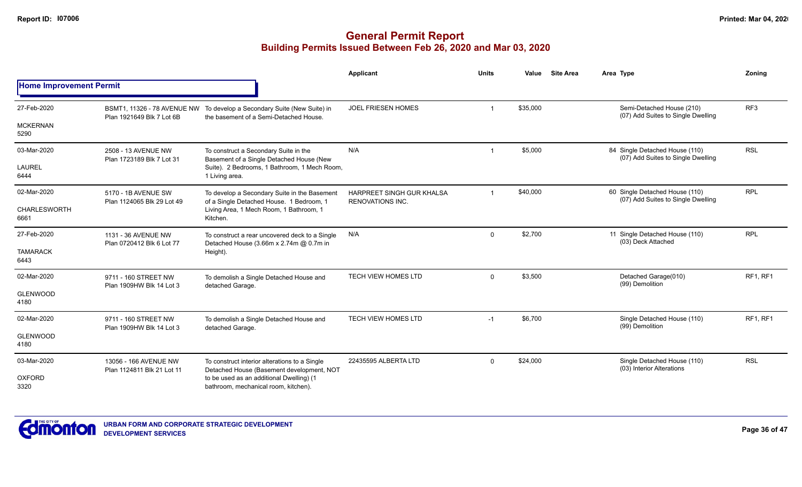|                                |                                                     |                                                                                                                   | <b>Applicant</b>                                     | <b>Units</b> | Value    | <b>Site Area</b> | Area Type                                                            | Zoning          |
|--------------------------------|-----------------------------------------------------|-------------------------------------------------------------------------------------------------------------------|------------------------------------------------------|--------------|----------|------------------|----------------------------------------------------------------------|-----------------|
| <b>Home Improvement Permit</b> |                                                     |                                                                                                                   |                                                      |              |          |                  |                                                                      |                 |
| 27-Feb-2020                    | Plan 1921649 Blk 7 Lot 6B                           | BSMT1, 11326 - 78 AVENUE NW To develop a Secondary Suite (New Suite) in<br>the basement of a Semi-Detached House. | <b>JOEL FRIESEN HOMES</b>                            | $\mathbf{1}$ | \$35,000 |                  | Semi-Detached House (210)<br>(07) Add Suites to Single Dwelling      | RF <sub>3</sub> |
| <b>MCKERNAN</b><br>5290        |                                                     |                                                                                                                   |                                                      |              |          |                  |                                                                      |                 |
| 03-Mar-2020                    | 2508 - 13 AVENUE NW<br>Plan 1723189 Blk 7 Lot 31    | To construct a Secondary Suite in the<br>Basement of a Single Detached House (New                                 | N/A                                                  | -1           | \$5,000  |                  | 84 Single Detached House (110)<br>(07) Add Suites to Single Dwelling | <b>RSL</b>      |
| <b>LAUREL</b><br>6444          |                                                     | Suite). 2 Bedrooms, 1 Bathroom, 1 Mech Room,<br>1 Living area.                                                    |                                                      |              |          |                  |                                                                      |                 |
| 02-Mar-2020                    | 5170 - 1B AVENUE SW<br>Plan 1124065 Blk 29 Lot 49   | To develop a Secondary Suite in the Basement<br>of a Single Detached House. 1 Bedroom, 1                          | HARPREET SINGH GUR KHALSA<br><b>RENOVATIONS INC.</b> | $\mathbf 1$  | \$40,000 |                  | 60 Single Detached House (110)<br>(07) Add Suites to Single Dwelling | <b>RPL</b>      |
| CHARLESWORTH<br>6661           |                                                     | Living Area, 1 Mech Room, 1 Bathroom, 1<br>Kitchen.                                                               |                                                      |              |          |                  |                                                                      |                 |
| 27-Feb-2020                    | 1131 - 36 AVENUE NW<br>Plan 0720412 Blk 6 Lot 77    | To construct a rear uncovered deck to a Single<br>Detached House (3.66m x 2.74m @ 0.7m in                         | N/A                                                  | $\Omega$     | \$2,700  |                  | 11 Single Detached House (110)<br>(03) Deck Attached                 | <b>RPL</b>      |
| <b>TAMARACK</b><br>6443        |                                                     | Height).                                                                                                          |                                                      |              |          |                  |                                                                      |                 |
| 02-Mar-2020                    | 9711 - 160 STREET NW<br>Plan 1909HW Blk 14 Lot 3    | To demolish a Single Detached House and<br>detached Garage.                                                       | TECH VIEW HOMES LTD                                  | $\mathbf 0$  | \$3,500  |                  | Detached Garage(010)<br>(99) Demolition                              | RF1, RF1        |
| <b>GLENWOOD</b><br>4180        |                                                     |                                                                                                                   |                                                      |              |          |                  |                                                                      |                 |
| 02-Mar-2020                    | 9711 - 160 STREET NW                                | To demolish a Single Detached House and<br>detached Garage.                                                       | TECH VIEW HOMES LTD                                  | $-1$         | \$6,700  |                  | Single Detached House (110)<br>(99) Demolition                       | RF1, RF1        |
| <b>GLENWOOD</b><br>4180        | Plan 1909HW Blk 14 Lot 3                            |                                                                                                                   |                                                      |              |          |                  |                                                                      |                 |
| 03-Mar-2020                    | 13056 - 166 AVENUE NW<br>Plan 1124811 Blk 21 Lot 11 | To construct interior alterations to a Single<br>Detached House (Basement development, NOT                        | 22435595 ALBERTA LTD                                 | $\Omega$     | \$24,000 |                  | Single Detached House (110)<br>(03) Interior Alterations             | <b>RSL</b>      |
| <b>OXFORD</b><br>3320          |                                                     | to be used as an additional Dwelling) (1<br>bathroom, mechanical room, kitchen).                                  |                                                      |              |          |                  |                                                                      |                 |

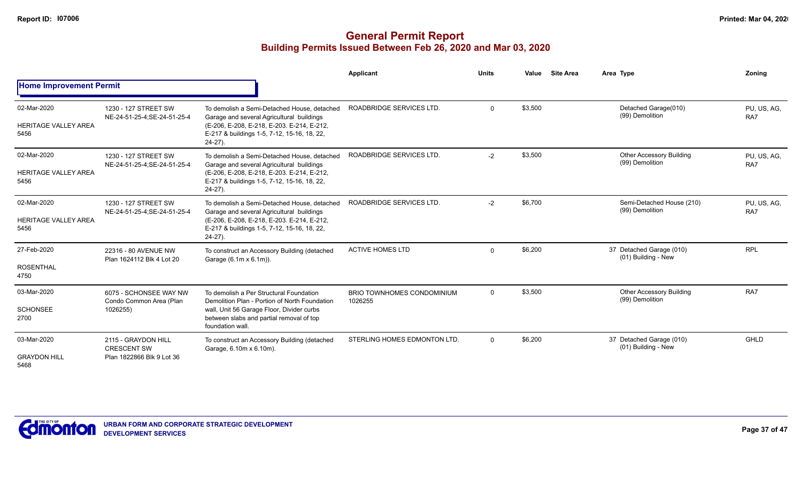|                                                    |                                                                        |                                                                                                                                                                                                       | <b>Applicant</b>                             | <b>Units</b> | <b>Site Area</b><br>Value | Area Type                                          | Zonina             |
|----------------------------------------------------|------------------------------------------------------------------------|-------------------------------------------------------------------------------------------------------------------------------------------------------------------------------------------------------|----------------------------------------------|--------------|---------------------------|----------------------------------------------------|--------------------|
| <b>Home Improvement Permit</b>                     |                                                                        |                                                                                                                                                                                                       |                                              |              |                           |                                                    |                    |
| 02-Mar-2020<br><b>HERITAGE VALLEY AREA</b><br>5456 | 1230 - 127 STREET SW<br>NE-24-51-25-4;SE-24-51-25-4                    | To demolish a Semi-Detached House, detached<br>Garage and several Agricultural buildings<br>(E-206, E-208, E-218, E-203, E-214, E-212,<br>E-217 & buildings 1-5, 7-12, 15-16, 18, 22,<br>$24-27$ ).   | ROADBRIDGE SERVICES LTD.                     | $\mathbf 0$  | \$3,500                   | Detached Garage(010)<br>(99) Demolition            | PU, US, AG,<br>RA7 |
| 02-Mar-2020<br><b>HERITAGE VALLEY AREA</b><br>5456 | 1230 - 127 STREET SW<br>NE-24-51-25-4;SE-24-51-25-4                    | To demolish a Semi-Detached House, detached<br>Garage and several Agricultural buildings<br>(E-206, E-208, E-218, E-203, E-214, E-212,<br>E-217 & buildings 1-5, 7-12, 15-16, 18, 22,<br>$24-27$ ).   | ROADBRIDGE SERVICES LTD.                     | $-2$         | \$3,500                   | <b>Other Accessory Building</b><br>(99) Demolition | PU, US, AG,<br>RA7 |
| 02-Mar-2020<br><b>HERITAGE VALLEY AREA</b><br>5456 | 1230 - 127 STREET SW<br>NE-24-51-25-4;SE-24-51-25-4                    | To demolish a Semi-Detached House, detached<br>Garage and several Agricultural buildings<br>(E-206, E-208, E-218, E-203. E-214, E-212,<br>E-217 & buildings 1-5, 7-12, 15-16, 18, 22,<br>$24-27$ ).   | ROADBRIDGE SERVICES LTD.                     | $-2$         | \$6,700                   | Semi-Detached House (210)<br>(99) Demolition       | PU, US, AG,<br>RA7 |
| 27-Feb-2020<br><b>ROSENTHAL</b><br>4750            | 22316 - 80 AVENUE NW<br>Plan 1624112 Blk 4 Lot 20                      | To construct an Accessory Building (detached<br>Garage (6.1m x 6.1m)).                                                                                                                                | <b>ACTIVE HOMES LTD</b>                      | $\Omega$     | \$6,200                   | 37 Detached Garage (010)<br>(01) Building - New    | <b>RPL</b>         |
| 03-Mar-2020<br><b>SCHONSEE</b><br>2700             | 6075 - SCHONSEE WAY NW<br>Condo Common Area (Plan<br>1026255)          | To demolish a Per Structural Foundation<br>Demolition Plan - Portion of North Foundation<br>wall, Unit 56 Garage Floor, Divider curbs<br>between slabs and partial removal of top<br>foundation wall. | <b>BRIO TOWNHOMES CONDOMINIUM</b><br>1026255 | $\mathbf 0$  | \$3,500                   | <b>Other Accessory Building</b><br>(99) Demolition | RA7                |
| 03-Mar-2020<br><b>GRAYDON HILL</b><br>5468         | 2115 - GRAYDON HILL<br><b>CRESCENT SW</b><br>Plan 1822866 Blk 9 Lot 36 | To construct an Accessory Building (detached<br>Garage, 6.10m x 6.10m).                                                                                                                               | STERLING HOMES EDMONTON LTD.                 | $\mathbf{0}$ | \$6,200                   | 37 Detached Garage (010)<br>(01) Building - New    | GHLD               |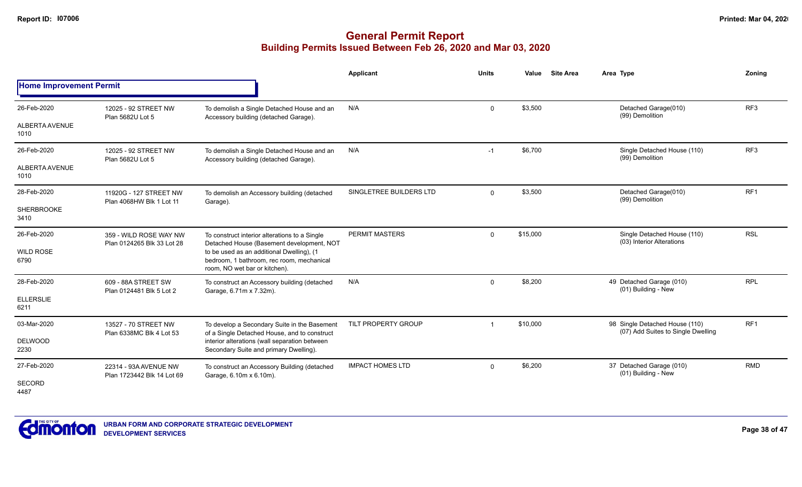|                                |                                                      |                                                                                                                         | <b>Applicant</b>        | <b>Units</b> | <b>Site Area</b><br>Value | Area Type                                                            | Zoning          |
|--------------------------------|------------------------------------------------------|-------------------------------------------------------------------------------------------------------------------------|-------------------------|--------------|---------------------------|----------------------------------------------------------------------|-----------------|
| <b>Home Improvement Permit</b> |                                                      |                                                                                                                         |                         |              |                           |                                                                      |                 |
| 26-Feb-2020                    | 12025 - 92 STREET NW                                 | To demolish a Single Detached House and an                                                                              | N/A                     | $\Omega$     | \$3,500                   | Detached Garage(010)<br>(99) Demolition                              | RF <sub>3</sub> |
| ALBERTA AVENUE<br>1010         | Plan 5682U Lot 5                                     | Accessory building (detached Garage).                                                                                   |                         |              |                           |                                                                      |                 |
| 26-Feb-2020                    | 12025 - 92 STREET NW<br>Plan 5682U Lot 5             | To demolish a Single Detached House and an<br>Accessory building (detached Garage).                                     | N/A                     | $-1$         | \$6,700                   | Single Detached House (110)<br>(99) Demolition                       | RF3             |
| ALBERTA AVENUE<br>1010         |                                                      |                                                                                                                         |                         |              |                           |                                                                      |                 |
| 28-Feb-2020                    | 11920G - 127 STREET NW<br>Plan 4068HW Blk 1 Lot 11   | To demolish an Accessory building (detached<br>Garage).                                                                 | SINGLETREE BUILDERS LTD | $\Omega$     | \$3,500                   | Detached Garage(010)<br>(99) Demolition                              | RF <sub>1</sub> |
| <b>SHERBROOKE</b><br>3410      |                                                      |                                                                                                                         |                         |              |                           |                                                                      |                 |
| 26-Feb-2020                    | 359 - WILD ROSE WAY NW<br>Plan 0124265 Blk 33 Lot 28 | To construct interior alterations to a Single<br>Detached House (Basement development, NOT                              | PERMIT MASTERS          | $\Omega$     | \$15,000                  | Single Detached House (110)<br>(03) Interior Alterations             | <b>RSL</b>      |
| <b>WILD ROSE</b><br>6790       |                                                      | to be used as an additional Dwelling), (1<br>bedroom, 1 bathroom, rec room, mechanical<br>room, NO wet bar or kitchen). |                         |              |                           |                                                                      |                 |
| 28-Feb-2020                    | 609 - 88A STREET SW<br>Plan 0124481 Blk 5 Lot 2      | To construct an Accessory building (detached<br>Garage, 6.71m x 7.32m).                                                 | N/A                     | $\Omega$     | \$8,200                   | 49 Detached Garage (010)<br>(01) Building - New                      | <b>RPL</b>      |
| <b>ELLERSLIE</b><br>6211       |                                                      |                                                                                                                         |                         |              |                           |                                                                      |                 |
| 03-Mar-2020                    | 13527 - 70 STREET NW<br>Plan 6338MC Blk 4 Lot 53     | To develop a Secondary Suite in the Basement<br>of a Single Detached House, and to construct                            | TILT PROPERTY GROUP     | -1           | \$10,000                  | 98 Single Detached House (110)<br>(07) Add Suites to Single Dwelling | RF <sub>1</sub> |
| DELWOOD<br>2230                |                                                      | interior alterations (wall separation between<br>Secondary Suite and primary Dwelling).                                 |                         |              |                           |                                                                      |                 |
| 27-Feb-2020                    | 22314 - 93A AVENUE NW<br>Plan 1723442 Blk 14 Lot 69  | To construct an Accessory Building (detached<br>Garage, 6.10m x 6.10m).                                                 | <b>IMPACT HOMES LTD</b> | $\Omega$     | \$6,200                   | 37 Detached Garage (010)<br>(01) Building - New                      | <b>RMD</b>      |
| SECORD<br>4487                 |                                                      |                                                                                                                         |                         |              |                           |                                                                      |                 |

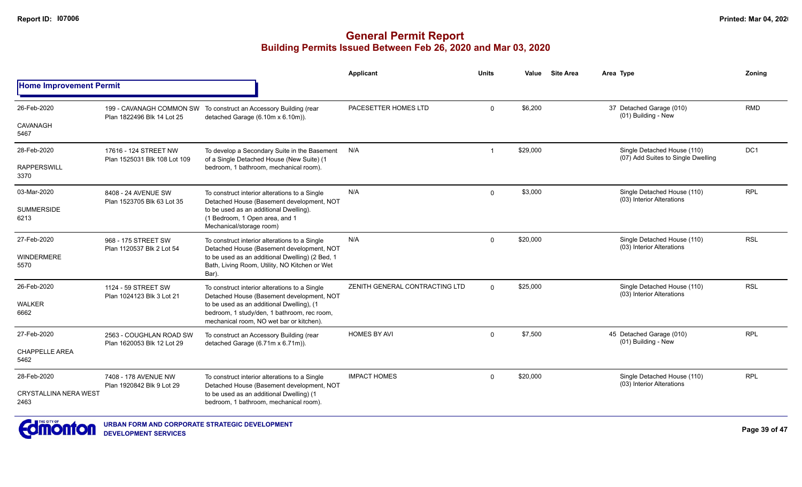|                                      |                                                        |                                                                                                                                      | Applicant                      | <b>Units</b>            | Value    | <b>Site Area</b> | Area Type                                                         | Zoning          |
|--------------------------------------|--------------------------------------------------------|--------------------------------------------------------------------------------------------------------------------------------------|--------------------------------|-------------------------|----------|------------------|-------------------------------------------------------------------|-----------------|
| <b>Home Improvement Permit</b>       |                                                        |                                                                                                                                      |                                |                         |          |                  |                                                                   |                 |
| 26-Feb-2020                          | 199 - CAVANAGH COMMON SW<br>Plan 1822496 Blk 14 Lot 25 | To construct an Accessory Building (rear<br>detached Garage (6.10m x 6.10m)).                                                        | PACESETTER HOMES LTD           | $\mathbf 0$             | \$6,200  |                  | 37 Detached Garage (010)<br>(01) Building - New                   | <b>RMD</b>      |
| CAVANAGH<br>5467                     |                                                        |                                                                                                                                      |                                |                         |          |                  |                                                                   |                 |
| 28-Feb-2020                          | 17616 - 124 STREET NW<br>Plan 1525031 Blk 108 Lot 109  | To develop a Secondary Suite in the Basement                                                                                         | N/A                            | $\overline{\mathbf{1}}$ | \$29,000 |                  | Single Detached House (110)<br>(07) Add Suites to Single Dwelling | DC <sub>1</sub> |
| <b>RAPPERSWILL</b><br>3370           |                                                        | of a Single Detached House (New Suite) (1<br>bedroom, 1 bathroom, mechanical room).                                                  |                                |                         |          |                  |                                                                   |                 |
| 03-Mar-2020                          | 8408 - 24 AVENUE SW<br>Plan 1523705 Blk 63 Lot 35      | To construct interior alterations to a Single<br>Detached House (Basement development, NOT                                           | N/A                            | $\mathbf 0$             | \$3,000  |                  | Single Detached House (110)<br>(03) Interior Alterations          | <b>RPL</b>      |
| <b>SUMMERSIDE</b><br>6213            |                                                        | to be used as an additional Dwelling).<br>(1 Bedroom, 1 Open area, and 1<br>Mechanical/storage room)                                 |                                |                         |          |                  |                                                                   |                 |
| 27-Feb-2020                          | 968 - 175 STREET SW<br>Plan 1120537 Blk 2 Lot 54       | To construct interior alterations to a Single<br>Detached House (Basement development, NOT                                           | N/A                            | $\mathbf 0$             | \$20,000 |                  | Single Detached House (110)<br>(03) Interior Alterations          | <b>RSL</b>      |
| WINDERMERE<br>5570                   |                                                        | to be used as an additional Dwelling) (2 Bed, 1<br>Bath, Living Room, Utility, NO Kitchen or Wet<br>Bar).                            |                                |                         |          |                  |                                                                   |                 |
| 26-Feb-2020                          | 1124 - 59 STREET SW<br>Plan 1024123 Blk 3 Lot 21       | To construct interior alterations to a Single<br>Detached House (Basement development, NOT                                           | ZENITH GENERAL CONTRACTING LTD | $\Omega$                | \$25,000 |                  | Single Detached House (110)<br>(03) Interior Alterations          | <b>RSL</b>      |
| <b>WALKER</b><br>6662                |                                                        | to be used as an additional Dwelling), (1<br>bedroom, 1 study/den, 1 bathroom, rec room,<br>mechanical room, NO wet bar or kitchen). |                                |                         |          |                  |                                                                   |                 |
| 27-Feb-2020                          | 2563 - COUGHLAN ROAD SW<br>Plan 1620053 Blk 12 Lot 29  | To construct an Accessory Building (rear<br>detached Garage (6.71m x 6.71m)).                                                        | <b>HOMES BY AVI</b>            | $\Omega$                | \$7,500  |                  | 45 Detached Garage (010)<br>(01) Building - New                   | <b>RPL</b>      |
| <b>CHAPPELLE AREA</b><br>5462        |                                                        |                                                                                                                                      |                                |                         |          |                  |                                                                   |                 |
| 28-Feb-2020                          | 7408 - 178 AVENUE NW<br>Plan 1920842 Blk 9 Lot 29      | To construct interior alterations to a Single<br>Detached House (Basement development, NOT                                           | <b>IMPACT HOMES</b>            | $\Omega$                | \$20,000 |                  | Single Detached House (110)<br>(03) Interior Alterations          | <b>RPL</b>      |
| <b>CRYSTALLINA NERA WEST</b><br>2463 |                                                        | to be used as an additional Dwelling) (1<br>bedroom, 1 bathroom, mechanical room).                                                   |                                |                         |          |                  |                                                                   |                 |

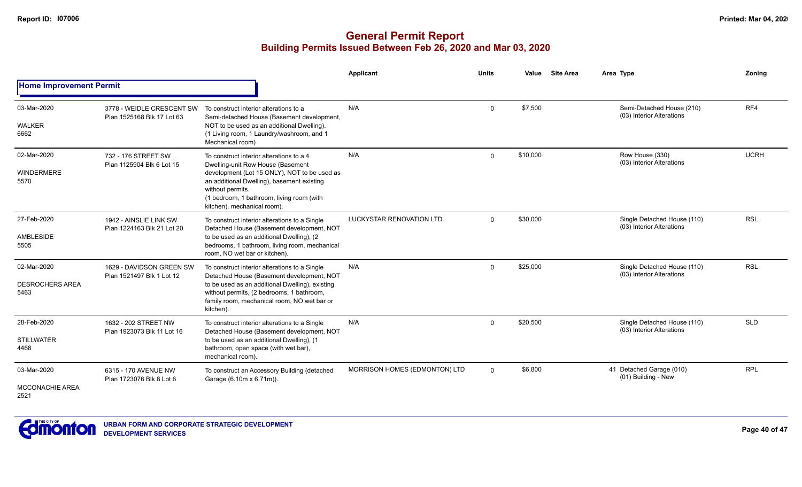|                                               |                                                         |                                                                                                                                                                                                                                                                             | Applicant                     | <b>Units</b> | Value    | <b>Site Area</b> | Area Type                                                | Zoning      |
|-----------------------------------------------|---------------------------------------------------------|-----------------------------------------------------------------------------------------------------------------------------------------------------------------------------------------------------------------------------------------------------------------------------|-------------------------------|--------------|----------|------------------|----------------------------------------------------------|-------------|
| <b>Home Improvement Permit</b>                |                                                         |                                                                                                                                                                                                                                                                             |                               |              |          |                  |                                                          |             |
| 03-Mar-2020<br>WALKER<br>6662                 | 3778 - WEIDLE CRESCENT SW<br>Plan 1525168 Blk 17 Lot 63 | To construct interior alterations to a<br>Semi-detached House (Basement development,<br>NOT to be used as an additional Dwelling).<br>(1 Living room, 1 Laundry/washroom, and 1<br>Mechanical room)                                                                         | N/A                           | $\Omega$     | \$7,500  |                  | Semi-Detached House (210)<br>(03) Interior Alterations   | RF4         |
| 02-Mar-2020<br>WINDERMERE<br>5570             | 732 - 176 STREET SW<br>Plan 1125904 Blk 6 Lot 15        | To construct interior alterations to a 4<br>Dwelling-unit Row House (Basement<br>development (Lot 15 ONLY), NOT to be used as<br>an additional Dwelling), basement existing<br>without permits.<br>(1 bedroom, 1 bathroom, living room (with<br>kitchen), mechanical room). | N/A                           | $\Omega$     | \$10,000 |                  | Row House (330)<br>(03) Interior Alterations             | <b>UCRH</b> |
| 27-Feb-2020<br>AMBLESIDE<br>5505              | 1942 - AINSLIE LINK SW<br>Plan 1224163 Blk 21 Lot 20    | To construct interior alterations to a Single<br>Detached House (Basement development, NOT<br>to be used as an additional Dwelling), (2<br>bedrooms, 1 bathroom, living room, mechanical<br>room, NO wet bar or kitchen).                                                   | LUCKYSTAR RENOVATION LTD.     | $\Omega$     | \$30,000 |                  | Single Detached House (110)<br>(03) Interior Alterations | <b>RSL</b>  |
| 02-Mar-2020<br><b>DESROCHERS AREA</b><br>5463 | 1629 - DAVIDSON GREEN SW<br>Plan 1521497 Blk 1 Lot 12   | To construct interior alterations to a Single<br>Detached House (Basement development, NOT<br>to be used as an additional Dwelling), existing<br>without permits, (2 bedrooms, 1 bathroom,<br>family room, mechanical room, NO wet bar or<br>kitchen).                      | N/A                           | $\Omega$     | \$25,000 |                  | Single Detached House (110)<br>(03) Interior Alterations | <b>RSL</b>  |
| 28-Feb-2020<br><b>STILLWATER</b><br>4468      | 1632 - 202 STREET NW<br>Plan 1923073 Blk 11 Lot 16      | To construct interior alterations to a Single<br>Detached House (Basement development, NOT<br>to be used as an additional Dwelling), (1<br>bathroom, open space (with wet bar),<br>mechanical room).                                                                        | N/A                           | $\Omega$     | \$20,500 |                  | Single Detached House (110)<br>(03) Interior Alterations | <b>SLD</b>  |
| 03-Mar-2020<br><b>MCCONACHIE AREA</b><br>2521 | 6315 - 170 AVENUE NW<br>Plan 1723076 Blk 8 Lot 6        | To construct an Accessory Building (detached<br>Garage (6.10m x 6.71m)).                                                                                                                                                                                                    | MORRISON HOMES (EDMONTON) LTD | $\Omega$     | \$6,800  |                  | 41 Detached Garage (010)<br>(01) Building - New          | <b>RPL</b>  |

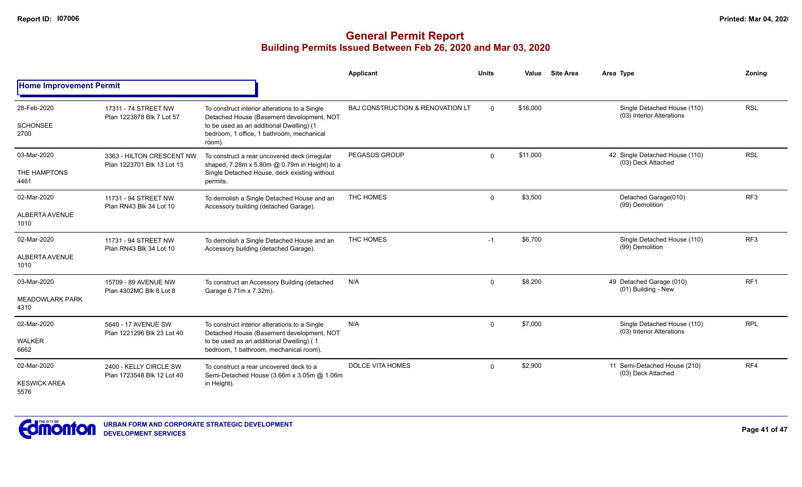|                                               |                                                         |                                                                                                                                                                                               | Applicant                        | <b>Units</b> | Value    | <b>Site Area</b> | Area Type                                                | Zoning          |
|-----------------------------------------------|---------------------------------------------------------|-----------------------------------------------------------------------------------------------------------------------------------------------------------------------------------------------|----------------------------------|--------------|----------|------------------|----------------------------------------------------------|-----------------|
| <b>Home Improvement Permit</b>                |                                                         |                                                                                                                                                                                               |                                  |              |          |                  |                                                          |                 |
| 28-Feb-2020<br><b>SCHONSEE</b><br>2700        | 17311 - 74 STREET NW<br>Plan 1223878 Blk 7 Lot 57       | To construct interior alterations to a Single<br>Detached House (Basement development, NOT<br>to be used as an additional Dwelling) (1<br>bedroom, 1 office, 1 bathroom, mechanical<br>room). | BAJ CONSTRUCTION & RENOVATION LT | $\Omega$     | \$16,000 |                  | Single Detached House (110)<br>(03) Interior Alterations | <b>RSL</b>      |
| 03-Mar-2020<br>THE HAMPTONS<br>4461           | 3363 - HILTON CRESCENT NW<br>Plan 1223701 Blk 13 Lot 13 | To construct a rear uncovered deck (irregular<br>shaped, 7.28m x 5.80m @ 0.79m in Height) to a<br>Single Detached House, deck existing without<br>permits.                                    | <b>PEGASUS GROUP</b>             | $\Omega$     | \$11,000 |                  | 42 Single Detached House (110)<br>(03) Deck Attached     | <b>RSL</b>      |
| 02-Mar-2020<br><b>ALBERTA AVENUE</b><br>1010  | 11731 - 94 STREET NW<br>Plan RN43 Blk 34 Lot 10         | To demolish a Single Detached House and an<br>Accessory building (detached Garage).                                                                                                           | THC HOMES                        | $\Omega$     | \$3,500  |                  | Detached Garage(010)<br>(99) Demolition                  | RF <sub>3</sub> |
| 02-Mar-2020<br>ALBERTA AVENUE<br>1010         | 11731 - 94 STREET NW<br>Plan RN43 Blk 34 Lot 10         | To demolish a Single Detached House and an<br>Accessory building (detached Garage).                                                                                                           | THC HOMES                        | $-1$         | \$6,700  |                  | Single Detached House (110)<br>(99) Demolition           | RF3             |
| 03-Mar-2020<br><b>MEADOWLARK PARK</b><br>4310 | 15709 - 89 AVENUE NW<br>Plan 4302MC Blk 8 Lot 8         | To construct an Accessory Building (detached<br>Garage 6.71m x 7.32m).                                                                                                                        | N/A                              | $\Omega$     | \$8,200  |                  | 49 Detached Garage (010)<br>(01) Building - New          | RF <sub>1</sub> |
| 02-Mar-2020<br><b>WALKER</b><br>6662          | 5640 - 17 AVENUE SW<br>Plan 1221296 Blk 23 Lot 40       | To construct interior alterations to a Single<br>Detached House (Basement development, NOT<br>to be used as an additional Dwelling) (1<br>bedroom, 1 bathroom, mechanical room).              | N/A                              | $\Omega$     | \$7,000  |                  | Single Detached House (110)<br>(03) Interior Alterations | <b>RPL</b>      |
| 02-Mar-2020<br><b>KESWICK AREA</b><br>5576    | 2400 - KELLY CIRCLE SW<br>Plan 1723548 Blk 12 Lot 40    | To construct a rear uncovered deck to a<br>Semi-Detached House (3.66m x 3.05m @ 1.06m<br>in Height).                                                                                          | <b>DOLCE VITA HOMES</b>          | $\Omega$     | \$2,900  |                  | 11 Semi-Detached House (210)<br>(03) Deck Attached       | RF4             |

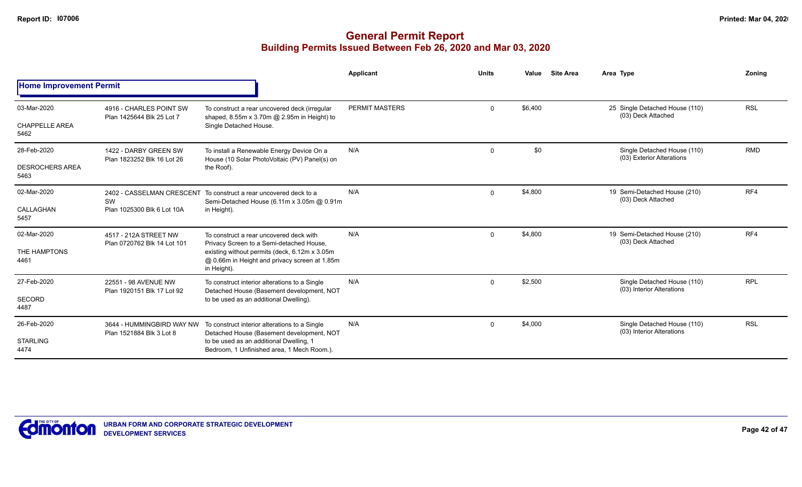|                                |                                                       |                                                                                                               | Applicant      | <b>Units</b> | Value   | <b>Site Area</b> | Area Type                                                | Zoning     |
|--------------------------------|-------------------------------------------------------|---------------------------------------------------------------------------------------------------------------|----------------|--------------|---------|------------------|----------------------------------------------------------|------------|
| <b>Home Improvement Permit</b> |                                                       |                                                                                                               |                |              |         |                  |                                                          |            |
| 03-Mar-2020                    | 4916 - CHARLES POINT SW<br>Plan 1425644 Blk 25 Lot 7  | To construct a rear uncovered deck (irregular<br>shaped, 8.55m x 3.70m @ 2.95m in Height) to                  | PERMIT MASTERS | $\mathbf 0$  | \$6,400 |                  | 25 Single Detached House (110)<br>(03) Deck Attached     | <b>RSL</b> |
| <b>CHAPPELLE AREA</b><br>5462  |                                                       | Single Detached House.                                                                                        |                |              |         |                  |                                                          |            |
| 28-Feb-2020                    | 1422 - DARBY GREEN SW<br>Plan 1823252 Blk 16 Lot 26   | To install a Renewable Energy Device On a<br>House (10 Solar PhotoVoltaic (PV) Panel(s) on                    | N/A            | $\mathbf 0$  | \$0     |                  | Single Detached House (110)<br>(03) Exterior Alterations | <b>RMD</b> |
| <b>DESROCHERS AREA</b><br>5463 |                                                       | the Roof).                                                                                                    |                |              |         |                  |                                                          |            |
| 02-Mar-2020                    | 2402 - CASSELMAN CRESCENT<br>SW                       | To construct a rear uncovered deck to a<br>Semi-Detached House (6.11m x 3.05m @ 0.91m                         | N/A            | $\mathbf 0$  | \$4,800 |                  | 19 Semi-Detached House (210)<br>(03) Deck Attached       | RF4        |
| CALLAGHAN<br>5457              | Plan 1025300 Blk 6 Lot 10A                            | in Height).                                                                                                   |                |              |         |                  |                                                          |            |
| 02-Mar-2020                    | 4517 - 212A STREET NW<br>Plan 0720762 Blk 14 Lot 101  | To construct a rear uncovered deck with<br>Privacy Screen to a Semi-detached House,                           | N/A            | $\mathbf 0$  | \$4,800 |                  | 19 Semi-Detached House (210)<br>(03) Deck Attached       | RF4        |
| THE HAMPTONS<br>4461           |                                                       | existing without permits (deck, 6.12m x 3.05m<br>@ 0.66m in Height and privacy screen at 1.85m<br>in Height). |                |              |         |                  |                                                          |            |
| 27-Feb-2020                    | 22551 - 98 AVENUE NW<br>Plan 1920151 Blk 17 Lot 92    | To construct interior alterations to a Single                                                                 | N/A            | $\Omega$     | \$2,500 |                  | Single Detached House (110)<br>(03) Interior Alterations | <b>RPL</b> |
| <b>SECORD</b><br>4487          |                                                       | Detached House (Basement development, NOT<br>to be used as an additional Dwelling).                           |                |              |         |                  |                                                          |            |
| 26-Feb-2020                    | 3644 - HUMMINGBIRD WAY NW<br>Plan 1521884 Blk 3 Lot 8 | To construct interior alterations to a Single<br>Detached House (Basement development, NOT                    | N/A            | $\mathbf 0$  | \$4,000 |                  | Single Detached House (110)<br>(03) Interior Alterations | <b>RSL</b> |
| <b>STARLING</b><br>4474        |                                                       | to be used as an additional Dwelling, 1<br>Bedroom, 1 Unfinished area, 1 Mech Room.).                         |                |              |         |                  |                                                          |            |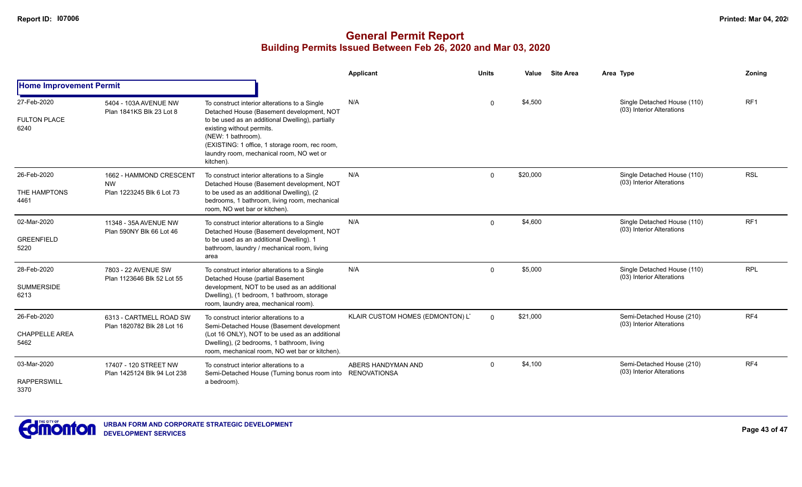|                                              |                                                                   |                                                                                                                                                                                                                                                                                                              | Applicant                                 | <b>Units</b> | Value    | <b>Site Area</b> | Area Type                                                | Zoning          |
|----------------------------------------------|-------------------------------------------------------------------|--------------------------------------------------------------------------------------------------------------------------------------------------------------------------------------------------------------------------------------------------------------------------------------------------------------|-------------------------------------------|--------------|----------|------------------|----------------------------------------------------------|-----------------|
| <b>Home Improvement Permit</b>               |                                                                   |                                                                                                                                                                                                                                                                                                              |                                           |              |          |                  |                                                          |                 |
| 27-Feb-2020<br><b>FULTON PLACE</b><br>6240   | 5404 - 103A AVENUE NW<br>Plan 1841KS Blk 23 Lot 8                 | To construct interior alterations to a Single<br>Detached House (Basement development, NOT<br>to be used as an additional Dwelling), partially<br>existing without permits.<br>(NEW: 1 bathroom).<br>(EXISTING: 1 office, 1 storage room, rec room,<br>laundry room, mechanical room, NO wet or<br>kitchen). | N/A                                       | $\Omega$     | \$4,500  |                  | Single Detached House (110)<br>(03) Interior Alterations | RF <sub>1</sub> |
| 26-Feb-2020<br>THE HAMPTONS<br>4461          | 1662 - HAMMOND CRESCENT<br><b>NW</b><br>Plan 1223245 Blk 6 Lot 73 | To construct interior alterations to a Single<br>Detached House (Basement development, NOT<br>to be used as an additional Dwelling), (2<br>bedrooms, 1 bathroom, living room, mechanical<br>room, NO wet bar or kitchen).                                                                                    | N/A                                       | $\mathbf 0$  | \$20,000 |                  | Single Detached House (110)<br>(03) Interior Alterations | <b>RSL</b>      |
| 02-Mar-2020<br><b>GREENFIELD</b><br>5220     | 11348 - 35A AVENUE NW<br>Plan 590NY Blk 66 Lot 46                 | To construct interior alterations to a Single<br>Detached House (Basement development, NOT<br>to be used as an additional Dwelling). 1<br>bathroom, laundry / mechanical room, living<br>area                                                                                                                | N/A                                       | $\Omega$     | \$4,600  |                  | Single Detached House (110)<br>(03) Interior Alterations | RF <sub>1</sub> |
| 28-Feb-2020<br><b>SUMMERSIDE</b><br>6213     | 7803 - 22 AVENUE SW<br>Plan 1123646 Blk 52 Lot 55                 | To construct interior alterations to a Single<br>Detached House (partial Basement<br>development, NOT to be used as an additional<br>Dwelling), (1 bedroom, 1 bathroom, storage<br>room, laundry area, mechanical room).                                                                                     | N/A                                       | $\mathbf 0$  | \$5,000  |                  | Single Detached House (110)<br>(03) Interior Alterations | <b>RPL</b>      |
| 26-Feb-2020<br><b>CHAPPELLE AREA</b><br>5462 | 6313 - CARTMELL ROAD SW<br>Plan 1820782 Blk 28 Lot 16             | To construct interior alterations to a<br>Semi-Detached House (Basement development<br>(Lot 16 ONLY), NOT to be used as an additional<br>Dwelling), (2 bedrooms, 1 bathroom, living<br>room, mechanical room, NO wet bar or kitchen).                                                                        | KLAIR CUSTOM HOMES (EDMONTON) LT          | $\Omega$     | \$21,000 |                  | Semi-Detached House (210)<br>(03) Interior Alterations   | RF4             |
| 03-Mar-2020<br><b>RAPPERSWILL</b><br>3370    | 17407 - 120 STREET NW<br>Plan 1425124 Blk 94 Lot 238              | To construct interior alterations to a<br>Semi-Detached House (Turning bonus room into<br>a bedroom).                                                                                                                                                                                                        | ABERS HANDYMAN AND<br><b>RENOVATIONSA</b> | $\Omega$     | \$4,100  |                  | Semi-Detached House (210)<br>(03) Interior Alterations   | RF4             |

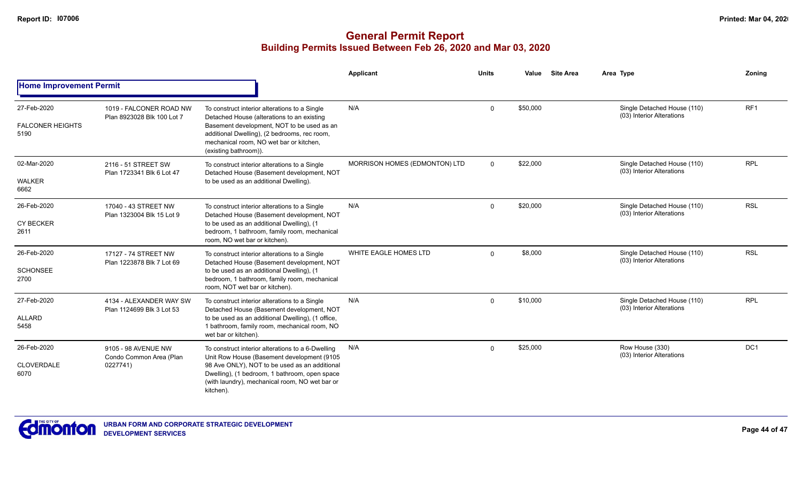|                                                |                                                            |                                                                                                                                                                                                                                                                  | Applicant                     | <b>Units</b> | Value    | <b>Site Area</b> | Area Type                                                | Zoning     |
|------------------------------------------------|------------------------------------------------------------|------------------------------------------------------------------------------------------------------------------------------------------------------------------------------------------------------------------------------------------------------------------|-------------------------------|--------------|----------|------------------|----------------------------------------------------------|------------|
| <b>Home Improvement Permit</b>                 |                                                            |                                                                                                                                                                                                                                                                  |                               |              |          |                  |                                                          |            |
| 27-Feb-2020<br><b>FALCONER HEIGHTS</b><br>5190 | 1019 - FALCONER ROAD NW<br>Plan 8923028 Blk 100 Lot 7      | To construct interior alterations to a Single<br>Detached House (alterations to an existing<br>Basement development, NOT to be used as an<br>additional Dwelling), (2 bedrooms, rec room,<br>mechanical room, NO wet bar or kitchen,<br>(existing bathroom)).    | N/A                           | $\Omega$     | \$50,000 |                  | Single Detached House (110)<br>(03) Interior Alterations | RF1        |
| 02-Mar-2020<br><b>WALKER</b><br>6662           | 2116 - 51 STREET SW<br>Plan 1723341 Blk 6 Lot 47           | To construct interior alterations to a Single<br>Detached House (Basement development, NOT<br>to be used as an additional Dwelling).                                                                                                                             | MORRISON HOMES (EDMONTON) LTD | $\Omega$     | \$22,000 |                  | Single Detached House (110)<br>(03) Interior Alterations | <b>RPL</b> |
| 26-Feb-2020<br><b>CY BECKER</b><br>2611        | 17040 - 43 STREET NW<br>Plan 1323004 Blk 15 Lot 9          | To construct interior alterations to a Single<br>Detached House (Basement development, NOT<br>to be used as an additional Dwelling), (1<br>bedroom, 1 bathroom, family room, mechanical<br>room, NO wet bar or kitchen).                                         | N/A                           | $\Omega$     | \$20,000 |                  | Single Detached House (110)<br>(03) Interior Alterations | <b>RSL</b> |
| 26-Feb-2020<br><b>SCHONSEE</b><br>2700         | 17127 - 74 STREET NW<br>Plan 1223878 Blk 7 Lot 69          | To construct interior alterations to a Single<br>Detached House (Basement development, NOT<br>to be used as an additional Dwelling), (1<br>bedroom, 1 bathroom, family room, mechanical<br>room, NOT wet bar or kitchen).                                        | WHITE EAGLE HOMES LTD         | $\Omega$     | \$8,000  |                  | Single Detached House (110)<br>(03) Interior Alterations | <b>RSL</b> |
| 27-Feb-2020<br><b>ALLARD</b><br>5458           | 4134 - ALEXANDER WAY SW<br>Plan 1124699 Blk 3 Lot 53       | To construct interior alterations to a Single<br>Detached House (Basement development, NOT<br>to be used as an additional Dwelling), (1 office,<br>1 bathroom, family room, mechanical room, NO<br>wet bar or kitchen).                                          | N/A                           | $\Omega$     | \$10,000 |                  | Single Detached House (110)<br>(03) Interior Alterations | <b>RPL</b> |
| 26-Feb-2020<br>CLOVERDALE<br>6070              | 9105 - 98 AVENUE NW<br>Condo Common Area (Plan<br>0227741) | To construct interior alterations to a 6-Dwelling<br>Unit Row House (Basement development (9105<br>98 Ave ONLY), NOT to be used as an additional<br>Dwelling), (1 bedroom, 1 bathroom, open space<br>(with laundry), mechanical room, NO wet bar or<br>kitchen). | N/A                           | $\Omega$     | \$25,000 |                  | Row House (330)<br>(03) Interior Alterations             | DC1        |

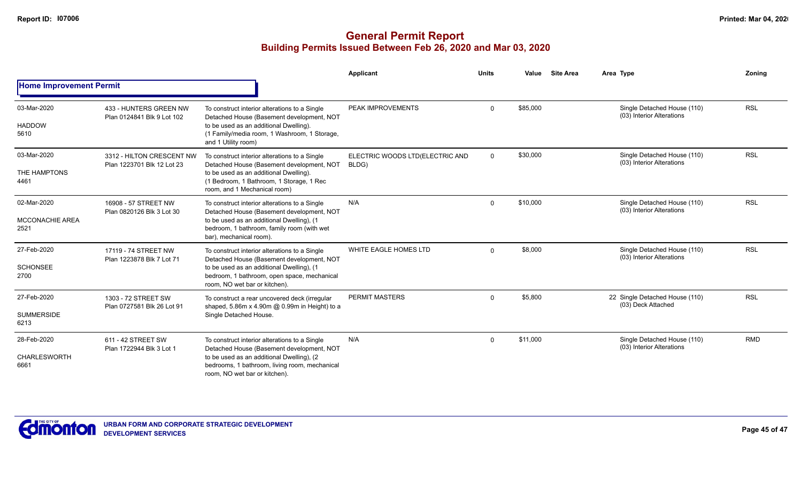|                                               |                                                         |                                                                                                                                                                                                                           | Applicant                                | <b>Units</b> | Value    | <b>Site Area</b> | Area Type                                                | Zoning     |
|-----------------------------------------------|---------------------------------------------------------|---------------------------------------------------------------------------------------------------------------------------------------------------------------------------------------------------------------------------|------------------------------------------|--------------|----------|------------------|----------------------------------------------------------|------------|
| <b>Home Improvement Permit</b>                |                                                         |                                                                                                                                                                                                                           |                                          |              |          |                  |                                                          |            |
| 03-Mar-2020<br><b>HADDOW</b><br>5610          | 433 - HUNTERS GREEN NW<br>Plan 0124841 Blk 9 Lot 102    | To construct interior alterations to a Single<br>Detached House (Basement development, NOT<br>to be used as an additional Dwelling).<br>(1 Family/media room, 1 Washroom, 1 Storage,<br>and 1 Utility room)               | PEAK IMPROVEMENTS                        | $\Omega$     | \$85,000 |                  | Single Detached House (110)<br>(03) Interior Alterations | <b>RSL</b> |
| 03-Mar-2020<br>THE HAMPTONS<br>4461           | 3312 - HILTON CRESCENT NW<br>Plan 1223701 Blk 12 Lot 23 | To construct interior alterations to a Single<br>Detached House (Basement development, NOT<br>to be used as an additional Dwelling).<br>(1 Bedroom, 1 Bathroom, 1 Storage, 1 Rec<br>room, and 1 Mechanical room)          | ELECTRIC WOODS LTD(ELECTRIC AND<br>BLDG) | $\Omega$     | \$30,000 |                  | Single Detached House (110)<br>(03) Interior Alterations | <b>RSL</b> |
| 02-Mar-2020<br><b>MCCONACHIE AREA</b><br>2521 | 16908 - 57 STREET NW<br>Plan 0820126 Blk 3 Lot 30       | To construct interior alterations to a Single<br>Detached House (Basement development, NOT<br>to be used as an additional Dwelling), (1<br>bedroom, 1 bathroom, family room (with wet<br>bar), mechanical room).          | N/A                                      | $\Omega$     | \$10,000 |                  | Single Detached House (110)<br>(03) Interior Alterations | <b>RSL</b> |
| 27-Feb-2020<br><b>SCHONSEE</b><br>2700        | 17119 - 74 STREET NW<br>Plan 1223878 Blk 7 Lot 71       | To construct interior alterations to a Single<br>Detached House (Basement development, NOT<br>to be used as an additional Dwelling), (1<br>bedroom, 1 bathroom, open space, mechanical<br>room, NO wet bar or kitchen).   | WHITE EAGLE HOMES LTD                    | $\Omega$     | \$8,000  |                  | Single Detached House (110)<br>(03) Interior Alterations | <b>RSL</b> |
| 27-Feb-2020<br><b>SUMMERSIDE</b><br>6213      | 1303 - 72 STREET SW<br>Plan 0727581 Blk 26 Lot 91       | To construct a rear uncovered deck (irregular<br>shaped, 5.86m x 4.90m @ 0.99m in Height) to a<br>Single Detached House.                                                                                                  | <b>PERMIT MASTERS</b>                    | $\Omega$     | \$5,800  |                  | 22 Single Detached House (110)<br>(03) Deck Attached     | <b>RSL</b> |
| 28-Feb-2020<br>CHARLESWORTH<br>6661           | 611 - 42 STREET SW<br>Plan 1722944 Blk 3 Lot 1          | To construct interior alterations to a Single<br>Detached House (Basement development, NOT<br>to be used as an additional Dwelling), (2<br>bedrooms, 1 bathroom, living room, mechanical<br>room, NO wet bar or kitchen). | N/A                                      | $\Omega$     | \$11,000 |                  | Single Detached House (110)<br>(03) Interior Alterations | <b>RMD</b> |

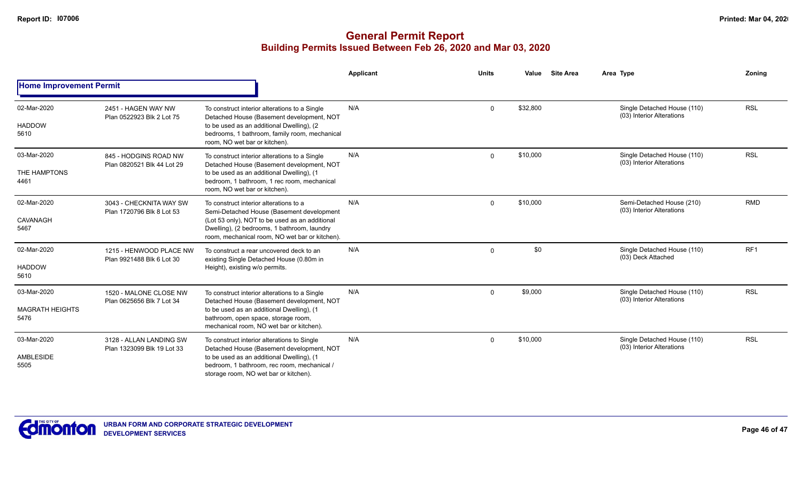|                                               |                                                       |                                                                                                                                                                                                                                        | Applicant | <b>Units</b> | Value    | <b>Site Area</b> | Area Type                                                | Zoning     |
|-----------------------------------------------|-------------------------------------------------------|----------------------------------------------------------------------------------------------------------------------------------------------------------------------------------------------------------------------------------------|-----------|--------------|----------|------------------|----------------------------------------------------------|------------|
| <b>Home Improvement Permit</b>                |                                                       |                                                                                                                                                                                                                                        |           |              |          |                  |                                                          |            |
| 02-Mar-2020<br><b>HADDOW</b><br>5610          | 2451 - HAGEN WAY NW<br>Plan 0522923 Blk 2 Lot 75      | To construct interior alterations to a Single<br>Detached House (Basement development, NOT<br>to be used as an additional Dwelling), (2)<br>bedrooms, 1 bathroom, family room, mechanical<br>room, NO wet bar or kitchen).             | N/A       | $\mathbf 0$  | \$32,800 |                  | Single Detached House (110)<br>(03) Interior Alterations | <b>RSL</b> |
| 03-Mar-2020<br>THE HAMPTONS<br>4461           | 845 - HODGINS ROAD NW<br>Plan 0820521 Blk 44 Lot 29   | To construct interior alterations to a Single<br>Detached House (Basement development, NOT<br>to be used as an additional Dwelling), (1<br>bedroom, 1 bathroom, 1 rec room, mechanical<br>room, NO wet bar or kitchen).                | N/A       | $\Omega$     | \$10,000 |                  | Single Detached House (110)<br>(03) Interior Alterations | <b>RSL</b> |
| 02-Mar-2020<br>CAVANAGH<br>5467               | 3043 - CHECKNITA WAY SW<br>Plan 1720796 Blk 8 Lot 53  | To construct interior alterations to a<br>Semi-Detached House (Basement development<br>(Lot 53 only), NOT to be used as an additional<br>Dwelling), (2 bedrooms, 1 bathroom, laundry<br>room, mechanical room, NO wet bar or kitchen). | N/A       | $\mathbf 0$  | \$10,000 |                  | Semi-Detached House (210)<br>(03) Interior Alterations   | <b>RMD</b> |
| 02-Mar-2020<br><b>HADDOW</b><br>5610          | 1215 - HENWOOD PLACE NW<br>Plan 9921488 Blk 6 Lot 30  | To construct a rear uncovered deck to an<br>existing Single Detached House (0.80m in<br>Height), existing w/o permits.                                                                                                                 | N/A       | $\Omega$     | \$0      |                  | Single Detached House (110)<br>(03) Deck Attached        | RF1        |
| 03-Mar-2020<br><b>MAGRATH HEIGHTS</b><br>5476 | 1520 - MALONE CLOSE NW<br>Plan 0625656 Blk 7 Lot 34   | To construct interior alterations to a Single<br>Detached House (Basement development, NOT<br>to be used as an additional Dwelling), (1<br>bathroom, open space, storage room,<br>mechanical room, NO wet bar or kitchen).             | N/A       | $\Omega$     | \$9,000  |                  | Single Detached House (110)<br>(03) Interior Alterations | <b>RSL</b> |
| 03-Mar-2020<br>AMBLESIDE<br>5505              | 3128 - ALLAN LANDING SW<br>Plan 1323099 Blk 19 Lot 33 | To construct interior alterations to Single<br>Detached House (Basement development, NOT<br>to be used as an additional Dwelling), (1<br>bedroom, 1 bathroom, rec room, mechanical /<br>storage room, NO wet bar or kitchen).          | N/A       | $\Omega$     | \$10,000 |                  | Single Detached House (110)<br>(03) Interior Alterations | <b>RSL</b> |